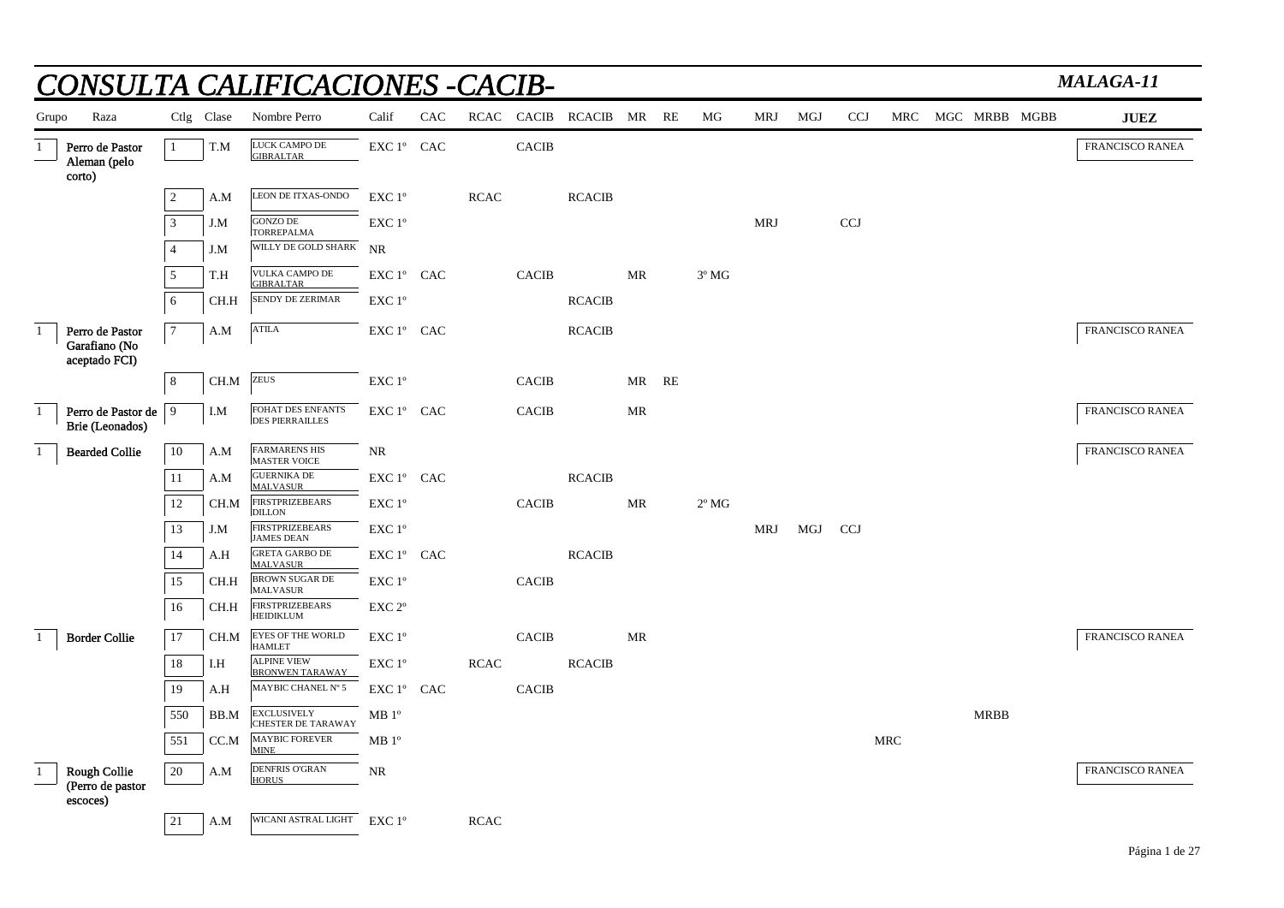|              |                                                   |                |                         | NSULTA CALIFICACIONES -CACIB-                   |                    |     |             |              |                         |           |                |            |     |            |            |             |               | <b>MALAGA-11</b>       |
|--------------|---------------------------------------------------|----------------|-------------------------|-------------------------------------------------|--------------------|-----|-------------|--------------|-------------------------|-----------|----------------|------------|-----|------------|------------|-------------|---------------|------------------------|
| Grupo        | Raza                                              |                | Ctlg Clase              | Nombre Perro                                    | Calif              | CAC |             |              | RCAC CACIB RCACIB MR RE |           | MG             | MRJ        | MGJ | <b>CCJ</b> | MRC        |             | MGC MRBB MGBB | <b>JUEZ</b>            |
| $\mathbf{1}$ | Perro de Pastor<br>Aleman (pelo<br>corto)         | $\mathbf{1}$   | T.M                     | LUCK CAMPO DE<br><b>GIBRALTAR</b>               | $EXC1^{\circ}$ CAC |     |             | <b>CACIB</b> |                         |           |                |            |     |            |            |             |               | <b>FRANCISCO RANEA</b> |
|              |                                                   | $\overline{2}$ | A.M                     | LEON DE ITXAS-ONDO                              | EXC 1°             |     | <b>RCAC</b> |              | <b>RCACIB</b>           |           |                |            |     |            |            |             |               |                        |
|              |                                                   | $\overline{3}$ | J.M                     | <b>GONZO DE</b><br><b>TORREPALMA</b>            | EXC 1°             |     |             |              |                         |           |                | <b>MRJ</b> |     | <b>CCJ</b> |            |             |               |                        |
|              |                                                   | $\overline{4}$ | J.M                     | WILLY DE GOLD SHARK NR                          |                    |     |             |              |                         |           |                |            |     |            |            |             |               |                        |
|              |                                                   | 5              | T.H                     | VULKA CAMPO DE<br><b>GIBRALTAR</b>              | EXC 1° CAC         |     |             | <b>CACIB</b> |                         | <b>MR</b> | $3^{\circ}$ MG |            |     |            |            |             |               |                        |
|              |                                                   | 6              | CH.H                    | <b>SENDY DE ZERIMAR</b>                         | EXC 1°             |     |             |              | <b>RCACIB</b>           |           |                |            |     |            |            |             |               |                        |
| -1           | Perro de Pastor<br>Garafiano (No<br>aceptado FCI) | $\tau$         | A.M                     | <b>ATILA</b>                                    | EXC 1º CAC         |     |             |              | <b>RCACIB</b>           |           |                |            |     |            |            |             |               | FRANCISCO RANEA        |
|              |                                                   | 8              | CH.M                    | <b>ZEUS</b>                                     | EXC 1°             |     |             | <b>CACIB</b> |                         | MR RE     |                |            |     |            |            |             |               |                        |
| -1           | Perro de Pastor de<br>Brie (Leonados)             | 9              | I.M                     | FOHAT DES ENFANTS<br><b>DES PIERRAILLES</b>     | EXC 1° CAC         |     |             | <b>CACIB</b> |                         | MR        |                |            |     |            |            |             |               | <b>FRANCISCO RANEA</b> |
| $\mathbf{1}$ | <b>Bearded Collie</b>                             | 10             | A.M                     | <b>FARMARENS HIS</b><br><b>MASTER VOICE</b>     | <b>NR</b>          |     |             |              |                         |           |                |            |     |            |            |             |               | <b>FRANCISCO RANEA</b> |
|              |                                                   | 11             | $\mathbf{A}.\mathbf{M}$ | <b>GUERNIKA DE</b><br><b>MALVASUR</b>           | EXC 1° CAC         |     |             |              | <b>RCACIB</b>           |           |                |            |     |            |            |             |               |                        |
|              |                                                   | 12             | CH.M                    | <b>FIRSTPRIZEBEARS</b><br><b>DILLON</b>         | EXC 1°             |     |             | <b>CACIB</b> |                         | MR        | $2^{\circ}$ MG |            |     |            |            |             |               |                        |
|              |                                                   | 13             | J.M                     | <b>FIRSTPRIZEBEARS</b><br><b>JAMES DEAN</b>     | EXC 1°             |     |             |              |                         |           |                | <b>MRJ</b> | MGJ | <b>CCJ</b> |            |             |               |                        |
|              |                                                   | 14             | A.H                     | <b>GRETA GARBO DE</b><br><b>MALVASUR</b>        | EXC 1º CAC         |     |             |              | <b>RCACIB</b>           |           |                |            |     |            |            |             |               |                        |
|              |                                                   | 15             | CH.H                    | <b>BROWN SUGAR DE</b><br><b>MALVASUR</b>        | EXC 1°             |     |             | <b>CACIB</b> |                         |           |                |            |     |            |            |             |               |                        |
|              |                                                   | 16             | CH.H                    | <b>FIRSTPRIZEBEARS</b><br><b>HEIDIKLUM</b>      | EXC <sub>2°</sub>  |     |             |              |                         |           |                |            |     |            |            |             |               |                        |
| $\mathbf{1}$ | <b>Border Collie</b>                              | 17             | CH.M                    | <b>EYES OF THE WORLD</b><br><b>HAMLET</b>       | EXC 1°             |     |             | <b>CACIB</b> |                         | MR        |                |            |     |            |            |             |               | <b>FRANCISCO RANEA</b> |
|              |                                                   | 18             | I.H                     | <b>ALPINE VIEW</b><br><b>BRONWEN TARAWAY</b>    | EXC 1°             |     | <b>RCAC</b> |              | <b>RCACIB</b>           |           |                |            |     |            |            |             |               |                        |
|              |                                                   | 19             | A.H                     | MAYBIC CHANEL Nº 5                              | EXC 1° CAC         |     |             | <b>CACIB</b> |                         |           |                |            |     |            |            |             |               |                        |
|              |                                                   | 550            | BB.M                    | <b>EXCLUSIVELY</b><br><b>CHESTER DE TARAWAY</b> | MB <sup>o</sup>    |     |             |              |                         |           |                |            |     |            |            | <b>MRBB</b> |               |                        |
|              |                                                   | 551            | CC.M                    | <b>MAYBIC FOREVER</b><br><b>MINE</b>            | MB <sup>o</sup>    |     |             |              |                         |           |                |            |     |            | <b>MRC</b> |             |               |                        |
| -1           | Rough Collie<br>(Perro de pastor                  | 20             | A.M                     | <b>DENFRIS O'GRAN</b><br><b>HORUS</b>           | <b>NR</b>          |     |             |              |                         |           |                |            |     |            |            |             |               | <b>FRANCISCO RANEA</b> |
|              | escoces)                                          | 21             | A.M                     | WICANI ASTRAL LIGHT EXC 1°                      |                    |     | <b>RCAC</b> |              |                         |           |                |            |     |            |            |             |               |                        |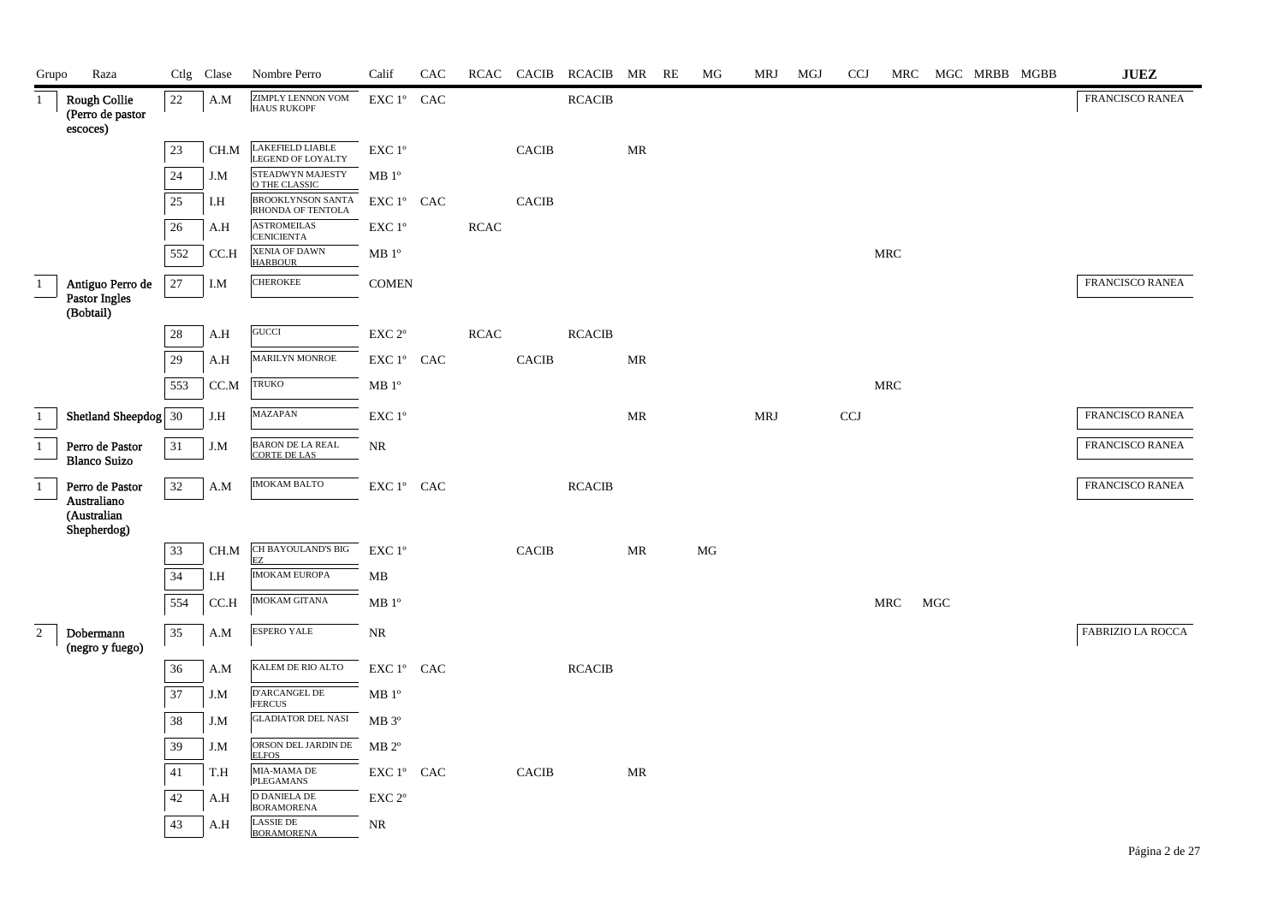| Grupo                             | Raza                                                |        | Ctlg Clase | Nombre Perro                                   | Calif                                           | CAC |             |              | RCAC CACIB RCACIB MR RE |                                   | МG       | MRJ        | MGJ | <b>CCJ</b> |     |            | MRC MGC MRBB MGBB | <b>JUEZ</b>       |
|-----------------------------------|-----------------------------------------------------|--------|------------|------------------------------------------------|-------------------------------------------------|-----|-------------|--------------|-------------------------|-----------------------------------|----------|------------|-----|------------|-----|------------|-------------------|-------------------|
| $\mathbf{1}$                      | <b>Rough Collie</b><br>(Perro de pastor<br>escoces) | 22     | A.M        | <b>ZIMPLY LENNON VOM</b><br><b>HAUS RUKOPF</b> | EXC 1° CAC                                      |     |             |              | <b>RCACIB</b>           |                                   |          |            |     |            |     |            |                   | FRANCISCO RANEA   |
|                                   |                                                     | 23     | CH.M       | LAKEFIELD LIABLE<br>LEGEND OF LOYALTY          | $\ensuremath{\mathrm{EXC}}$ $1^{\mathrm{o}}$    |     |             | <b>CACIB</b> |                         | MR                                |          |            |     |            |     |            |                   |                   |
|                                   |                                                     | $24\,$ | J.M        | STEADWYN MAJESTY<br>O THE CLASSIC              | MB 1 <sup>o</sup>                               |     |             |              |                         |                                   |          |            |     |            |     |            |                   |                   |
|                                   |                                                     | 25     | I.H        | BROOKLYNSON SANTA<br>RHONDA OF TENTOLA         | EXC 1º CAC                                      |     |             | <b>CACIB</b> |                         |                                   |          |            |     |            |     |            |                   |                   |
|                                   |                                                     | 26     | A.H        | <b>ASTROMEILAS</b><br><b>CENICIENTA</b>        | EXC 1°                                          |     | <b>RCAC</b> |              |                         |                                   |          |            |     |            |     |            |                   |                   |
|                                   |                                                     | 552    | CC.H       | <b>XENIA OF DAWN</b><br><b>HARBOUR</b>         | MB 1 <sup>o</sup>                               |     |             |              |                         |                                   |          |            |     |            | MRC |            |                   |                   |
| $\mathbf{1}$                      | Antiguo Perro de                                    | $27\,$ | $I.M$      | <b>CHEROKEE</b>                                | <b>COMEN</b>                                    |     |             |              |                         |                                   |          |            |     |            |     |            |                   | FRANCISCO RANEA   |
|                                   | Pastor Ingles<br>(Bobtail)                          |        |            |                                                |                                                 |     |             |              |                         |                                   |          |            |     |            |     |            |                   |                   |
|                                   |                                                     | 28     | A.H        | GUCCI                                          | $\ensuremath{\mathrm{EXC}}$ $2^{\mathrm{o}}$    |     | RCAC        |              | RCACIB                  |                                   |          |            |     |            |     |            |                   |                   |
|                                   |                                                     | 29     | A.H        | MARILYN MONROE                                 | EXC 1° CAC                                      |     |             | <b>CACIB</b> |                         | MR                                |          |            |     |            |     |            |                   |                   |
|                                   |                                                     | 553    | CC.M       | TRUKO                                          | MB 1 <sup>o</sup>                               |     |             |              |                         |                                   |          |            |     |            | MRC |            |                   |                   |
| $\mathbf{1}$                      | Shetland Sheepdog 30                                |        | J.H        | <b>MAZAPAN</b>                                 | $\ensuremath{\mathrm{EXC}}$ $1^{\mathrm{o}}$    |     |             |              |                         | MR                                |          | <b>MRJ</b> |     | <b>CCJ</b> |     |            |                   | FRANCISCO RANEA   |
| $1\,$<br>$\overline{\phantom{0}}$ | Perro de Pastor<br><b>Blanco Suizo</b>              | 31     | J.M        | BARON DE LA REAL<br><b>CORTE DE LAS</b>        | NR                                              |     |             |              |                         |                                   |          |            |     |            |     |            |                   | FRANCISCO RANEA   |
| $\mathbf{1}$                      | Perro de Pastor                                     | 32     | A.M        | <b>IMOKAM BALTO</b>                            | EXC 1° CAC                                      |     |             |              | RCACIB                  |                                   |          |            |     |            |     |            |                   | FRANCISCO RANEA   |
|                                   | Australiano<br>(Australian<br>Shepherdog)           |        |            |                                                |                                                 |     |             |              |                         |                                   |          |            |     |            |     |            |                   |                   |
|                                   |                                                     | 33     | CH.M       | CH BAYOULAND'S BIG<br>ΕZ                       | $\ensuremath{\mathrm{EXC}}$<br>$1^{\mathrm{o}}$ |     |             | <b>CACIB</b> |                         | MR                                | $\rm MG$ |            |     |            |     |            |                   |                   |
|                                   |                                                     | 34     | I.H        | <b>IMOKAM EUROPA</b>                           | MB                                              |     |             |              |                         |                                   |          |            |     |            |     |            |                   |                   |
|                                   |                                                     | 554    | CC.H       | IMOKAM GITANA                                  | MB 1 <sup>o</sup>                               |     |             |              |                         |                                   |          |            |     |            | MRC | <b>MGC</b> |                   |                   |
| $\overline{2}$                    | Dobermann<br>(negro y fuego)                        | 35     | A.M        | <b>ESPERO YALE</b>                             | $\rm NR$                                        |     |             |              |                         |                                   |          |            |     |            |     |            |                   | FABRIZIO LA ROCCA |
|                                   |                                                     | 36     | A.M        | KALEM DE RIO ALTO                              | EXC 1° CAC                                      |     |             |              | RCACIB                  |                                   |          |            |     |            |     |            |                   |                   |
|                                   |                                                     | 37     | J.M        | D'ARCANGEL DE<br><b>FERCUS</b>                 | MB <sup>o</sup>                                 |     |             |              |                         |                                   |          |            |     |            |     |            |                   |                   |
|                                   |                                                     | 38     | J.M        | <b>GLADIATOR DEL NASI</b>                      | $MB 3^{\circ}$                                  |     |             |              |                         |                                   |          |            |     |            |     |            |                   |                   |
|                                   |                                                     | 39     | J.M        | ORSON DEL JARDIN DE<br><b>ELFOS</b>            | $\rm MB$ $2^{\rm o}$                            |     |             |              |                         |                                   |          |            |     |            |     |            |                   |                   |
|                                   |                                                     | 41     | T.H        | MIA-MAMA DE<br><b>PLEGAMANS</b>                | EXC 1° CAC                                      |     |             | CACIB        |                         | $\ensuremath{\mathbf{MR}}\xspace$ |          |            |     |            |     |            |                   |                   |
|                                   |                                                     | 42     | A.H        | <b>D DANIELA DE</b><br><b>BORAMORENA</b>       | EXC 2°                                          |     |             |              |                         |                                   |          |            |     |            |     |            |                   |                   |
|                                   |                                                     | 43     | A.H        | <b>LASSIE DE</b><br><b>BORAMORENA</b>          | NR                                              |     |             |              |                         |                                   |          |            |     |            |     |            |                   |                   |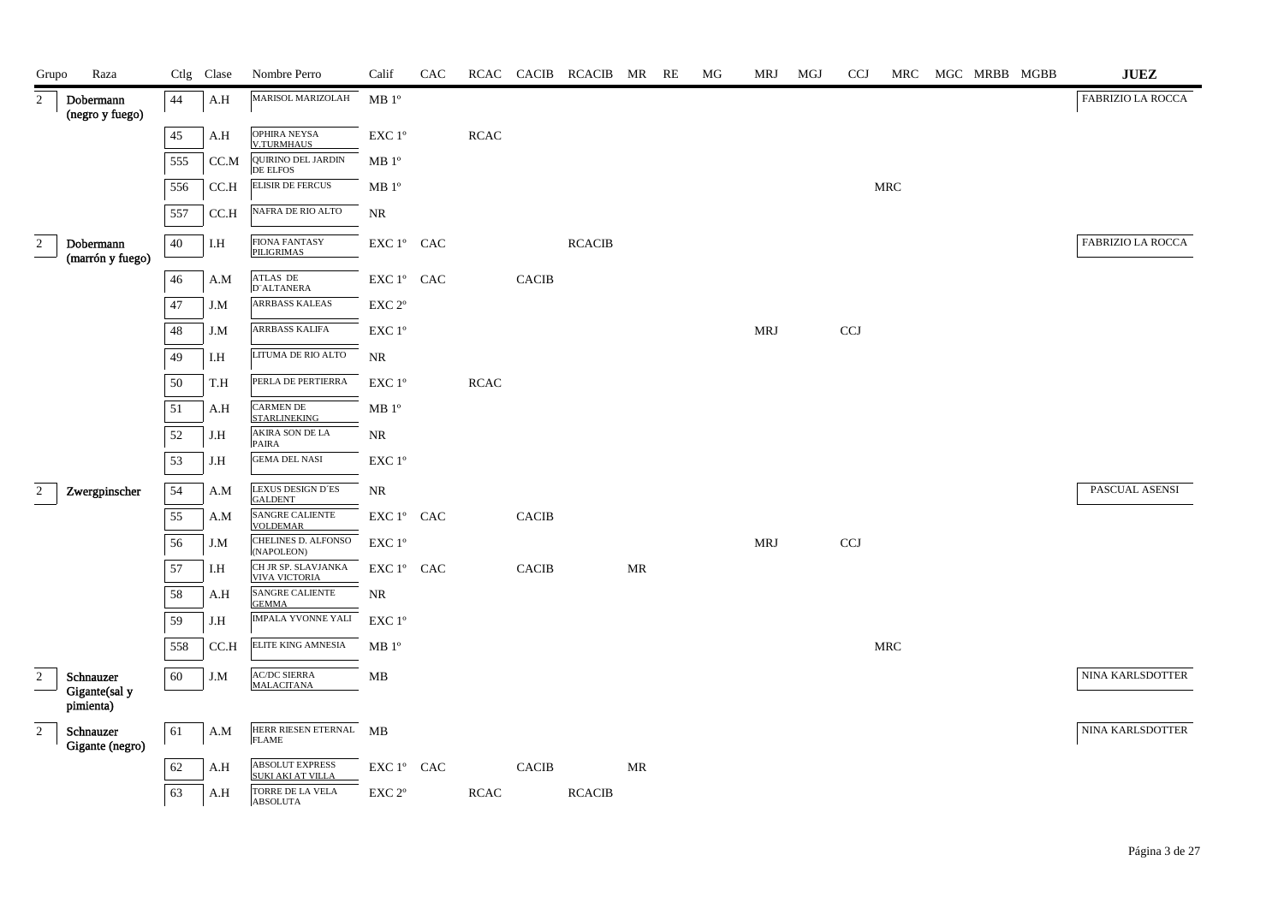| Grupo          | Raza                          |        | Ctlg Clase | Nombre Perro                                | Calif                                                                      | CAC |             |              | RCAC CACIB RCACIB MR RE |    | MG | <b>MRJ</b> | MGJ | <b>CCJ</b> | MRC | MGC MRBB MGBB | $\mathbf{J}\mathbf{U}\mathbf{E}\mathbf{Z}$ |
|----------------|-------------------------------|--------|------------|---------------------------------------------|----------------------------------------------------------------------------|-----|-------------|--------------|-------------------------|----|----|------------|-----|------------|-----|---------------|--------------------------------------------|
| $\overline{2}$ | Dobermann<br>(negro y fuego)  | 44     | A.H        | MARISOL MARIZOLAH                           | MB <sup>0</sup>                                                            |     |             |              |                         |    |    |            |     |            |     |               | FABRIZIO LA ROCCA                          |
|                |                               | 45     | A.H        | OPHIRA NEYSA<br><b>V.TURMHAUS</b>           | $\ensuremath{\mathrm{EXC}}$ $1^{\mathrm{o}}$                               |     | $\sf RCAC$  |              |                         |    |    |            |     |            |     |               |                                            |
|                |                               | 555    | CC.M       | <b>QUIRINO DEL JARDIN</b>                   | MB1°                                                                       |     |             |              |                         |    |    |            |     |            |     |               |                                            |
|                |                               | 556    | CC.H       | <b>DE ELFOS</b><br><b>ELISIR DE FERCUS</b>  | MB 1 <sup>o</sup>                                                          |     |             |              |                         |    |    |            |     |            | MRC |               |                                            |
|                |                               | 557    | CC.H       | NAFRA DE RIO ALTO                           | <b>NR</b>                                                                  |     |             |              |                         |    |    |            |     |            |     |               |                                            |
| $\overline{c}$ | Dobermann<br>(marrón y fuego) | 40     | I.H        | <b>FIONA FANTASY</b><br>PILIGRIMAS          | EXC 1° CAC                                                                 |     |             |              | <b>RCACIB</b>           |    |    |            |     |            |     |               | <b>FABRIZIO LA ROCCA</b>                   |
|                |                               | $46\,$ | A.M        | ATLAS DE<br>D"ALTANERA                      | EXC 1° CAC                                                                 |     |             | CACIB        |                         |    |    |            |     |            |     |               |                                            |
|                |                               | 47     | J.M        | <b>ARRBASS KALEAS</b>                       | EXC 2°                                                                     |     |             |              |                         |    |    |            |     |            |     |               |                                            |
|                |                               | 48     | J.M        | ARRBASS KALIFA                              | EXC 1°                                                                     |     |             |              |                         |    |    | <b>MRJ</b> |     | <b>CCJ</b> |     |               |                                            |
|                |                               | 49     | I.H        | LITUMA DE RIO ALTO                          | <b>NR</b>                                                                  |     |             |              |                         |    |    |            |     |            |     |               |                                            |
|                |                               | 50     | T.H        | PERLA DE PERTIERRA                          | EXC 1°                                                                     |     | $\sf RCAC$  |              |                         |    |    |            |     |            |     |               |                                            |
|                |                               | 51     | A.H        | <b>CARMEN DE</b><br><b>STARLINEKING</b>     | MB 1 <sup>o</sup>                                                          |     |             |              |                         |    |    |            |     |            |     |               |                                            |
|                |                               | 52     | J.H        | <b>AKIRA SON DE LA</b><br>PAIRA             | NR                                                                         |     |             |              |                         |    |    |            |     |            |     |               |                                            |
|                |                               | 53     | J.H        | <b>GEMA DEL NASI</b>                        | EXC 1°                                                                     |     |             |              |                         |    |    |            |     |            |     |               |                                            |
| $\overline{2}$ | Zwergpinscher                 | 54     | A.M        | LEXUS DESIGN D'ES<br><b>GALDENT</b>         | <b>NR</b>                                                                  |     |             |              |                         |    |    |            |     |            |     |               | PASCUAL ASENSI                             |
|                |                               | 55     | A.M        | SANGRE CALIENTE<br><b>VOLDEMAR</b>          | EXC 1° CAC                                                                 |     |             | CACIB        |                         |    |    |            |     |            |     |               |                                            |
|                |                               | 56     | J.M        | CHELINES D. ALFONSO<br>(NAPOLEON)           | EXC 1°                                                                     |     |             |              |                         |    |    | <b>MRJ</b> |     | <b>CCJ</b> |     |               |                                            |
|                |                               | 57     | I.H        | CH JR SP. SLAVJANKA<br><b>VIVA VICTORIA</b> | $\mathop{\rm EXC}\nolimits 1^{\mathop{\rm o}}$ $\mathop{\rm CAC}\nolimits$ |     |             | <b>CACIB</b> |                         | MR |    |            |     |            |     |               |                                            |
|                |                               | 58     | A.H        | SANGRE CALIENTE<br><b>GEMMA</b>             | NR                                                                         |     |             |              |                         |    |    |            |     |            |     |               |                                            |
|                |                               | 59     | J.H        | <b>IMPALA YVONNE YALI</b>                   | EXC 1°                                                                     |     |             |              |                         |    |    |            |     |            |     |               |                                            |
|                |                               | 558    | CC.H       | ELITE KING AMNESIA                          | MB 1 <sup>o</sup>                                                          |     |             |              |                         |    |    |            |     |            | MRC |               |                                            |
| $\overline{2}$ | Schnauzer<br>Gigante(sal y    | 60     | J.M        | <b>AC/DC SIERRA</b><br><b>MALACITANA</b>    | MB                                                                         |     |             |              |                         |    |    |            |     |            |     |               | NINA KARLSDOTTER                           |
|                | pimienta)                     |        |            |                                             |                                                                            |     |             |              |                         |    |    |            |     |            |     |               |                                            |
| $\overline{2}$ | Schnauzer<br>Gigante (negro)  | 61     | A.M        | HERR RIESEN ETERNAL MB<br><b>FLAME</b>      |                                                                            |     |             |              |                         |    |    |            |     |            |     |               | NINA KARLSDOTTER                           |
|                |                               | 62     | A.H        | ABSOLUT EXPRESS<br>SUKI AKI AT VILLA        | $\mathop{\rm EXC}\nolimits 1^{\circ }$ $\mathop{\rm CAC}\nolimits$         |     |             | <b>CACIB</b> |                         | MR |    |            |     |            |     |               |                                            |
|                |                               | 63     | A.H        | TORRE DE LA VELA<br><b>ABSOLUTA</b>         | EXC <sub>2°</sub>                                                          |     | <b>RCAC</b> |              | <b>RCACIB</b>           |    |    |            |     |            |     |               |                                            |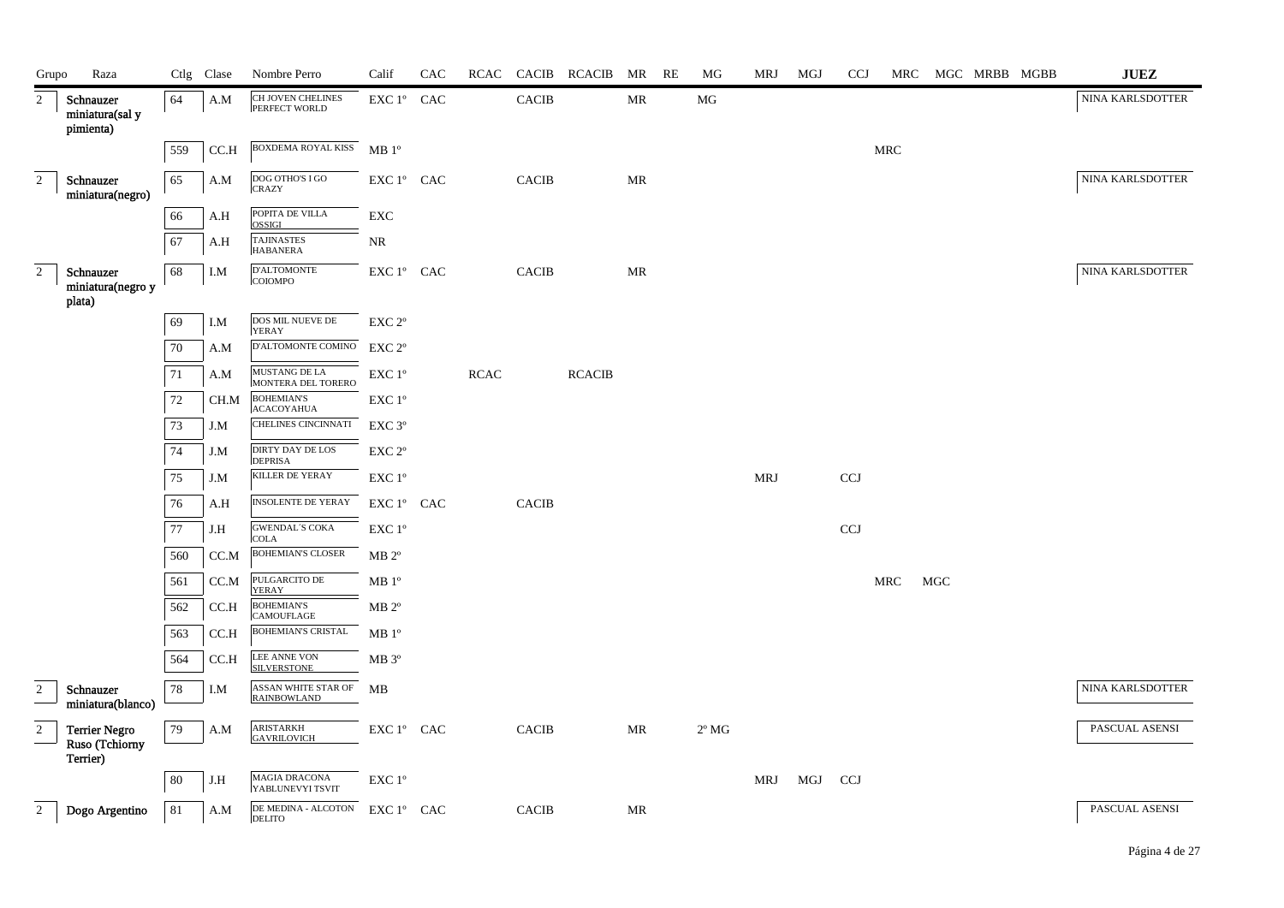| Grupo                                  | Raza                                      |     | Ctlg Clase | Nombre Perro                              | Calif                                        | CAC |      |              | RCAC CACIB RCACIB MR RE |           | MG             | MRJ | MGJ     | <b>CCJ</b> | MRC |                   | MGC MRBB MGBB | $\mathbf{J}\mathbf{U}\mathbf{E}\mathbf{Z}$ |
|----------------------------------------|-------------------------------------------|-----|------------|-------------------------------------------|----------------------------------------------|-----|------|--------------|-------------------------|-----------|----------------|-----|---------|------------|-----|-------------------|---------------|--------------------------------------------|
| 2                                      | Schnauzer<br>miniatura(sal y<br>pimienta) | 64  | A.M        | CH JOVEN CHELINES<br>PERFECT WORLD        | EXC 1° CAC                                   |     |      | <b>CACIB</b> |                         | MR        | MG             |     |         |            |     |                   |               | NINA KARLSDOTTER                           |
|                                        |                                           | 559 | CC.H       | BOXDEMA ROYAL KISS MB 1°                  |                                              |     |      |              |                         |           |                |     |         |            | MRC |                   |               |                                            |
| $\overline{2}$                         | Schnauzer<br>miniatura(negro)             | 65  | A.M        | DOG OTHO'S I GO<br><b>CRAZY</b>           | EXC 1° CAC                                   |     |      | <b>CACIB</b> |                         | MR        |                |     |         |            |     |                   |               | NINA KARLSDOTTER                           |
|                                        |                                           | 66  | A.H        | POPITA DE VILLA<br><b>OSSIGI</b>          | EXC                                          |     |      |              |                         |           |                |     |         |            |     |                   |               |                                            |
|                                        |                                           | 67  | A.H        | <b>TAJINASTES</b><br><b>HABANERA</b>      | NR                                           |     |      |              |                         |           |                |     |         |            |     |                   |               |                                            |
| $\overline{2}$                         | Schnauzer<br>miniatura(negro y<br>plata)  | 68  | I.M        | D'ALTOMONTE<br>COIOMPO                    | EXC 1° CAC                                   |     |      | <b>CACIB</b> |                         | MR        |                |     |         |            |     |                   |               | NINA KARLSDOTTER                           |
|                                        |                                           | 69  | I.M        | DOS MIL NUEVE DE<br>YERAY                 | EXC <sub>2°</sub>                            |     |      |              |                         |           |                |     |         |            |     |                   |               |                                            |
|                                        |                                           | 70  | A.M        | D'ALTOMONTE COMINO                        | EXC <sub>2°</sub>                            |     |      |              |                         |           |                |     |         |            |     |                   |               |                                            |
|                                        |                                           | 71  | A.M        | MUSTANG DE LA<br>MONTERA DEL TORERO       | $\ensuremath{\mathrm{EXC}}$ $1^{\mathrm{o}}$ |     | RCAC |              | <b>RCACIB</b>           |           |                |     |         |            |     |                   |               |                                            |
|                                        |                                           | 72  | CH.M       | <b>BOHEMIAN'S</b><br><b>ACACOYAHUA</b>    | $\ensuremath{\mathrm{EXC}}$ $1^{\mathrm{o}}$ |     |      |              |                         |           |                |     |         |            |     |                   |               |                                            |
|                                        |                                           | 73  | J.M        | CHELINES CINCINNATI                       | EXC 3°                                       |     |      |              |                         |           |                |     |         |            |     |                   |               |                                            |
|                                        |                                           | 74  | J.M        | DIRTY DAY DE LOS<br><b>DEPRISA</b>        | $\ensuremath{\mathrm{EXC}}$ $2^{\mathrm{o}}$ |     |      |              |                         |           |                |     |         |            |     |                   |               |                                            |
|                                        |                                           | 75  | J.M        | KILLER DE YERAY                           | EXC 1°                                       |     |      |              |                         |           |                | MRJ |         | <b>CCJ</b> |     |                   |               |                                            |
|                                        |                                           | 76  | A.H        | INSOLENTE DE YERAY                        | EXC 1° CAC                                   |     |      | <b>CACIB</b> |                         |           |                |     |         |            |     |                   |               |                                            |
|                                        |                                           | 77  | J.H        | <b>GWENDAL'S COKA</b><br><b>COLA</b>      | EXC 1°                                       |     |      |              |                         |           |                |     |         | <b>CCJ</b> |     |                   |               |                                            |
|                                        |                                           | 560 | CC.M       | <b>BOHEMIAN'S CLOSER</b>                  | $MB 2^{\circ}$                               |     |      |              |                         |           |                |     |         |            |     |                   |               |                                            |
|                                        |                                           | 561 | CC.M       | PULGARCITO DE<br>YERAY                    | MB 1 <sup>o</sup>                            |     |      |              |                         |           |                |     |         |            | MRC | $_{\mathrm{MGC}}$ |               |                                            |
|                                        |                                           | 562 | CC.H       | <b>BOHEMIAN'S</b><br>CAMOUFLAGE           | $MB 2^{\circ}$                               |     |      |              |                         |           |                |     |         |            |     |                   |               |                                            |
|                                        |                                           | 563 | CC.H       | BOHEMIAN'S CRISTAL                        | MB 1 <sup>o</sup>                            |     |      |              |                         |           |                |     |         |            |     |                   |               |                                            |
|                                        |                                           | 564 | CC.H       | LEE ANNE VON<br><b>SILVERSTONE</b>        | $MB 3^{\circ}$                               |     |      |              |                         |           |                |     |         |            |     |                   |               |                                            |
| $\sqrt{2}$<br>$\overline{\phantom{0}}$ | Schnauzer<br>miniatura(blanco)            | 78  | I.M        | ASSAN WHITE STAR OF<br><b>RAINBOWLAND</b> | MB                                           |     |      |              |                         |           |                |     |         |            |     |                   |               | NINA KARLSDOTTER                           |
| $\overline{c}$                         | <b>Terrier Negro</b><br>Ruso (Tchiorny    | 79  | A.M        | ARISTARKH<br><b>GAVRILOVICH</b>           | EXC 1° CAC                                   |     |      | <b>CACIB</b> |                         | <b>MR</b> | $2^{\circ}$ MG |     |         |            |     |                   |               | PASCUAL ASENSI                             |
|                                        | Terrier)                                  | 80  | J.H        | <b>MAGIA DRACONA</b><br>YABLUNEVYI TSVIT  | $\ensuremath{\mathrm{EXC}}$ $1^{\mathrm{o}}$ |     |      |              |                         |           |                | MRJ | MGJ CCJ |            |     |                   |               |                                            |
| $\overline{2}$                         | Dogo Argentino                            | 81  | A.M        | DE MEDINA - ALCOTON<br><b>DELITO</b>      | EXC 1° CAC                                   |     |      | <b>CACIB</b> |                         | <b>MR</b> |                |     |         |            |     |                   |               | PASCUAL ASENSI                             |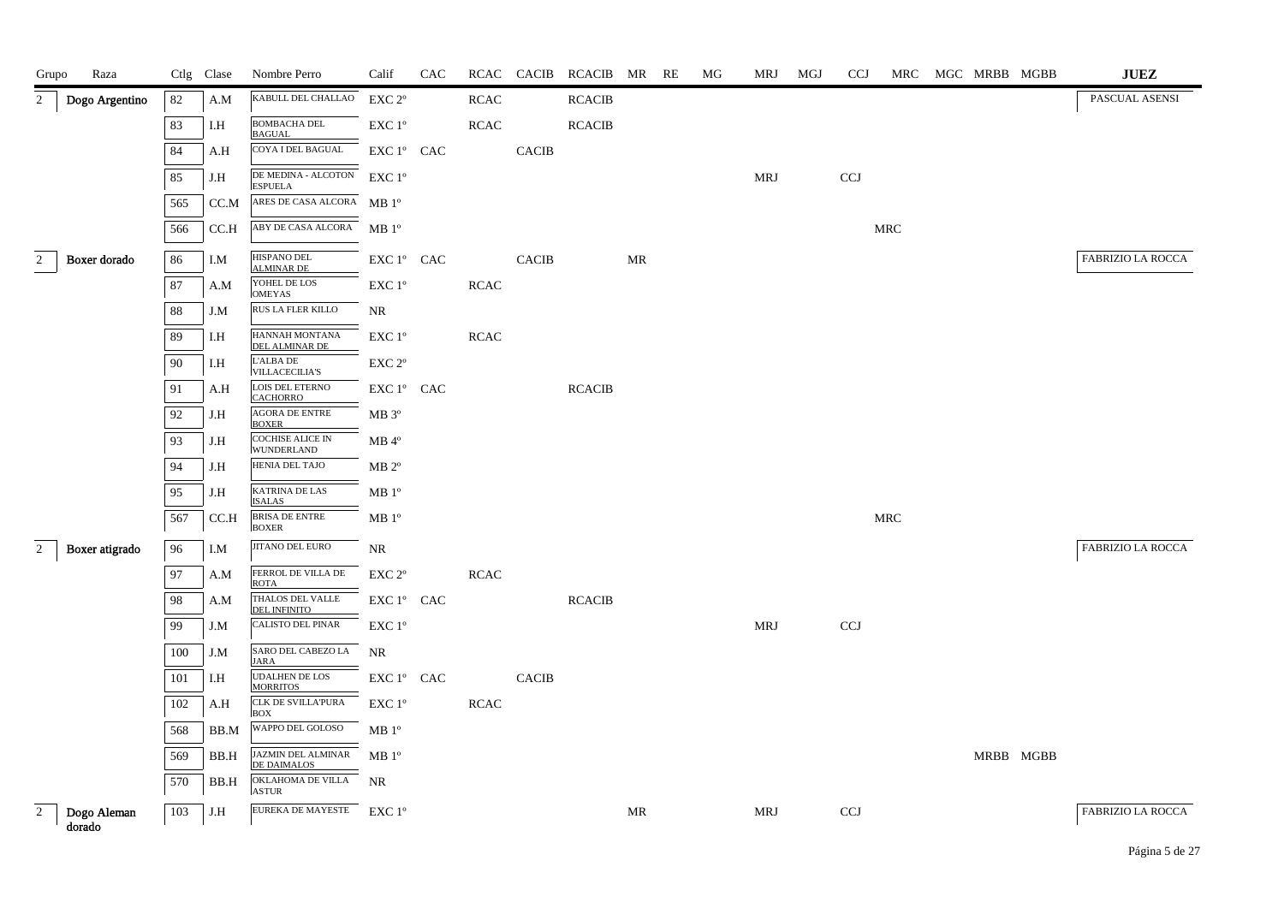| Grupo          | Raza                  |     | Ctlg Clase   | Nombre Perro                                    | Calif                                           | CAC |             |              | RCAC CACIB RCACIB MR RE |    | МG | MRJ        | MGJ | <b>CCJ</b> |     | MRC MGC MRBB MGBB | <b>JUEZ</b>              |
|----------------|-----------------------|-----|--------------|-------------------------------------------------|-------------------------------------------------|-----|-------------|--------------|-------------------------|----|----|------------|-----|------------|-----|-------------------|--------------------------|
| $\overline{2}$ | Dogo Argentino        | 82  | A.M          | KABULL DEL CHALLAO                              | EXC 2°                                          |     | <b>RCAC</b> |              | <b>RCACIB</b>           |    |    |            |     |            |     |                   | PASCUAL ASENSI           |
|                |                       | 83  | I.H          | <b>BOMBACHA DEL</b><br><b>BAGUAL</b>            | EXC 1 <sup>°</sup>                              |     | RCAC        |              | <b>RCACIB</b>           |    |    |            |     |            |     |                   |                          |
|                |                       | 84  | A.H          | COYA I DEL BAGUAL                               | EXC 1° CAC                                      |     |             | <b>CACIB</b> |                         |    |    |            |     |            |     |                   |                          |
|                |                       | 85  | J.H          | DE MEDINA - ALCOTON<br><b>ESPUELA</b>           | $\ensuremath{\mathrm{EXC}}$<br>$1^{\mathrm{o}}$ |     |             |              |                         |    |    | <b>MRJ</b> |     | <b>CCJ</b> |     |                   |                          |
|                |                       | 565 | CC.M         | ARES DE CASA ALCORA MB 1º                       |                                                 |     |             |              |                         |    |    |            |     |            |     |                   |                          |
|                |                       | 566 | CC.H         | ABY DE CASA ALCORA                              | $MB1^{\circ}$                                   |     |             |              |                         |    |    |            |     |            | MRC |                   |                          |
| $\overline{2}$ | Boxer dorado          | 86  | I.M          | HISPANO DEL<br><b>ALMINAR DE</b>                | EXC 1° CAC                                      |     |             | <b>CACIB</b> |                         | MR |    |            |     |            |     |                   | <b>FABRIZIO LA ROCCA</b> |
|                |                       | 87  | A.M          | YOHEL DE LOS<br><b>OMEYAS</b>                   | EXC 1°                                          |     | $\sf RCAC$  |              |                         |    |    |            |     |            |     |                   |                          |
|                |                       | 88  | J.M          | RUS LA FLER KILLO                               | NR                                              |     |             |              |                         |    |    |            |     |            |     |                   |                          |
|                |                       | 89  | I.H          | HANNAH MONTANA<br>DEL ALMINAR DE                | EXC 1°                                          |     | <b>RCAC</b> |              |                         |    |    |            |     |            |     |                   |                          |
|                |                       | 90  | I.H          | L'ALBA DE<br><b>VILLACECILIA'S</b>              | EXC 2°                                          |     |             |              |                         |    |    |            |     |            |     |                   |                          |
|                |                       | 91  | A.H          | LOIS DEL ETERNO<br><b>CACHORRO</b>              | EXC 1° CAC                                      |     |             |              | <b>RCACIB</b>           |    |    |            |     |            |     |                   |                          |
|                |                       | 92  | J.H          | <b>AGORA DE ENTRE</b><br><b>BOXER</b>           | $MB 3^{\circ}$                                  |     |             |              |                         |    |    |            |     |            |     |                   |                          |
|                |                       | 93  | J.H          | <b>COCHISE ALICE IN</b><br><b>WUNDERLAND</b>    | $MB$ <sup><math>4^{\circ}</math></sup>          |     |             |              |                         |    |    |            |     |            |     |                   |                          |
|                |                       | 94  | J.H          | HENIA DEL TAJO                                  | $MB 2^{\circ}$                                  |     |             |              |                         |    |    |            |     |            |     |                   |                          |
|                |                       | 95  | J.H          | KATRINA DE LAS<br><b>ISALAS</b>                 | $\rm MB$ $1^{\rm o}$                            |     |             |              |                         |    |    |            |     |            |     |                   |                          |
|                |                       | 567 | CC.H         | <b>BRISA DE ENTRE</b><br><b>BOXER</b>           | MB <sup>o</sup>                                 |     |             |              |                         |    |    |            |     |            | MRC |                   |                          |
| $\overline{2}$ | Boxer atigrado        | 96  | I.M          | JITANO DEL EURO                                 | NR                                              |     |             |              |                         |    |    |            |     |            |     |                   | <b>FABRIZIO LA ROCCA</b> |
|                |                       | 97  | A.M          | FERROL DE VILLA DE<br><b>ROTA</b>               | EXC 2°                                          |     | <b>RCAC</b> |              |                         |    |    |            |     |            |     |                   |                          |
|                |                       | 98  | A.M          | THALOS DEL VALLE<br><b>DEL INFINITO</b>         | EXC 1º CAC                                      |     |             |              | <b>RCACIB</b>           |    |    |            |     |            |     |                   |                          |
|                |                       | 99  | $_{\rm J.M}$ | CALISTO DEL PINAR                               | EXC 1°                                          |     |             |              |                         |    |    | <b>MRJ</b> |     | <b>CCJ</b> |     |                   |                          |
|                |                       | 100 | J.M          | SARO DEL CABEZO LA<br><b>JARA</b>               | NR                                              |     |             |              |                         |    |    |            |     |            |     |                   |                          |
|                |                       | 101 | I.H          | <b>UDALHEN DE LOS</b><br><b>MORRITOS</b>        | EXC 1º CAC                                      |     |             | <b>CACIB</b> |                         |    |    |            |     |            |     |                   |                          |
|                |                       | 102 | A.H          | CLK DE SVILLA'PURA<br><b>BOX</b>                | EXC 1°                                          |     | <b>RCAC</b> |              |                         |    |    |            |     |            |     |                   |                          |
|                |                       | 568 | BB.M         | WAPPO DEL GOLOSO                                | MB 1 <sup>o</sup>                               |     |             |              |                         |    |    |            |     |            |     |                   |                          |
|                |                       | 569 | BB.H         | <b>JAZMIN DEL ALMINAR</b><br><b>DE DAIMALOS</b> | MB <sup>0</sup>                                 |     |             |              |                         |    |    |            |     |            |     | MRBB MGBB         |                          |
|                |                       | 570 | BB.H         | OKLAHOMA DE VILLA<br><b>ASTUR</b>               | NR                                              |     |             |              |                         |    |    |            |     |            |     |                   |                          |
| $\overline{2}$ | Dogo Aleman<br>dorado | 103 | J.H          | EUREKA DE MAYESTE EXC 1°                        |                                                 |     |             |              |                         | MR |    | MRJ        |     | <b>CCJ</b> |     |                   | FABRIZIO LA ROCCA        |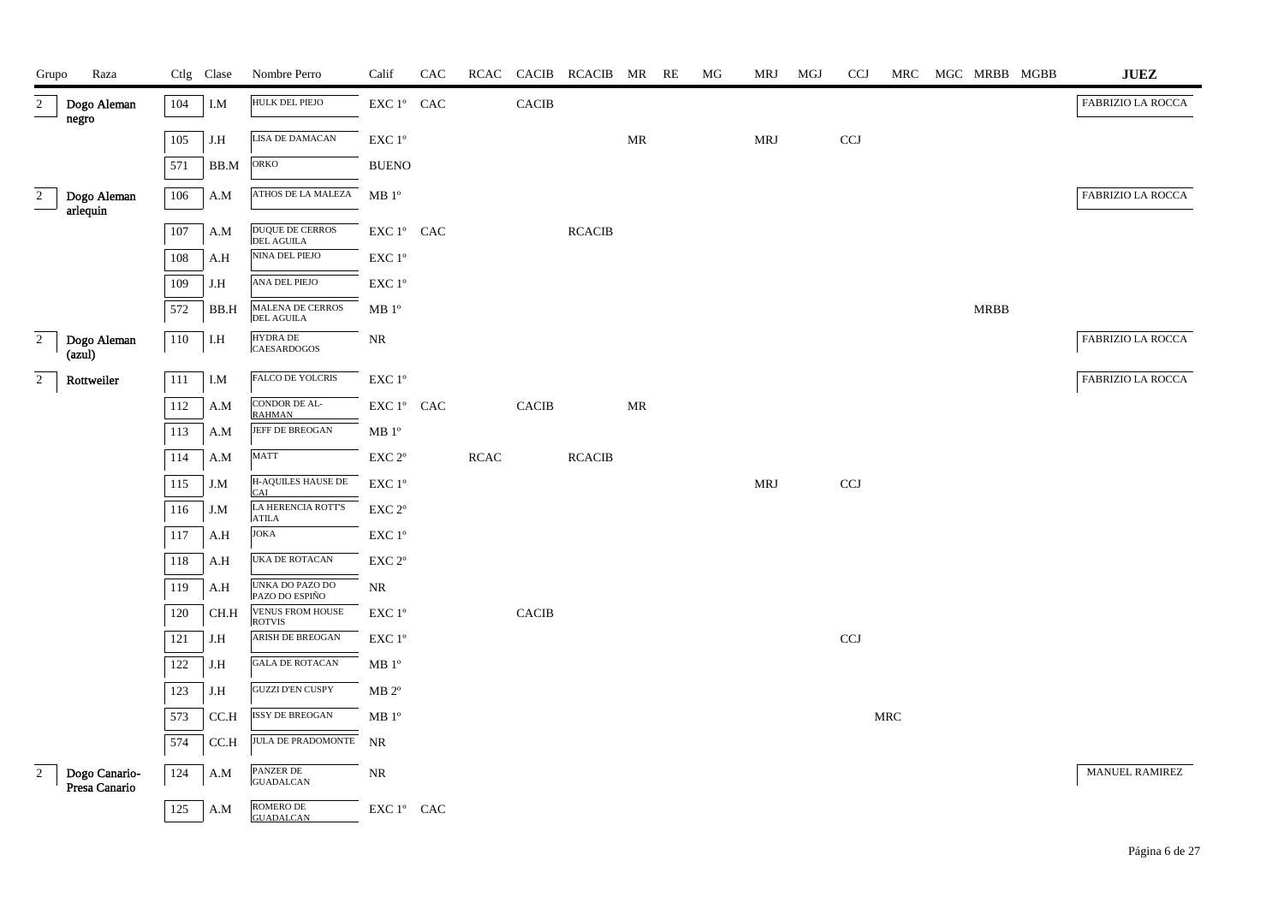| Grupo          | Raza                           |         | Ctlg Clase  | Nombre Perro                             | Calif                                                                      | CAC |             |              | RCAC CACIB RCACIB MR RE |                                   | MG | <b>MRJ</b> | MGJ | <b>CCJ</b>                | MRC                  |             | MGC MRBB MGBB | ${\bf JUEZ}$             |
|----------------|--------------------------------|---------|-------------|------------------------------------------|----------------------------------------------------------------------------|-----|-------------|--------------|-------------------------|-----------------------------------|----|------------|-----|---------------------------|----------------------|-------------|---------------|--------------------------|
| $\overline{2}$ | Dogo Aleman<br>negro           | 104     | I.M         | HULK DEL PIEJO                           | $\mathop{\rm EXC}\nolimits 1^{\mathop{\rm o}}$ $\mathop{\rm CAC}\nolimits$ |     |             | CACIB        |                         |                                   |    |            |     |                           |                      |             |               | <b>FABRIZIO LA ROCCA</b> |
|                |                                | 105     | J.H         | LISA DE DAMACAN                          | $\ensuremath{\mathrm{EXC}}$ $1^{\mathrm{o}}$                               |     |             |              |                         | MR                                |    | <b>MRJ</b> |     | $\ensuremath{\text{CCJ}}$ |                      |             |               |                          |
|                |                                | 571     | BB.M        | ORKO                                     | <b>BUENO</b>                                                               |     |             |              |                         |                                   |    |            |     |                           |                      |             |               |                          |
| $\overline{2}$ | Dogo Aleman                    | 106     | A.M         | ATHOS DE LA MALEZA                       | $\rm MB$ $1^{\rm o}$                                                       |     |             |              |                         |                                   |    |            |     |                           |                      |             |               | FABRIZIO LA ROCCA        |
|                | arlequin                       |         |             |                                          |                                                                            |     |             |              |                         |                                   |    |            |     |                           |                      |             |               |                          |
|                |                                | $107\,$ | A.M         | DUQUE DE CERROS<br>DEL AGUILA            | $\mathop{\rm EXC}\nolimits 1^{\mathop{\rm o}}$ $\mathop{\rm CAC}\nolimits$ |     |             |              | <b>RCACIB</b>           |                                   |    |            |     |                           |                      |             |               |                          |
|                |                                | 108     | A.H         | NINA DEL PIEJO                           | $\ensuremath{\mathrm{EXC}}$ $1^{\mathrm{o}}$                               |     |             |              |                         |                                   |    |            |     |                           |                      |             |               |                          |
|                |                                | 109     | J.H         | ANA DEL PIEJO                            | $\ensuremath{\mathrm{EXC}}$ $1^{\mathrm{o}}$                               |     |             |              |                         |                                   |    |            |     |                           |                      |             |               |                          |
|                |                                | 572     | BB.H        | MALENA DE CERROS<br>DEL AGUILA           | MB 1 <sup>o</sup>                                                          |     |             |              |                         |                                   |    |            |     |                           |                      | <b>MRBB</b> |               |                          |
| $\overline{2}$ | Dogo Aleman<br>(azul)          | 110     | I.H         | <b>HYDRA DE</b><br><b>CAESARDOGOS</b>    | $\rm NR$                                                                   |     |             |              |                         |                                   |    |            |     |                           |                      |             |               | <b>FABRIZIO LA ROCCA</b> |
| $\overline{2}$ | Rottweiler                     | 111     | I.M         | FALCO DE YOLCRIS                         | $\ensuremath{\mathrm{EXC}}$ $1^\mathrm{o}$                                 |     |             |              |                         |                                   |    |            |     |                           |                      |             |               | FABRIZIO LA ROCCA        |
|                |                                | 112     | A.M         | CONDOR DE AL-<br><b>RAHMAN</b>           | $\mathop{\rm EXC}\nolimits 1^{\mathop{\rm o}}$ $\mathop{\rm CAC}\nolimits$ |     |             | $\sf CACIB$  |                         | $\ensuremath{\mathsf{MR}}\xspace$ |    |            |     |                           |                      |             |               |                          |
|                |                                | 113     | A.M         | JEFF DE BREOGAN                          | $MB1^{\circ}$                                                              |     |             |              |                         |                                   |    |            |     |                           |                      |             |               |                          |
|                |                                | 114     | A.M         | MATT                                     | $\ensuremath{\mathrm{EXC}}$ $2^{\mathrm{o}}$                               |     | <b>RCAC</b> |              | <b>RCACIB</b>           |                                   |    |            |     |                           |                      |             |               |                          |
|                |                                | 115     | J.M         | H-AQUILES HAUSE DE<br>CAI                | $\ensuremath{\mathrm{EXC}}$ $1^\mathrm{o}$                                 |     |             |              |                         |                                   |    | <b>MRJ</b> |     | CCJ                       |                      |             |               |                          |
|                |                                | 116     | J.M         | LA HERENCIA ROTT'S<br><b>ATILA</b>       | EXC 2°                                                                     |     |             |              |                         |                                   |    |            |     |                           |                      |             |               |                          |
|                |                                | 117     | A.H         | <b>JOKA</b>                              | EXC 1°                                                                     |     |             |              |                         |                                   |    |            |     |                           |                      |             |               |                          |
|                |                                | 118     | A.H         | UKA DE ROTACAN                           | $\ensuremath{\mathrm{EXC}}$ $2^{\mathrm{o}}$                               |     |             |              |                         |                                   |    |            |     |                           |                      |             |               |                          |
|                |                                | 119     | A.H         | UNKA DO PAZO DO<br>PAZO DO ESPIÑO        | $\rm NR$                                                                   |     |             |              |                         |                                   |    |            |     |                           |                      |             |               |                          |
|                |                                | 120     | CH.H        | <b>VENUS FROM HOUSE</b><br><b>ROTVIS</b> | EXC 1 <sup>o</sup>                                                         |     |             | <b>CACIB</b> |                         |                                   |    |            |     |                           |                      |             |               |                          |
|                |                                | 121     | J.H         | ARISH DE BREOGAN                         | EXC 1°                                                                     |     |             |              |                         |                                   |    |            |     | <b>CCJ</b>                |                      |             |               |                          |
|                |                                | 122     | J.H         | <b>GALA DE ROTACAN</b>                   | MB <sup>o</sup>                                                            |     |             |              |                         |                                   |    |            |     |                           |                      |             |               |                          |
|                |                                | 123     | J.H         | GUZZI D'EN CUSPY                         | $MB 2^{\circ}$                                                             |     |             |              |                         |                                   |    |            |     |                           |                      |             |               |                          |
|                |                                | 573     | CCA         | <b>ISSY DE BREOGAN</b>                   | MB 1 <sup>o</sup>                                                          |     |             |              |                         |                                   |    |            |     |                           | $\operatorname{MRC}$ |             |               |                          |
|                |                                | 574     | $\rm C C.H$ | <b>JULA DE PRADOMONTE</b>                | <b>NR</b>                                                                  |     |             |              |                         |                                   |    |            |     |                           |                      |             |               |                          |
| $\overline{2}$ | Dogo Canario-<br>Presa Canario | 124     | A.M         | PANZER DE<br><b>GUADALCAN</b>            | $\rm NR$                                                                   |     |             |              |                         |                                   |    |            |     |                           |                      |             |               | <b>MANUEL RAMIREZ</b>    |
|                |                                | 125     | A.M         | ROMERO DE<br><b>GUADALCAN</b>            | $\mathop{\rm EXC}\nolimits 1^{\circ }$ $\mathop{\rm CAC}\nolimits$         |     |             |              |                         |                                   |    |            |     |                           |                      |             |               |                          |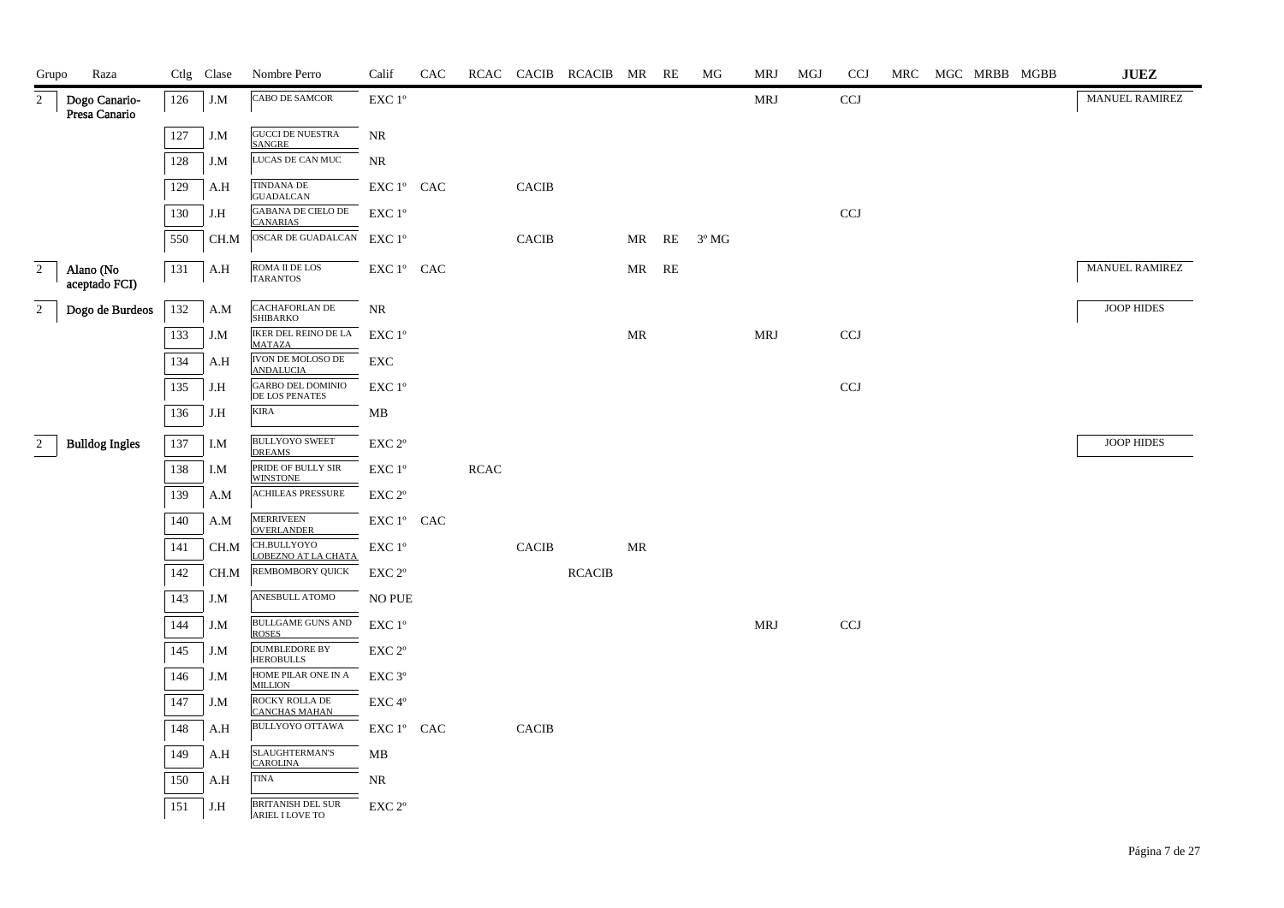| Grupo          | Raza                           |     | Ctlg Clase | Nombre Perro                                 | Calif                                                                      | CAC |             |              | RCAC CACIB RCACIB MR RE |       |       | МG             | MRJ        | MGJ | <b>CCJ</b> |  | MRC MGC MRBB MGBB | $\mathbf{J}\mathbf{U}\mathbf{E}\mathbf{Z}$ |
|----------------|--------------------------------|-----|------------|----------------------------------------------|----------------------------------------------------------------------------|-----|-------------|--------------|-------------------------|-------|-------|----------------|------------|-----|------------|--|-------------------|--------------------------------------------|
| 2              | Dogo Canario-<br>Presa Canario | 126 | J.M        | CABO DE SAMCOR                               | EXC 1°                                                                     |     |             |              |                         |       |       |                | MRJ        |     | CCJ        |  |                   | <b>MANUEL RAMIREZ</b>                      |
|                |                                | 127 | J.M        | <b>GUCCI DE NUESTRA</b><br><b>SANGRE</b>     | <b>NR</b>                                                                  |     |             |              |                         |       |       |                |            |     |            |  |                   |                                            |
|                |                                | 128 | J.M        | LUCAS DE CAN MUC                             | NR                                                                         |     |             |              |                         |       |       |                |            |     |            |  |                   |                                            |
|                |                                | 129 | A.H        | <b>TINDANA DE</b><br><b>GUADALCAN</b>        | EXC 1º CAC                                                                 |     |             | <b>CACIB</b> |                         |       |       |                |            |     |            |  |                   |                                            |
|                |                                | 130 | J.H        | <b>GABANA DE CIELO DE</b><br><b>CANARIAS</b> | $EXC1^{\circ}$                                                             |     |             |              |                         |       |       |                |            |     | <b>CCJ</b> |  |                   |                                            |
|                |                                | 550 | CH.M       | OSCAR DE GUADALCAN EXC 1º                    |                                                                            |     |             | <b>CACIB</b> |                         |       | MR RE | $3^{\circ}$ MG |            |     |            |  |                   |                                            |
| $\overline{2}$ | Alano (No<br>aceptado FCI)     | 131 | A.H        | ROMA II DE LOS<br><b>TARANTOS</b>            | EXC 1° CAC                                                                 |     |             |              |                         | MR RE |       |                |            |     |            |  |                   | <b>MANUEL RAMIREZ</b>                      |
| $\overline{2}$ | Dogo de Burdeos                | 132 | A.M        | CACHAFORLAN DE<br><b>SHIBARKO</b>            | <b>NR</b>                                                                  |     |             |              |                         |       |       |                |            |     |            |  |                   | <b>JOOP HIDES</b>                          |
|                |                                | 133 | J.M        | IKER DEL REINO DE LA<br><b>MATAZA</b>        | EXC 1°                                                                     |     |             |              |                         | MR    |       |                | <b>MRJ</b> |     | CCJ        |  |                   |                                            |
|                |                                | 134 | A.H        | <b>IVON DE MOLOSO DE</b><br><b>ANDALUCIA</b> | EXC                                                                        |     |             |              |                         |       |       |                |            |     |            |  |                   |                                            |
|                |                                | 135 | J.H        | <b>GARBO DEL DOMINIO</b><br>DE LOS PENATES   | EXC 1°                                                                     |     |             |              |                         |       |       |                |            |     | <b>CCJ</b> |  |                   |                                            |
|                |                                | 136 | J.H        | <b>KIRA</b>                                  | MB                                                                         |     |             |              |                         |       |       |                |            |     |            |  |                   |                                            |
| 2              | <b>Bulldog Ingles</b>          | 137 | I.M        | <b>BULLYOYO SWEET</b><br><b>DREAMS</b>       | EXC <sub>2°</sub>                                                          |     |             |              |                         |       |       |                |            |     |            |  |                   | JOOP HIDES                                 |
|                |                                | 138 | I.M        | PRIDE OF BULLY SIR<br><b>WINSTONE</b>        | $\ensuremath{\mathrm{EXC}}$ $1^\mathrm{o}$                                 |     | <b>RCAC</b> |              |                         |       |       |                |            |     |            |  |                   |                                            |
|                |                                | 139 | A.M        | <b>ACHILEAS PRESSURE</b>                     | EXC 2°                                                                     |     |             |              |                         |       |       |                |            |     |            |  |                   |                                            |
|                |                                | 140 | A.M        | MERRIVEEN<br>OVERLANDER                      | EXC 1° CAC                                                                 |     |             |              |                         |       |       |                |            |     |            |  |                   |                                            |
|                |                                | 141 | CH.M       | CH.BULLYOYO<br><b>LOBEZNO AT LA CHATA</b>    | EXC 1°                                                                     |     |             | CACIB        |                         | MR    |       |                |            |     |            |  |                   |                                            |
|                |                                | 142 | CH.M       | REMBOMBORY QUICK                             | EXC 2°                                                                     |     |             |              | <b>RCACIB</b>           |       |       |                |            |     |            |  |                   |                                            |
|                |                                | 143 | J.M        | ANESBULL ATOMO                               | <b>NO PUE</b>                                                              |     |             |              |                         |       |       |                |            |     |            |  |                   |                                            |
|                |                                | 144 | J.M        | <b>BULLGAME GUNS AND</b><br><b>ROSES</b>     | $EXC1^{\circ}$                                                             |     |             |              |                         |       |       |                | MRJ        |     | CCJ        |  |                   |                                            |
|                |                                | 145 | J.M        | <b>DUMBLEDORE BY</b><br><b>HEROBULLS</b>     | $\ensuremath{\mathrm{EXC}}$ $2^{\mathrm{o}}$                               |     |             |              |                         |       |       |                |            |     |            |  |                   |                                            |
|                |                                | 146 | J.M        | HOME PILAR ONE IN A<br><b>MILLION</b>        | EXC 3 <sup>o</sup>                                                         |     |             |              |                         |       |       |                |            |     |            |  |                   |                                            |
|                |                                | 147 | J.M        | ROCKY ROLLA DE<br><b>CANCHAS MAHAN</b>       | EXC 4°                                                                     |     |             |              |                         |       |       |                |            |     |            |  |                   |                                            |
|                |                                | 148 | A.H        | <b>BULLYOYO OTTAWA</b>                       | $\mathop{\rm EXC}\nolimits 1^{\mathop{\rm o}}$ $\mathop{\rm CAC}\nolimits$ |     |             | CACIB        |                         |       |       |                |            |     |            |  |                   |                                            |
|                |                                | 149 | A.H        | <b>SLAUGHTERMAN'S</b><br><b>CAROLINA</b>     | MB                                                                         |     |             |              |                         |       |       |                |            |     |            |  |                   |                                            |
|                |                                | 150 | A.H        | TINA                                         | NR                                                                         |     |             |              |                         |       |       |                |            |     |            |  |                   |                                            |
|                |                                | 151 | J.H        | BRITANISH DEL SUR<br>ARIEL I LOVE TO         | EXC 2°                                                                     |     |             |              |                         |       |       |                |            |     |            |  |                   |                                            |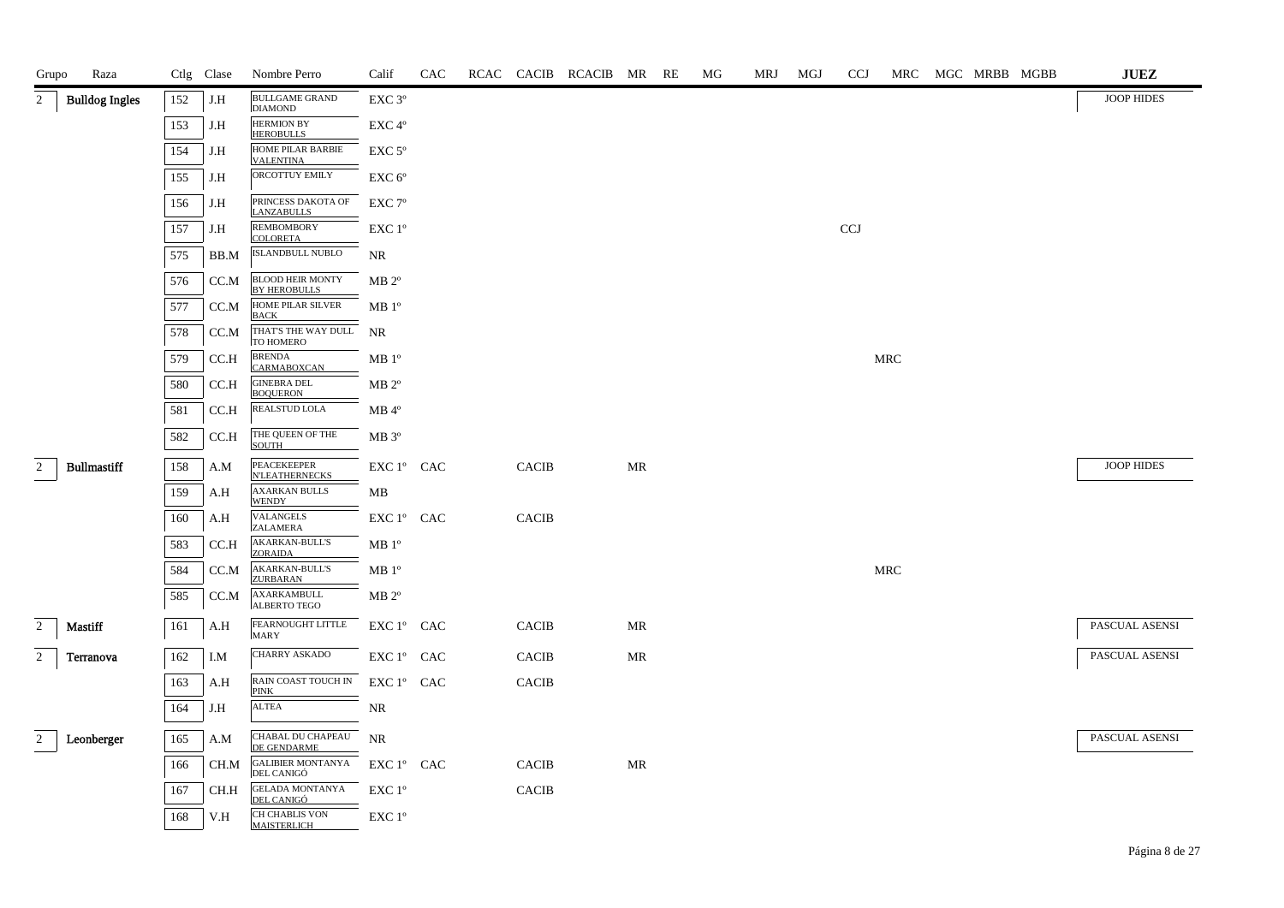| Grupo          | Raza                  |     | Ctlg Clase | Nombre Perro                                          | Calif                                                              | CAC |              | RCAC CACIB RCACIB MR RE |                                   | MG | MRJ | MGJ | <b>CCJ</b>   | MRC        |  | MGC MRBB MGBB | <b>JUEZ</b>       |
|----------------|-----------------------|-----|------------|-------------------------------------------------------|--------------------------------------------------------------------|-----|--------------|-------------------------|-----------------------------------|----|-----|-----|--------------|------------|--|---------------|-------------------|
| 2              | <b>Bulldog Ingles</b> | 152 | J.H        | <b>BULLGAME GRAND</b><br><b>DIAMOND</b>               | EXC <sub>3°</sub>                                                  |     |              |                         |                                   |    |     |     |              |            |  |               | <b>JOOP HIDES</b> |
|                |                       | 153 | J.H        | <b>HERMION BY</b><br><b>HEROBULLS</b>                 | EXC 4°                                                             |     |              |                         |                                   |    |     |     |              |            |  |               |                   |
|                |                       | 154 | J.H        | HOME PILAR BARBIE<br><b>VALENTINA</b>                 | EXC <sub>5°</sub>                                                  |     |              |                         |                                   |    |     |     |              |            |  |               |                   |
|                |                       | 155 | J.H        | ORCOTTUY EMILY                                        | $EXC 6^\circ$                                                      |     |              |                         |                                   |    |     |     |              |            |  |               |                   |
|                |                       | 156 | J.H        | PRINCESS DAKOTA OF<br><b>LANZABULLS</b>               | EXC <sub>7°</sub>                                                  |     |              |                         |                                   |    |     |     |              |            |  |               |                   |
|                |                       | 157 | J.H        | <b>REMBOMBORY</b><br><b>COLORETA</b>                  | EXC 1°                                                             |     |              |                         |                                   |    |     |     | $_{\rm CCJ}$ |            |  |               |                   |
|                |                       | 575 | BB.M       | ISLANDBULL NUBLO                                      | NR                                                                 |     |              |                         |                                   |    |     |     |              |            |  |               |                   |
|                |                       | 576 | CC.M       | <b>BLOOD HEIR MONTY</b><br><b>BY HEROBULLS</b>        | $MB 2^{\circ}$                                                     |     |              |                         |                                   |    |     |     |              |            |  |               |                   |
|                |                       | 577 | CC.M       | HOME PILAR SILVER<br><b>BACK</b>                      | MB <sup>o</sup>                                                    |     |              |                         |                                   |    |     |     |              |            |  |               |                   |
|                |                       | 578 | CC.M       | THAT'S THE WAY DULL<br>TO HOMERO                      | <b>NR</b>                                                          |     |              |                         |                                   |    |     |     |              |            |  |               |                   |
|                |                       | 579 | CC.H       | <b>BRENDA</b><br>CARMABOXCAN                          | MB 1 <sup>o</sup>                                                  |     |              |                         |                                   |    |     |     |              | <b>MRC</b> |  |               |                   |
|                |                       | 580 | CC.H       | <b>GINEBRA DEL</b><br><b>BOOUERON</b>                 | $MB 2^{\circ}$                                                     |     |              |                         |                                   |    |     |     |              |            |  |               |                   |
|                |                       | 581 | CC.H       | REALSTUD LOLA                                         | $MB$ <sup><math>4^{\circ}</math></sup>                             |     |              |                         |                                   |    |     |     |              |            |  |               |                   |
|                |                       | 582 | CC.H       | THE QUEEN OF THE<br><b>SOUTH</b>                      | $MB 3^{\circ}$                                                     |     |              |                         |                                   |    |     |     |              |            |  |               |                   |
| $\overline{2}$ | <b>Bullmastiff</b>    | 158 | A.M        | PEACEKEEPER<br><b>N'LEATHERNECKS</b>                  | EXC 1° CAC                                                         |     | <b>CACIB</b> |                         | MR                                |    |     |     |              |            |  |               | <b>JOOP HIDES</b> |
|                |                       | 159 | A.H        | <b>AXARKAN BULLS</b><br><b>WENDY</b>                  | MB                                                                 |     |              |                         |                                   |    |     |     |              |            |  |               |                   |
|                |                       | 160 | A.H        | VALANGELS<br>ZALAMERA                                 | EXC 1° CAC                                                         |     | CACIB        |                         |                                   |    |     |     |              |            |  |               |                   |
|                |                       | 583 | CC.H       | <b>AKARKAN-BULL'S</b><br>ZORAIDA                      | MB 1 <sup>o</sup>                                                  |     |              |                         |                                   |    |     |     |              |            |  |               |                   |
|                |                       | 584 | CC.M       | <b>AKARKAN-BULL'S</b><br><b>ZURBARAN</b>              | MB <sup>o</sup>                                                    |     |              |                         |                                   |    |     |     |              | MRC        |  |               |                   |
|                |                       | 585 | CC.M       | AXARKAMBULL<br><b>ALBERTO TEGO</b>                    | $MB 2^{\circ}$                                                     |     |              |                         |                                   |    |     |     |              |            |  |               |                   |
| $\overline{2}$ | <b>Mastiff</b>        | 161 | A.H        | FEARNOUGHT LITTLE<br><b>MARY</b>                      | EXC 1° CAC                                                         |     | <b>CACIB</b> |                         | MR                                |    |     |     |              |            |  |               | PASCUAL ASENSI    |
| $\overline{2}$ | Terranova             | 162 | I.M        | CHARRY ASKADO                                         | $\mathop{\rm EXC}\nolimits 1^{\circ }$ $\mathop{\rm CAC}\nolimits$ |     | CACIB        |                         | $\ensuremath{\mathsf{MR}}\xspace$ |    |     |     |              |            |  |               | PASCUAL ASENSI    |
|                |                       | 163 | A.H        | RAIN COAST TOUCH IN<br><b>PINK</b>                    | $\mathop{\rm EXC}\nolimits 1^{\circ }$ $\mathop{\rm CAC}\nolimits$ |     | CACIB        |                         |                                   |    |     |     |              |            |  |               |                   |
|                |                       | 164 | J.H        | <b>ALTEA</b>                                          | NR                                                                 |     |              |                         |                                   |    |     |     |              |            |  |               |                   |
| $\overline{2}$ | Leonberger            | 165 | A.M        | CHABAL DU CHAPEAU                                     | <b>NR</b>                                                          |     |              |                         |                                   |    |     |     |              |            |  |               | PASCUAL ASENSI    |
|                |                       | 166 | CH.M       | DE GENDARME<br><b>GALIBIER MONTANYA</b><br>DEL CANIGÓ | EXC 1° CAC                                                         |     | <b>CACIB</b> |                         | MR                                |    |     |     |              |            |  |               |                   |
|                |                       | 167 | CH.H       | <b>GELADA MONTANYA</b>                                | EXC 1°                                                             |     | <b>CACIB</b> |                         |                                   |    |     |     |              |            |  |               |                   |
|                |                       | 168 | V.H        | DEL CANIGÓ<br>CH CHABLIS VON<br>MAISTERLICH           | EXC 1 <sup>°</sup>                                                 |     |              |                         |                                   |    |     |     |              |            |  |               |                   |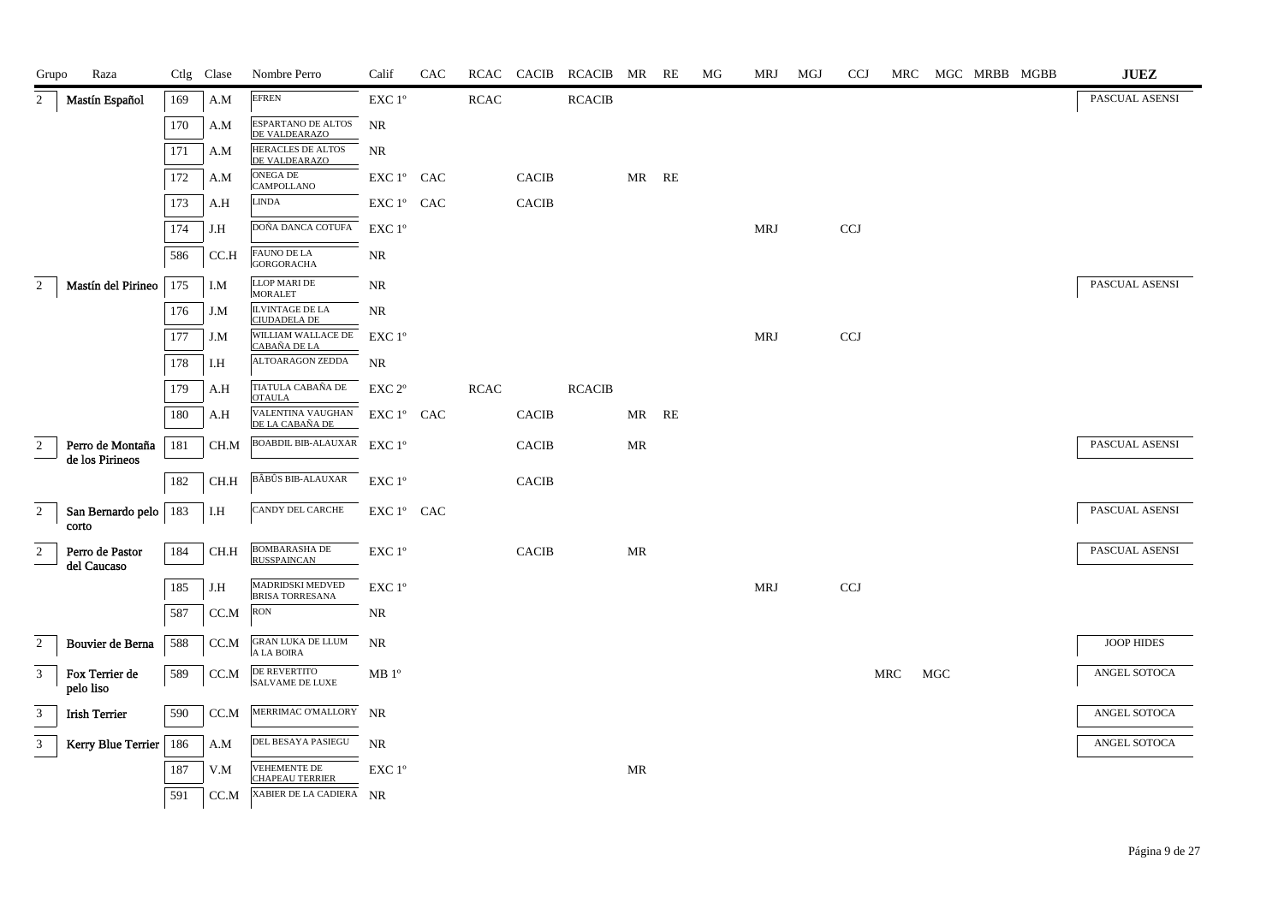| Grupo          | Raza                                |     | Ctlg Clase                   | Nombre Perro                                          | Calif                                          | CAC | RCAC        | <b>CACIB</b> | RCACIB MR     |                                   | RE    | МG | MRJ        | MGJ | <b>CCJ</b> | MRC |     | MGC MRBB MGBB | $\mathbf{J}\mathbf{U}\mathbf{E}\mathbf{Z}$ |
|----------------|-------------------------------------|-----|------------------------------|-------------------------------------------------------|------------------------------------------------|-----|-------------|--------------|---------------|-----------------------------------|-------|----|------------|-----|------------|-----|-----|---------------|--------------------------------------------|
| $\overline{2}$ | Mastín Español                      | 169 | A.M                          | <b>EFREN</b>                                          | EXC 1°                                         |     | <b>RCAC</b> |              | <b>RCACIB</b> |                                   |       |    |            |     |            |     |     |               | PASCUAL ASENSI                             |
|                |                                     | 170 | A.M                          | ESPARTANO DE ALTOS<br>DE VALDEARAZO                   | NR                                             |     |             |              |               |                                   |       |    |            |     |            |     |     |               |                                            |
|                |                                     | 171 | A.M                          | HERACLES DE ALTOS<br>DE VALDEARAZO                    | <b>NR</b>                                      |     |             |              |               |                                   |       |    |            |     |            |     |     |               |                                            |
|                |                                     | 172 | A.M                          | <b>ONEGA DE</b><br><b>CAMPOLLANO</b>                  | $\mathop{\hbox{\rm EXC}}$ $1^{\circ}$ $\;$ CAC |     |             | <b>CACIB</b> |               | MR                                | RE    |    |            |     |            |     |     |               |                                            |
|                |                                     | 173 | A.H                          | <b>LINDA</b>                                          | EXC 1° CAC                                     |     |             | <b>CACIB</b> |               |                                   |       |    |            |     |            |     |     |               |                                            |
|                |                                     | 174 | J.H                          | DOÑA DANCA COTUFA                                     | EXC 1°                                         |     |             |              |               |                                   |       |    | MRJ        |     | CCJ        |     |     |               |                                            |
|                |                                     | 586 | CC.H                         | <b>FAUNO DE LA</b><br><b>GORGORACHA</b>               | NR                                             |     |             |              |               |                                   |       |    |            |     |            |     |     |               |                                            |
| $\overline{2}$ | Mastín del Pirineo                  | 175 | I.M                          | <b>LLOP MARI DE</b><br><b>MORALET</b>                 | NR                                             |     |             |              |               |                                   |       |    |            |     |            |     |     |               | PASCUAL ASENSI                             |
|                |                                     | 176 | J.M                          | <b>ILVINTAGE DE LA</b><br><b>CIUDADELA DE</b>         | <b>NR</b>                                      |     |             |              |               |                                   |       |    |            |     |            |     |     |               |                                            |
|                |                                     | 177 | J.M                          | WILLIAM WALLACE DE<br>CABAÑA DE LA                    | $EXC1^{\circ}$                                 |     |             |              |               |                                   |       |    | <b>MRJ</b> |     | <b>CCJ</b> |     |     |               |                                            |
|                |                                     | 178 | I.H                          | ALTOARAGON ZEDDA                                      | <b>NR</b>                                      |     |             |              |               |                                   |       |    |            |     |            |     |     |               |                                            |
|                |                                     | 179 | A.H                          | TIATULA CABAÑA DE<br><b>OTAULA</b>                    | EXC <sub>2°</sub>                              |     | <b>RCAC</b> |              | <b>RCACIB</b> |                                   |       |    |            |     |            |     |     |               |                                            |
|                |                                     | 180 | A.H                          | VALENTINA VAUGHAN $\rm ~EXC~1^o ~CAC$ DE LA CABAÑA DE |                                                |     |             | CACIB        |               |                                   | MR RE |    |            |     |            |     |     |               |                                            |
| $\overline{c}$ | Perro de Montaña<br>de los Pirineos | 181 | CH.M                         | BOABDIL BIB-ALAUXAR                                   | $EXC1^{\circ}$                                 |     |             | CACIB        |               | $\ensuremath{\mathsf{MR}}\xspace$ |       |    |            |     |            |     |     |               | PASCUAL ASENSI                             |
|                |                                     | 182 | CH.H                         | BÂBÛS BIB-ALAUXAR                                     | $EXC1^{\circ}$                                 |     |             | <b>CACIB</b> |               |                                   |       |    |            |     |            |     |     |               |                                            |
| $\sqrt{2}$     | San Bernardo pelo<br>corto          | 183 | I.H                          | CANDY DEL CARCHE                                      | EXC 1° CAC                                     |     |             |              |               |                                   |       |    |            |     |            |     |     |               | PASCUAL ASENSI                             |
| $\sqrt{2}$     | Perro de Pastor<br>del Caucaso      | 184 | CH.H                         | <b>BOMBARASHA DE</b><br><b>RUSSPAINCAN</b>            | EXC 1°                                         |     |             | <b>CACIB</b> |               | MR                                |       |    |            |     |            |     |     |               | PASCUAL ASENSI                             |
|                |                                     | 185 | J.H                          | MADRIDSKI MEDVED<br><b>BRISA TORRESANA</b>            | EXC 1°                                         |     |             |              |               |                                   |       |    | MRJ        |     | CCJ        |     |     |               |                                            |
|                |                                     | 587 | CC.M                         | <b>RON</b>                                            | NR                                             |     |             |              |               |                                   |       |    |            |     |            |     |     |               |                                            |
| $\overline{c}$ | Bouvier de Berna                    | 588 | $\mathop{\rm CC.M}\nolimits$ | GRAN LUKA DE LLUM<br>A LA BOIRA                       | <b>NR</b>                                      |     |             |              |               |                                   |       |    |            |     |            |     |     |               | JOOP HIDES                                 |
| 3              | Fox Terrier de<br>pelo liso         | 589 | CC.M                         | DE REVERTITO<br><b>SALVAME DE LUXE</b>                | MB <sup>o</sup>                                |     |             |              |               |                                   |       |    |            |     |            | MRC | MGC |               | ANGEL SOTOCA                               |
| 3              | <b>Irish Terrier</b>                | 590 | CC.M                         | MERRIMAC O'MALLORY NR                                 |                                                |     |             |              |               |                                   |       |    |            |     |            |     |     |               | ANGEL SOTOCA                               |
| $\mathfrak{Z}$ | <b>Kerry Blue Terrier</b>           | 186 | A.M                          | DEL BESAYA PASIEGU                                    | NR                                             |     |             |              |               |                                   |       |    |            |     |            |     |     |               | ANGEL SOTOCA                               |
|                |                                     | 187 | V.M                          | VEHEMENTE DE<br><b>CHAPEAU TERRIER</b>                | EXC 1°                                         |     |             |              |               | $\ensuremath{\mathsf{MR}}\xspace$ |       |    |            |     |            |     |     |               |                                            |
|                |                                     | 591 | CC.M                         | XABIER DE LA CADIERA NR                               |                                                |     |             |              |               |                                   |       |    |            |     |            |     |     |               |                                            |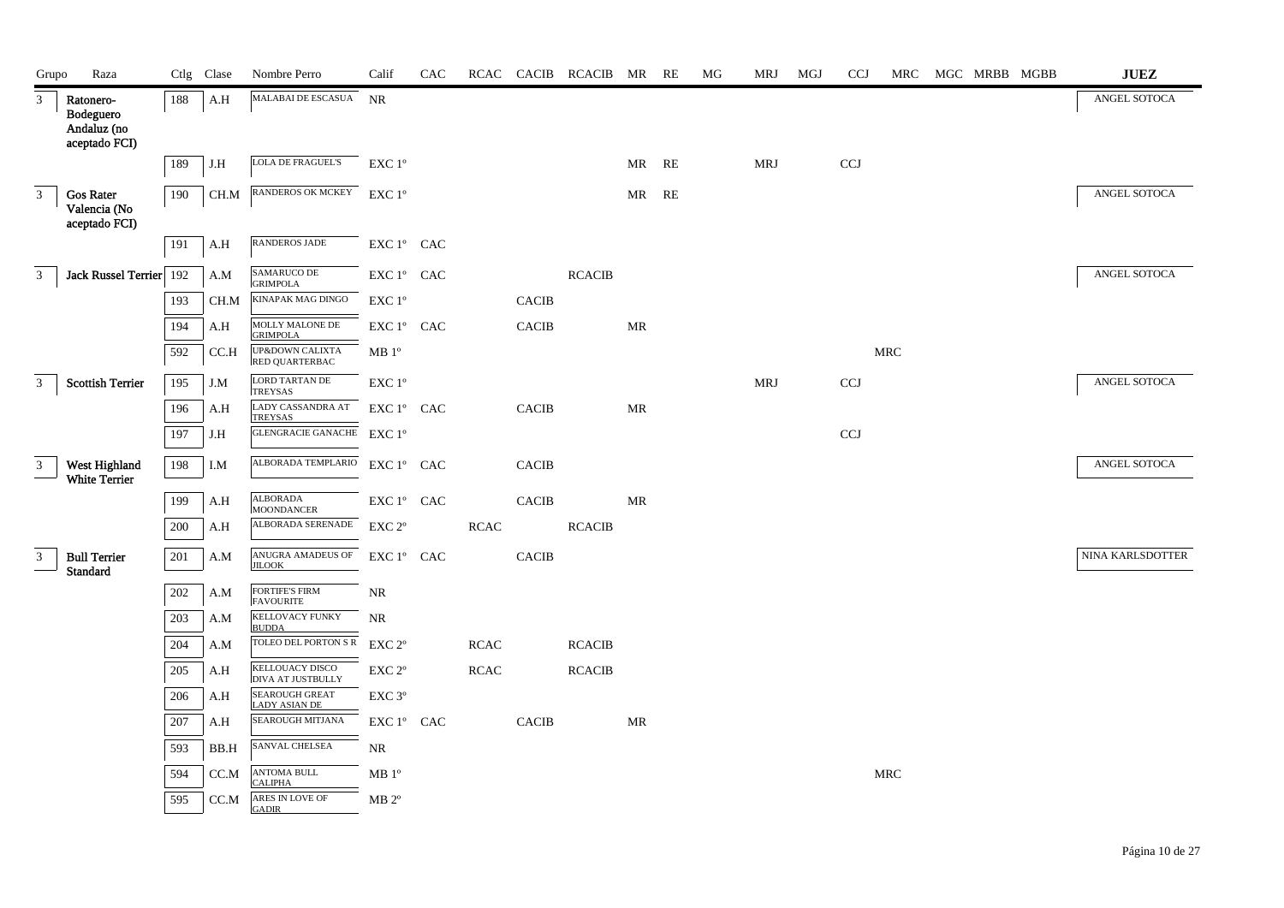| Grupo          | Raza                                                   |     | Ctlg Clase | Nombre Perro                                  | Calif              | CAC |             |              | RCAC CACIB RCACIB MR RE |       |    | MG | MRJ        | MGJ | <b>CCJ</b> | MRC        |  | MGC MRBB MGBB | $\mathbf{J}\mathbf{U}\mathbf{E}\mathbf{Z}$ |
|----------------|--------------------------------------------------------|-----|------------|-----------------------------------------------|--------------------|-----|-------------|--------------|-------------------------|-------|----|----|------------|-----|------------|------------|--|---------------|--------------------------------------------|
| $\mathfrak{Z}$ | Ratonero-<br>Bodeguero<br>Andaluz (no<br>aceptado FCI) | 188 | A.H        | MALABAI DE ESCASUA NR                         |                    |     |             |              |                         |       |    |    |            |     |            |            |  |               | ANGEL SOTOCA                               |
|                |                                                        | 189 | J.H        | <b>LOLA DE FRAGUEL'S</b>                      | EXC 1°             |     |             |              |                         | MR RE |    |    | <b>MRJ</b> |     | <b>CCJ</b> |            |  |               |                                            |
| $\mathfrak{Z}$ | <b>Gos Rater</b><br>Valencia (No<br>aceptado FCI)      | 190 | CH.M       | RANDEROS OK MCKEY EXC 1°                      |                    |     |             |              |                         | MR    | RE |    |            |     |            |            |  |               | ANGEL SOTOCA                               |
|                |                                                        | 191 | A.H        | <b>RANDEROS JADE</b>                          | EXC 1° CAC         |     |             |              |                         |       |    |    |            |     |            |            |  |               |                                            |
| $\mathbf{3}$   | Jack Russel Terrier 192                                |     | A.M        | SAMARUCO DE<br><b>GRIMPOLA</b>                | EXC 1° CAC         |     |             |              | <b>RCACIB</b>           |       |    |    |            |     |            |            |  |               | ANGEL SOTOCA                               |
|                |                                                        | 193 | CH.M       | KINAPAK MAG DINGO                             | EXC 1°             |     |             | <b>CACIB</b> |                         |       |    |    |            |     |            |            |  |               |                                            |
|                |                                                        | 194 | A.H        | MOLLY MALONE DE<br><b>GRIMPOLA</b>            | EXC 1° CAC         |     |             | <b>CACIB</b> |                         | MR    |    |    |            |     |            |            |  |               |                                            |
|                |                                                        | 592 | CC.H       | UP&DOWN CALIXTA<br>RED QUARTERBAC             | MB 1 <sup>o</sup>  |     |             |              |                         |       |    |    |            |     |            | <b>MRC</b> |  |               |                                            |
| 3 <sup>7</sup> | <b>Scottish Terrier</b>                                | 195 | J.M        | LORD TARTAN DE<br><b>TREYSAS</b>              | EXC 1°             |     |             |              |                         |       |    |    | <b>MRJ</b> |     | CCJ        |            |  |               | ANGEL SOTOCA                               |
|                |                                                        | 196 | A.H        | LADY CASSANDRA AT<br><b>TREYSAS</b>           | EXC 1° CAC         |     |             | CACIB        |                         | MR    |    |    |            |     |            |            |  |               |                                            |
|                |                                                        | 197 | J.H        | <b>GLENGRACIE GANACHE</b>                     | $EXC1^{\circ}$     |     |             |              |                         |       |    |    |            |     | <b>CCJ</b> |            |  |               |                                            |
| 3              | West Highland<br><b>White Terrier</b>                  | 198 | I.M        | ALBORADA TEMPLARIO EXC 1º CAC                 |                    |     |             | <b>CACIB</b> |                         |       |    |    |            |     |            |            |  |               | ANGEL SOTOCA                               |
|                |                                                        | 199 | A.H        | <b>ALBORADA</b><br><b>MOONDANCER</b>          | EXC 1° CAC         |     |             | <b>CACIB</b> |                         | MR    |    |    |            |     |            |            |  |               |                                            |
|                |                                                        | 200 | A.H        | ALBORADA SERENADE                             | EXC <sub>2°</sub>  |     | <b>RCAC</b> |              | <b>RCACIB</b>           |       |    |    |            |     |            |            |  |               |                                            |
| $\mathbf{3}$   | <b>Bull Terrier</b><br><b>Standard</b>                 | 201 | A.M        | ANUGRA AMADEUS OF<br><b>JILOOK</b>            | EXC 1° CAC         |     |             | <b>CACIB</b> |                         |       |    |    |            |     |            |            |  |               | NINA KARLSDOTTER                           |
|                |                                                        | 202 | A.M        | <b>FORTIFE'S FIRM</b><br><b>FAVOURITE</b>     | NR                 |     |             |              |                         |       |    |    |            |     |            |            |  |               |                                            |
|                |                                                        | 203 | A.M        | <b>KELLOVACY FUNKY</b><br><b>BUDDA</b>        | NR                 |     |             |              |                         |       |    |    |            |     |            |            |  |               |                                            |
|                |                                                        | 204 | A.M        | TOLEO DEL PORTON SR EXC 2°                    |                    |     | <b>RCAC</b> |              | <b>RCACIB</b>           |       |    |    |            |     |            |            |  |               |                                            |
|                |                                                        | 205 | A.H        | KELLOUACY DISCO<br><b>DIVA AT JUSTBULLY</b>   | EXC <sub>2°</sub>  |     | <b>RCAC</b> |              | <b>RCACIB</b>           |       |    |    |            |     |            |            |  |               |                                            |
|                |                                                        | 206 | A.H        | <b>SEAROUGH GREAT</b><br><b>LADY ASIAN DE</b> | EXC 3 <sup>o</sup> |     |             |              |                         |       |    |    |            |     |            |            |  |               |                                            |
|                |                                                        | 207 | A.H        | SEAROUGH MITJANA                              | $EXC1^{\circ}$ CAC |     |             | <b>CACIB</b> |                         | MR    |    |    |            |     |            |            |  |               |                                            |
|                |                                                        | 593 | BB.H       | SANVAL CHELSEA                                | $\rm NR$           |     |             |              |                         |       |    |    |            |     |            |            |  |               |                                            |
|                |                                                        | 594 | CC.M       | <b>ANTOMA BULL</b><br><b>CALIPHA</b>          | MB 1 <sup>o</sup>  |     |             |              |                         |       |    |    |            |     |            | <b>MRC</b> |  |               |                                            |
|                |                                                        | 595 | CC.M       | ARES IN LOVE OF<br><b>GADIR</b>               | $MB 2^{\circ}$     |     |             |              |                         |       |    |    |            |     |            |            |  |               |                                            |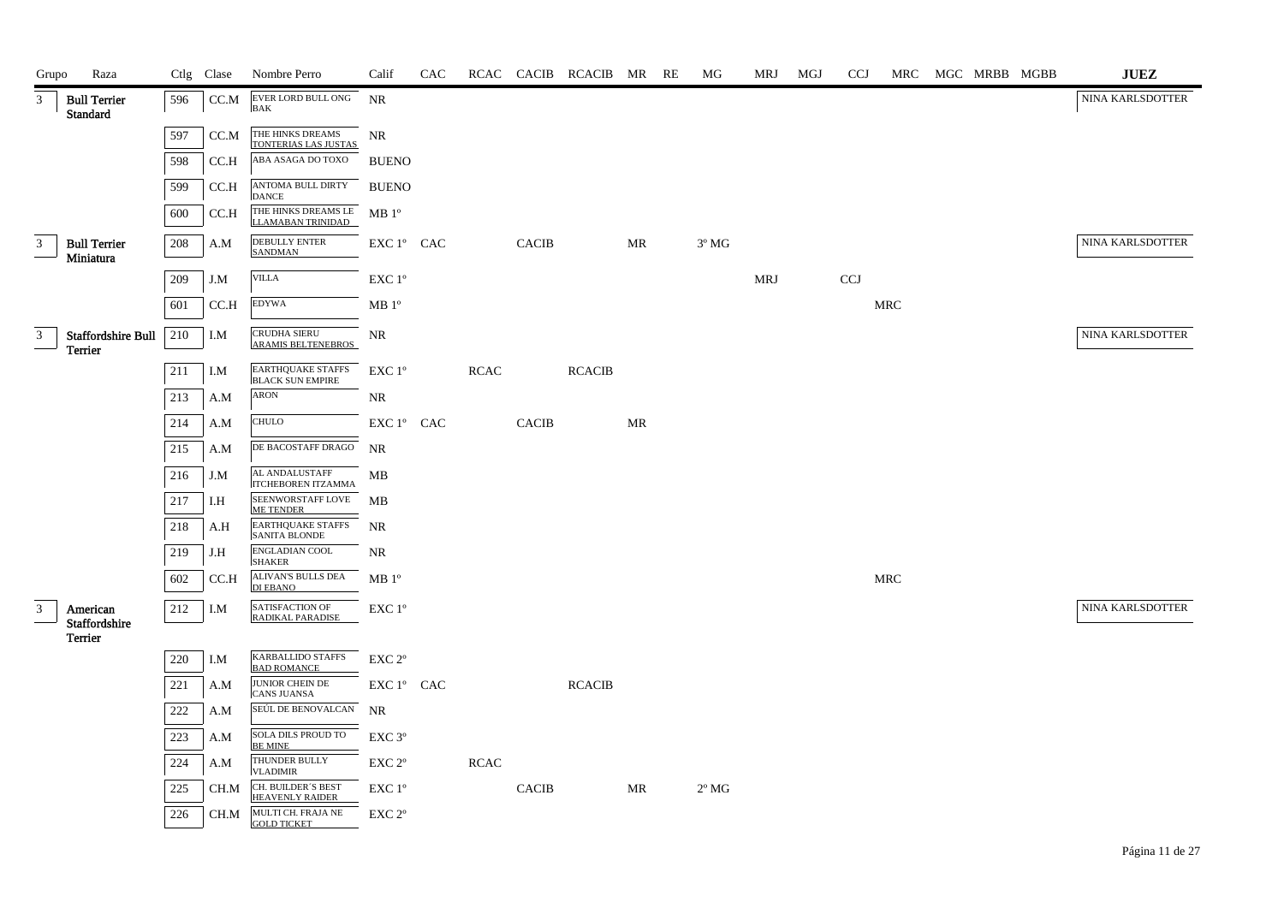| Grupo | Raza                                   |     | Ctlg Clase | Nombre Perro                                        | Calif              | CAC |             |              | RCAC CACIB RCACIB MR RE |    | МG             | MRJ        | MGJ | <b>CCJ</b> |            | MRC MGC MRBB MGBB | <b>JUEZ</b>      |
|-------|----------------------------------------|-----|------------|-----------------------------------------------------|--------------------|-----|-------------|--------------|-------------------------|----|----------------|------------|-----|------------|------------|-------------------|------------------|
| 3     | <b>Bull Terrier</b><br><b>Standard</b> | 596 | CC.M       | EVER LORD BULL ONG<br><b>BAK</b>                    | <b>NR</b>          |     |             |              |                         |    |                |            |     |            |            |                   | NINA KARLSDOTTER |
|       |                                        | 597 | CC.M       | THE HINKS DREAMS<br>TONTERIAS LAS JUSTAS            | <b>NR</b>          |     |             |              |                         |    |                |            |     |            |            |                   |                  |
|       |                                        | 598 | CC.H       | ABA ASAGA DO TOXO                                   | <b>BUENO</b>       |     |             |              |                         |    |                |            |     |            |            |                   |                  |
|       |                                        | 599 | CC.H       | ANTOMA BULL DIRTY<br><b>DANCE</b>                   | <b>BUENO</b>       |     |             |              |                         |    |                |            |     |            |            |                   |                  |
|       |                                        | 600 | CCA        | THE HINKS DREAMS LE MB 1°<br>LLAMABAN TRINIDAD      |                    |     |             |              |                         |    |                |            |     |            |            |                   |                  |
| 3     | <b>Bull Terrier</b><br>Miniatura       | 208 | A.M        | <b>DEBULLY ENTER</b><br><b>SANDMAN</b>              | $EXC1^{\circ}$ CAC |     |             | <b>CACIB</b> |                         | MR | $3^{\circ}$ MG |            |     |            |            |                   | NINA KARLSDOTTER |
|       |                                        | 209 | J.M        | <b>VILLA</b>                                        | EXC 1°             |     |             |              |                         |    |                | <b>MRJ</b> |     | <b>CCJ</b> |            |                   |                  |
|       |                                        | 601 | CC.H       | <b>EDYWA</b>                                        | MB 1 <sup>o</sup>  |     |             |              |                         |    |                |            |     |            | <b>MRC</b> |                   |                  |
| 3     | Staffordshire Bull<br>Terrier          | 210 | I.M        | CRUDHA SIERU<br>ARAMIS BELTENEBROS                  | NR                 |     |             |              |                         |    |                |            |     |            |            |                   | NINA KARLSDOTTER |
|       |                                        | 211 | I.M        | <b>EARTHQUAKE STAFFS</b><br><b>BLACK SUN EMPIRE</b> | $EXC1^{\circ}$     |     | <b>RCAC</b> |              | <b>RCACIB</b>           |    |                |            |     |            |            |                   |                  |
|       |                                        | 213 | A.M        | <b>ARON</b>                                         | NR                 |     |             |              |                         |    |                |            |     |            |            |                   |                  |
|       |                                        | 214 | A.M        | <b>CHULO</b>                                        | EXC 1° CAC         |     |             | <b>CACIB</b> |                         | MR |                |            |     |            |            |                   |                  |
|       |                                        | 215 | A.M        | DE BACOSTAFF DRAGO                                  | NR                 |     |             |              |                         |    |                |            |     |            |            |                   |                  |
|       |                                        | 216 | J.M        | AL ANDALUSTAFF<br>ITCHEBOREN ITZAMMA                | MB                 |     |             |              |                         |    |                |            |     |            |            |                   |                  |
|       |                                        | 217 | I.H        | SEENWORSTAFF LOVE<br><b>ME TENDER</b>               | МB                 |     |             |              |                         |    |                |            |     |            |            |                   |                  |
|       |                                        | 218 | A.H        | <b>EARTHQUAKE STAFFS</b><br><b>SANITA BLONDE</b>    | NR                 |     |             |              |                         |    |                |            |     |            |            |                   |                  |
|       |                                        | 219 | J.H        | ENGLADIAN COOL<br><b>SHAKER</b>                     | NR                 |     |             |              |                         |    |                |            |     |            |            |                   |                  |
|       |                                        | 602 | CCA        | ALIVAN'S BULLS DEA<br>DI EBANO                      | $MB1^{\circ}$      |     |             |              |                         |    |                |            |     |            | <b>MRC</b> |                   |                  |
| 3     | American<br>Staffordshire              | 212 | I.M        | SATISFACTION OF<br>RADIKAL PARADISE                 | $EXC1^{\circ}$     |     |             |              |                         |    |                |            |     |            |            |                   | NINA KARLSDOTTER |
|       | <b>Terrier</b>                         |     |            | <b>KARBALLIDO STAFFS</b>                            |                    |     |             |              |                         |    |                |            |     |            |            |                   |                  |
|       |                                        | 220 | I.M        | <b>BAD ROMANCE</b><br>JUNIOR CHEIN DE               | $EXC 2^{\circ}$    |     |             |              |                         |    |                |            |     |            |            |                   |                  |
|       |                                        | 221 | A.M        | <b>CANS JUANSA</b>                                  | EXC 1° CAC         |     |             |              | <b>RCACIB</b>           |    |                |            |     |            |            |                   |                  |
|       |                                        | 222 | A.M        | SEÚL DE BENOVALCAN                                  | NR                 |     |             |              |                         |    |                |            |     |            |            |                   |                  |
|       |                                        | 223 | A.M        | SOLA DILS PROUD TO<br><b>BE MINE</b>                | EXC 3 <sup>o</sup> |     |             |              |                         |    |                |            |     |            |            |                   |                  |
|       |                                        | 224 | A.M        | THUNDER BULLY<br><b>VLADIMIR</b>                    | EXC 2 <sup>o</sup> |     | <b>RCAC</b> |              |                         |    |                |            |     |            |            |                   |                  |
|       |                                        | 225 | CH.M       | CH. BUILDER'S BEST<br><b>HEAVENLY RAIDER</b>        | EXC 1°             |     |             | <b>CACIB</b> |                         | MR | $2^{\circ}$ MG |            |     |            |            |                   |                  |
|       |                                        | 226 | CH.M       | MULTI CH. FRAJA NE<br><b>GOLD TICKET</b>            | EXC 2 <sup>o</sup> |     |             |              |                         |    |                |            |     |            |            |                   |                  |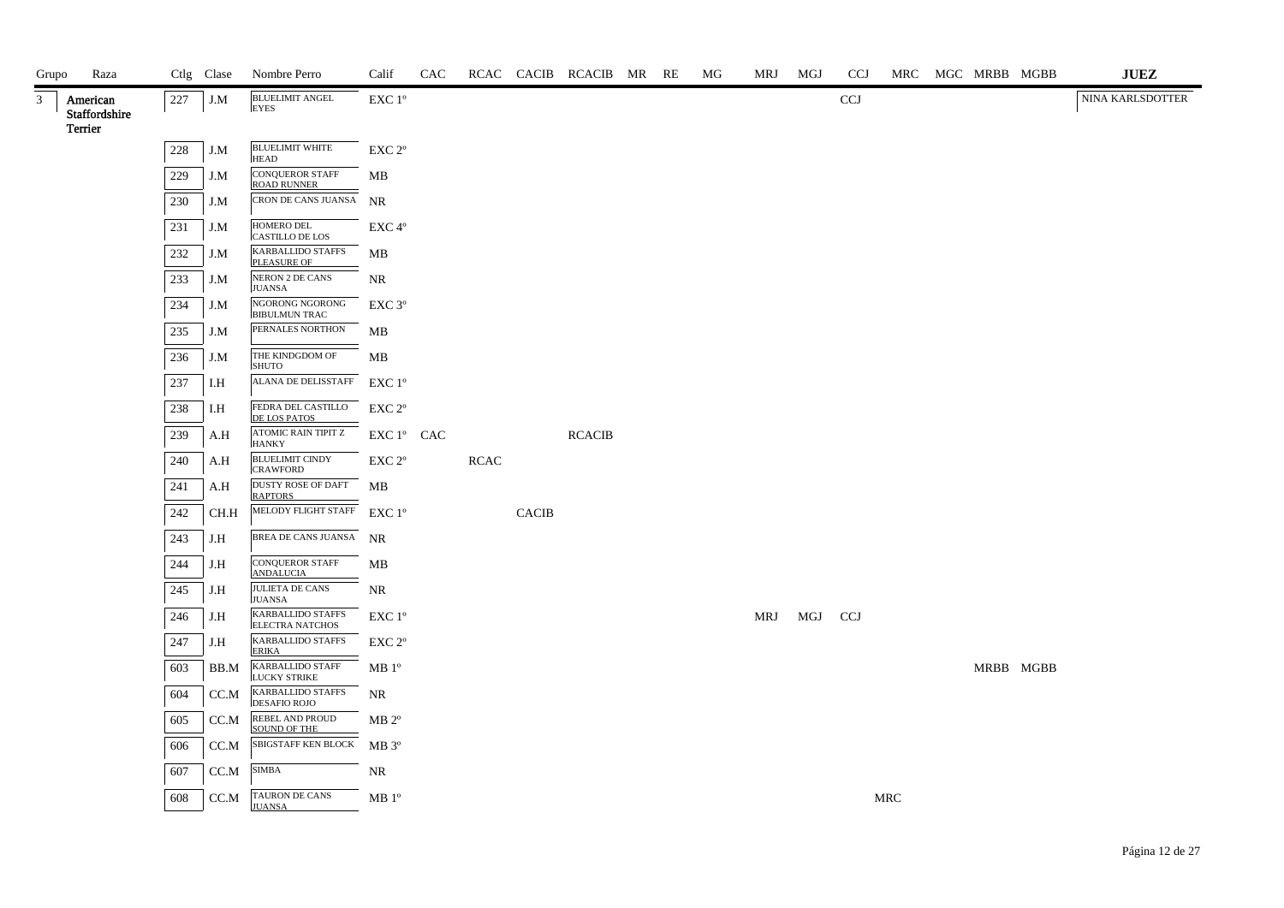| Grupo        | Raza                                 |         | Ctlg Clase | Nombre Perro                                    | Calif                                        | CAC |             |              | RCAC CACIB RCACIB MR RE |  | МG | MRJ MGJ |     | <b>CCJ</b> |     | MRC MGC MRBB MGBB |           | JUEZ             |
|--------------|--------------------------------------|---------|------------|-------------------------------------------------|----------------------------------------------|-----|-------------|--------------|-------------------------|--|----|---------|-----|------------|-----|-------------------|-----------|------------------|
| $\mathbf{3}$ | American<br>Staffordshire<br>Terrier | 227     | $J.M$      | <b>BLUELIMIT ANGEL</b><br><b>EYES</b>           | EXC 1°                                       |     |             |              |                         |  |    |         |     | CCJ        |     |                   |           | NINA KARLSDOTTER |
|              |                                      | $228\,$ | J.M        | <b>BLUELIMIT WHITE</b><br><b>HEAD</b>           | EXC 2°                                       |     |             |              |                         |  |    |         |     |            |     |                   |           |                  |
|              |                                      | 229     | J.M        | <b>CONQUEROR STAFF</b><br><b>ROAD RUNNER</b>    | MB                                           |     |             |              |                         |  |    |         |     |            |     |                   |           |                  |
|              |                                      | 230     | J.M        | CRON DE CANS JUANSA NR                          |                                              |     |             |              |                         |  |    |         |     |            |     |                   |           |                  |
|              |                                      | 231     | J.M        | HOMERO DEL<br><b>CASTILLO DE LOS</b>            | EXC 4°                                       |     |             |              |                         |  |    |         |     |            |     |                   |           |                  |
|              |                                      | 232     | J.M        | KARBALLIDO STAFFS<br>PLEASURE OF                | MB                                           |     |             |              |                         |  |    |         |     |            |     |                   |           |                  |
|              |                                      | 233     | J.M        | NERON 2 DE CANS<br><b>JUANSA</b>                | <b>NR</b>                                    |     |             |              |                         |  |    |         |     |            |     |                   |           |                  |
|              |                                      | 234     | J.M        | NGORONG NGORONG<br><b>BIBULMUN TRAC</b>         | EXC 3 <sup>o</sup>                           |     |             |              |                         |  |    |         |     |            |     |                   |           |                  |
|              |                                      | 235     | J.M        | PERNALES NORTHON                                | MB                                           |     |             |              |                         |  |    |         |     |            |     |                   |           |                  |
|              |                                      | 236     | J.M        | THE KINDGDOM OF<br><b>SHUTO</b>                 | MВ                                           |     |             |              |                         |  |    |         |     |            |     |                   |           |                  |
|              |                                      | 237     | I.H        | ALANA DE DELISSTAFF EXC 1°                      |                                              |     |             |              |                         |  |    |         |     |            |     |                   |           |                  |
|              |                                      | 238     | I.H        | FEDRA DEL CASTILLO<br>DE LOS PATOS              | EXC 2°                                       |     |             |              |                         |  |    |         |     |            |     |                   |           |                  |
|              |                                      | 239     | A.H        | ATOMIC RAIN TIPIT Z<br><b>HANKY</b>             | EXC 1° CAC                                   |     |             |              | <b>RCACIB</b>           |  |    |         |     |            |     |                   |           |                  |
|              |                                      | 240     | A.H        | <b>BLUELIMIT CINDY</b><br><b>CRAWFORD</b>       | $\ensuremath{\mathrm{EXC}}$ $2^{\mathrm{o}}$ |     | <b>RCAC</b> |              |                         |  |    |         |     |            |     |                   |           |                  |
|              |                                      | 241     | A.H        | DUSTY ROSE OF DAFT<br><b>RAPTORS</b>            | МB                                           |     |             |              |                         |  |    |         |     |            |     |                   |           |                  |
|              |                                      | 242     | CH.H       | MELODY FLIGHT STAFF EXC 1°                      |                                              |     |             | <b>CACIB</b> |                         |  |    |         |     |            |     |                   |           |                  |
|              |                                      | 243     | J.H        | BREA DE CANS JUANSA NR                          |                                              |     |             |              |                         |  |    |         |     |            |     |                   |           |                  |
|              |                                      | 244     | J.H        | <b>CONQUEROR STAFF</b><br><b>ANDALUCIA</b>      | MB                                           |     |             |              |                         |  |    |         |     |            |     |                   |           |                  |
|              |                                      | 245     | J.H        | <b>JULIETA DE CANS</b><br><b>JUANSA</b>         | <b>NR</b>                                    |     |             |              |                         |  |    |         |     |            |     |                   |           |                  |
|              |                                      | 246     | J.H        | KARBALLIDO STAFFS<br><b>ELECTRA NATCHOS</b>     | $EXC1^{\circ}$                               |     |             |              |                         |  |    | MRJ     | MGJ | <b>CCJ</b> |     |                   |           |                  |
|              |                                      | 247     | J.H        | <b>KARBALLIDO STAFFS</b><br><b>ERIKA</b>        | $EXC 2^{\circ}$                              |     |             |              |                         |  |    |         |     |            |     |                   |           |                  |
|              |                                      | 603     | BB.M       | <b>KARBALLIDO STAFF</b><br><b>LUCKY STRIKE</b>  | $MB1^{\circ}$                                |     |             |              |                         |  |    |         |     |            |     |                   | MRBB MGBB |                  |
|              |                                      | 604     | CC.M       | <b>KARBALLIDO STAFFS</b><br><b>DESAFIO ROJO</b> | NR                                           |     |             |              |                         |  |    |         |     |            |     |                   |           |                  |
|              |                                      | 605     | CC.M       | REBEL AND PROUD<br>SOUND OF THE                 | $MB 2^{\circ}$                               |     |             |              |                         |  |    |         |     |            |     |                   |           |                  |
|              |                                      | 606     | CC.M       | SBIGSTAFF KEN BLOCK MB 3°                       |                                              |     |             |              |                         |  |    |         |     |            |     |                   |           |                  |
|              |                                      | 607     | CC.M       | <b>SIMBA</b>                                    | NR                                           |     |             |              |                         |  |    |         |     |            |     |                   |           |                  |
|              |                                      | 608     | CC.M       | TAURON DE CANS<br><b>JUANSA</b>                 | MB 1 <sup>o</sup>                            |     |             |              |                         |  |    |         |     |            | MRC |                   |           |                  |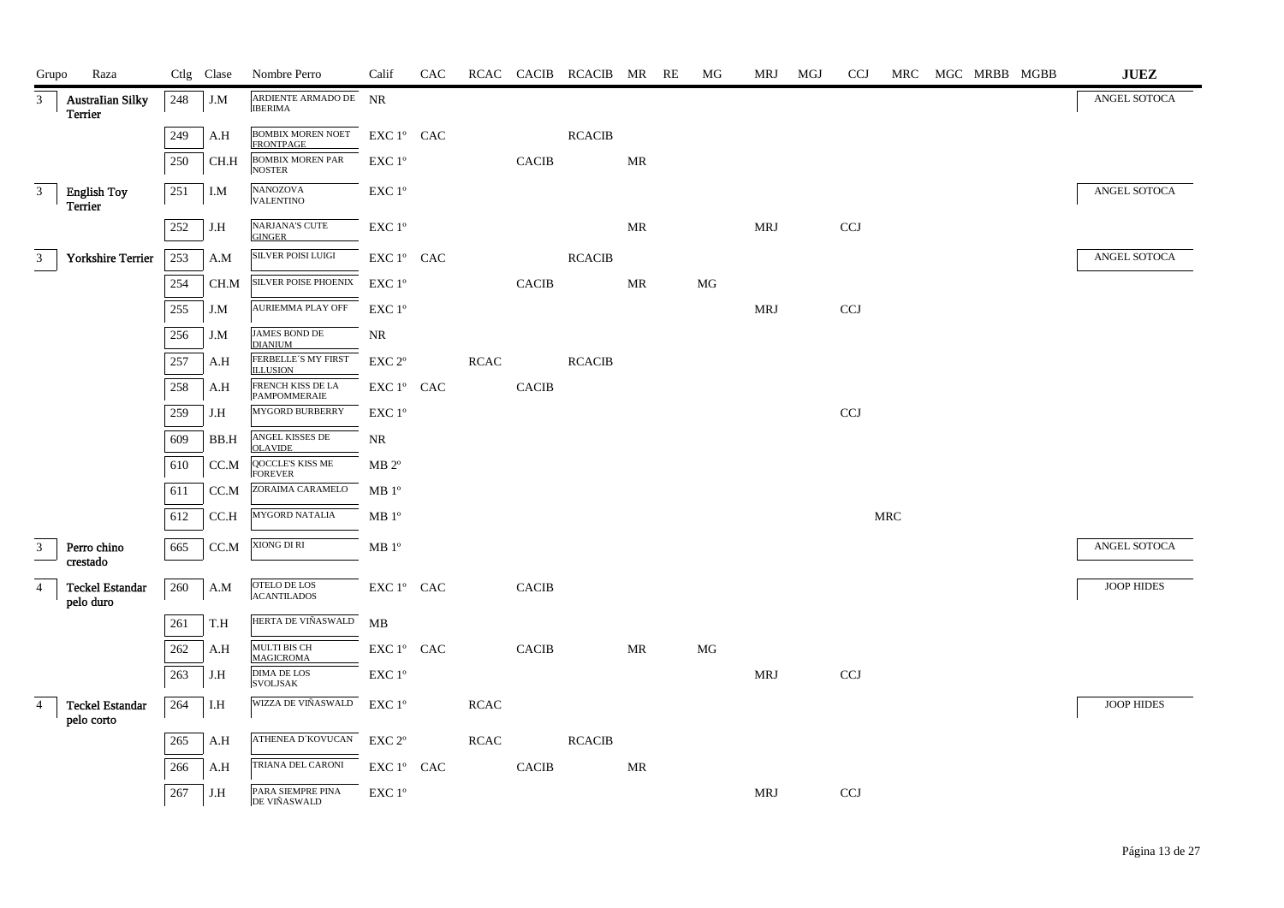| Grupo          | Raza                                |     | Ctlg Clase | Nombre Perro                                       | Calif                                           | CAC |             |                | RCAC CACIB RCACIB MR RE |                                   | MG | MRJ        | MGJ | <b>CCJ</b>                |                      | MRC MGC MRBB MGBB |  | $\mathbf{J}\mathbf{U}\mathbf{E}\mathbf{Z}$ |
|----------------|-------------------------------------|-----|------------|----------------------------------------------------|-------------------------------------------------|-----|-------------|----------------|-------------------------|-----------------------------------|----|------------|-----|---------------------------|----------------------|-------------------|--|--------------------------------------------|
| 3              | <b>Australian Silky</b><br>Terrier  | 248 | J.M        | ARDIENTE ARMADO DE NR<br><b>IBERIMA</b>            |                                                 |     |             |                |                         |                                   |    |            |     |                           |                      |                   |  | ANGEL SOTOCA                               |
|                |                                     | 249 | A.H        | BOMBIX MOREN NOET<br><b>FRONTPAGE</b>              | EXC 1° CAC                                      |     |             |                | $\sf RCACIB$            |                                   |    |            |     |                           |                      |                   |  |                                            |
|                |                                     | 250 | CH.H       | <b>BOMBIX MOREN PAR</b><br><b>NOSTER</b>           | EXC 1°                                          |     |             | <b>CACIB</b>   |                         | MR                                |    |            |     |                           |                      |                   |  |                                            |
| 3              | <b>English Toy</b>                  | 251 | I.M        | NANOZOVA<br><b>VALENTINO</b>                       | $\ensuremath{\mathrm{EXC}}$<br>$1^{\mathrm{o}}$ |     |             |                |                         |                                   |    |            |     |                           |                      |                   |  | ANGEL SOTOCA                               |
|                | Terrier                             | 252 | J.H        | NARJANA'S CUTE<br><b>GINGER</b>                    | $\ensuremath{\mathrm{EXC}}$<br>$1^{\mathrm{o}}$ |     |             |                |                         | MR                                |    | <b>MRJ</b> |     | CCJ                       |                      |                   |  |                                            |
| 3 <sup>7</sup> | <b>Yorkshire Terrier</b>            | 253 | A.M        | SILVER POISI LUIGI                                 | EXC 1° CAC                                      |     |             |                | <b>RCACIB</b>           |                                   |    |            |     |                           |                      |                   |  | ANGEL SOTOCA                               |
|                |                                     | 254 | CH.M       | SILVER POISE PHOENIX                               | EXC 1°                                          |     |             | $\mbox{CACIB}$ |                         | $\ensuremath{\mathbf{MR}}\xspace$ | MG |            |     |                           |                      |                   |  |                                            |
|                |                                     | 255 | J.M        | AURIEMMA PLAY OFF                                  | $EXC1^{\circ}$                                  |     |             |                |                         |                                   |    | <b>MRJ</b> |     | CCJ                       |                      |                   |  |                                            |
|                |                                     | 256 | J.M        | JAMES BOND DE<br><b>DIANIUM</b>                    | NR                                              |     |             |                |                         |                                   |    |            |     |                           |                      |                   |  |                                            |
|                |                                     | 257 | A.H        | FERBELLE'S MY FIRST<br><b>ILLUSION</b>             | EXC 2°                                          |     | <b>RCAC</b> |                | <b>RCACIB</b>           |                                   |    |            |     |                           |                      |                   |  |                                            |
|                |                                     | 258 | A.H        | FRENCH KISS DE LA<br>PAMPOMMERAIE                  | ${\rm EXC}\ 1^{\rm o}$ $\hbox{ CAC}$            |     |             | <b>CACIB</b>   |                         |                                   |    |            |     |                           |                      |                   |  |                                            |
|                |                                     | 259 | J.H        | MYGORD BURBERRY                                    | EXC 1°                                          |     |             |                |                         |                                   |    |            |     | CCJ                       |                      |                   |  |                                            |
|                |                                     | 609 | BB.H       | $\operatorname{ANGEL}$ KISSES DE<br><b>OLAVIDE</b> | NR                                              |     |             |                |                         |                                   |    |            |     |                           |                      |                   |  |                                            |
|                |                                     | 610 | CC.M       | QOCCLE'S KISS ME<br><b>FOREVER</b>                 | $MB 2^{\circ}$                                  |     |             |                |                         |                                   |    |            |     |                           |                      |                   |  |                                            |
|                |                                     | 611 | CC.M       | ZORAIMA CARAMELO                                   | $\rm MB$ $1^{\rm o}$                            |     |             |                |                         |                                   |    |            |     |                           |                      |                   |  |                                            |
|                |                                     | 612 | CC.H       | <b>MYGORD NATALIA</b>                              | MB 1 <sup>o</sup>                               |     |             |                |                         |                                   |    |            |     |                           | $\operatorname{MRC}$ |                   |  |                                            |
| 3              | Perro chino<br>crestado             | 665 | CC.M       | XIONG DI RI                                        | $\rm MB$ $1^{\rm o}$                            |     |             |                |                         |                                   |    |            |     |                           |                      |                   |  | ANGEL SOTOCA                               |
| $\overline{4}$ | <b>Teckel Estandar</b><br>pelo duro | 260 | A.M        | OTELO DE LOS<br><b>ACANTILADOS</b>                 | EXC 1° CAC                                      |     |             | <b>CACIB</b>   |                         |                                   |    |            |     |                           |                      |                   |  | JOOP HIDES                                 |
|                |                                     | 261 | T.H        | HERTA DE VIÑASWALD                                 | MB                                              |     |             |                |                         |                                   |    |            |     |                           |                      |                   |  |                                            |
|                |                                     | 262 | A.H        | MULTI BIS CH<br><b>MAGICROMA</b>                   | EXC 1° CAC                                      |     |             | <b>CACIB</b>   |                         | <b>MR</b>                         | MG |            |     |                           |                      |                   |  |                                            |
|                |                                     | 263 | J.H        | DIMA DE LOS<br><b>SVOLJSAK</b>                     | EXC 1°                                          |     |             |                |                         |                                   |    | MRJ        |     | $\ensuremath{\text{CCJ}}$ |                      |                   |  |                                            |
| $\overline{4}$ | Teckel Estandar<br>pelo corto       | 264 | I.H        | WIZZA DE VIÑASWALD                                 | $\ensuremath{\mathrm{EXC}}$ $1^{\mathrm{o}}$    |     | $\sf RCAC$  |                |                         |                                   |    |            |     |                           |                      |                   |  | JOOP HIDES                                 |
|                |                                     | 265 | A.H        | ATHENEA D´KOVUCAN                                  | $EXC 2^{\circ}$                                 |     | $\sf RCAC$  |                | $\sf RCACIB$            |                                   |    |            |     |                           |                      |                   |  |                                            |
|                |                                     | 266 | A.H        | TRIANA DEL CARONI                                  | $EXC1^{\circ}$ CAC                              |     |             | <b>CACIB</b>   |                         | MR                                |    |            |     |                           |                      |                   |  |                                            |
|                |                                     | 267 | J.H        | PARA SIEMPRE PINA<br>DE VIÑASWALD                  | EXC 1°                                          |     |             |                |                         |                                   |    | MRJ        |     | <b>CCJ</b>                |                      |                   |  |                                            |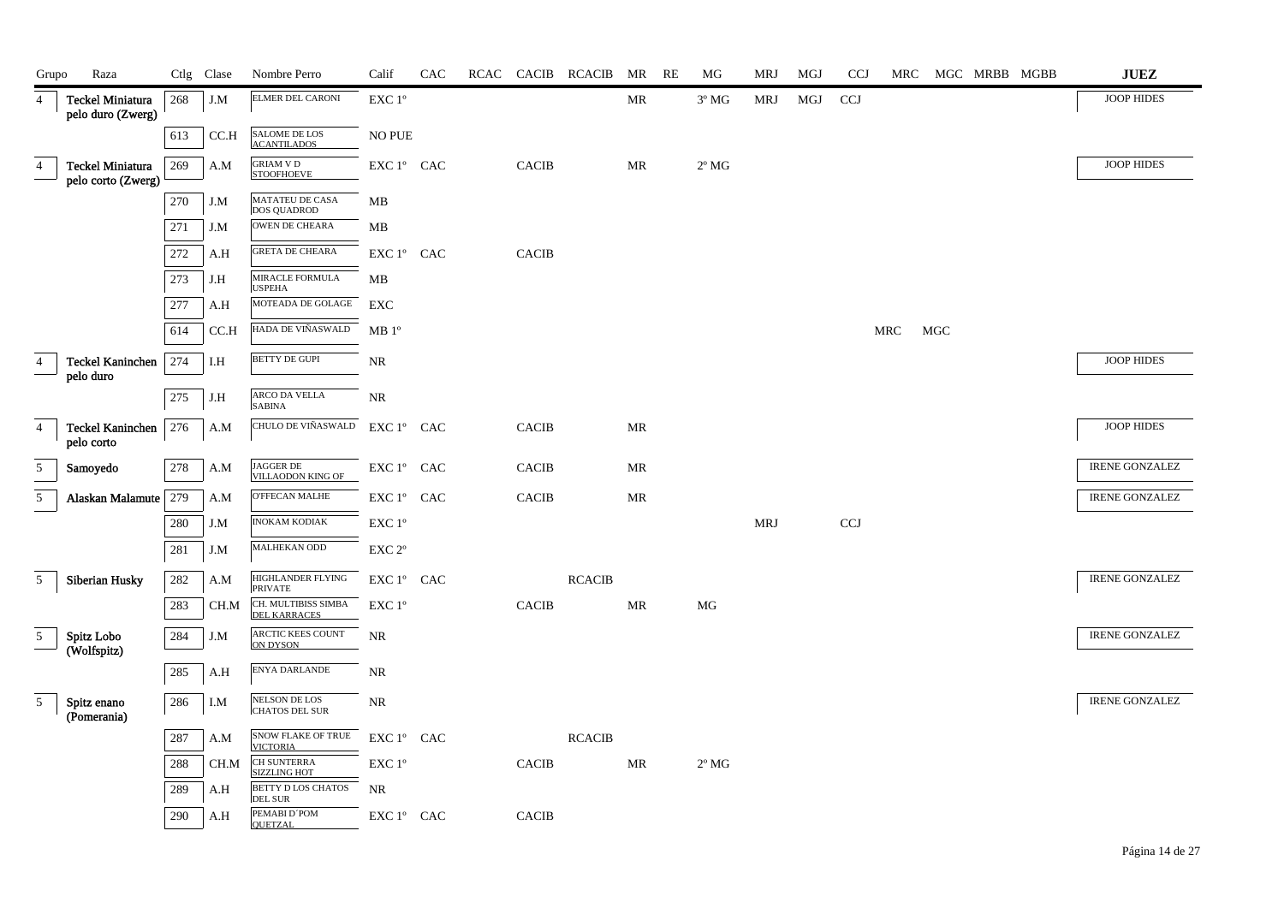| Grupo          | Raza                                   |         | Ctlg Clase | Nombre Perro                                              | Calif                                | CAC |              | RCAC CACIB RCACIB | MR                                | RE | MG             | <b>MRJ</b> | MGJ | <b>CCJ</b> | MRC |     | MGC MRBB MGBB | <b>JUEZ</b>           |
|----------------|----------------------------------------|---------|------------|-----------------------------------------------------------|--------------------------------------|-----|--------------|-------------------|-----------------------------------|----|----------------|------------|-----|------------|-----|-----|---------------|-----------------------|
| $\overline{4}$ | Teckel Miniatura<br>pelo duro (Zwerg)  | 268     | J.M        | ELMER DEL CARONI                                          | EXC 1°                               |     |              |                   | MR                                |    | $3^{\circ}$ MG | MRJ        | MGJ | <b>CCJ</b> |     |     |               | <b>JOOP HIDES</b>     |
|                |                                        | 613     | CC.H       | SALOME DE LOS<br><b>ACANTILADOS</b>                       | <b>NO PUE</b>                        |     |              |                   |                                   |    |                |            |     |            |     |     |               |                       |
| 4              | Teckel Miniatura<br>pelo corto (Zwerg) | 269     | A.M        | <b>GRIAM V D</b><br><b>STOOFHOEVE</b>                     | EXC 1° CAC                           |     | <b>CACIB</b> |                   | MR                                |    | $2^{\circ}$ MG |            |     |            |     |     |               | JOOP HIDES            |
|                |                                        | 270     | J.M        | $\overline{\text{MATATEU DE}}$ CASA<br><b>DOS QUADROD</b> | MB                                   |     |              |                   |                                   |    |                |            |     |            |     |     |               |                       |
|                |                                        | 271     | J.M        | OWEN DE CHEARA                                            | MB                                   |     |              |                   |                                   |    |                |            |     |            |     |     |               |                       |
|                |                                        | $272\,$ | A.H        | <b>GRETA DE CHEARA</b>                                    | EXC 1° CAC                           |     | CACIB        |                   |                                   |    |                |            |     |            |     |     |               |                       |
|                |                                        | 273     | J.H        | MIRACLE FORMULA<br><b>USPEHA</b>                          | MB                                   |     |              |                   |                                   |    |                |            |     |            |     |     |               |                       |
|                |                                        | 277     | A.H        | MOTEADA DE GOLAGE                                         | EXC                                  |     |              |                   |                                   |    |                |            |     |            |     |     |               |                       |
|                |                                        | 614     | CC.H       | HADA DE VIÑASWALD                                         | MB 1 <sup>o</sup>                    |     |              |                   |                                   |    |                |            |     |            | MRC | MGC |               |                       |
| $\overline{4}$ | <b>Teckel Kaninchen</b><br>pelo duro   | 274     | I.H        | <b>BETTY DE GUPI</b>                                      | NR                                   |     |              |                   |                                   |    |                |            |     |            |     |     |               | JOOP HIDES            |
|                |                                        | 275     | J.H        | ARCO DA VELLA<br><b>SABINA</b>                            | <b>NR</b>                            |     |              |                   |                                   |    |                |            |     |            |     |     |               |                       |
| $\overline{4}$ | <b>Teckel Kaninchen</b><br>pelo corto  | 276     | A.M        | CHULO DE VIÑASWALD                                        | EXC 1° CAC                           |     | <b>CACIB</b> |                   | MR                                |    |                |            |     |            |     |     |               | JOOP HIDES            |
| $\sqrt{5}$     | Samoyedo                               | 278     | A.M        | JAGGER DE<br>VILLAODON KING OF                            | ${\rm EXC}\ 1^{\rm o}$ $\hbox{ CAC}$ |     | CACIB        |                   | $\ensuremath{\mathsf{MR}}\xspace$ |    |                |            |     |            |     |     |               | <b>IRENE GONZALEZ</b> |
| 5 <sup>5</sup> | Alaskan Malamute   279                 |         | A.M        | O'FFECAN MALHE                                            | EXC 1° CAC                           |     | $\sf CACIB$  |                   | $\ensuremath{\mathbf{MR}}\xspace$ |    |                |            |     |            |     |     |               | <b>IRENE GONZALEZ</b> |
|                |                                        | 280     | J.M        | <b>INOKAM KODIAK</b>                                      | EXC 1°                               |     |              |                   |                                   |    |                | <b>MRJ</b> |     | CCJ        |     |     |               |                       |
|                |                                        | 281     | J.M        | MALHEKAN ODD                                              | EXC 2°                               |     |              |                   |                                   |    |                |            |     |            |     |     |               |                       |
| 5 <sup>5</sup> | Siberian Husky                         | 282     | A.M        | HIGHLANDER FLYING<br><b>PRIVATE</b>                       | EXC 1° CAC                           |     |              | <b>RCACIB</b>     |                                   |    |                |            |     |            |     |     |               | <b>IRENE GONZALEZ</b> |
|                |                                        | 283     | CH.M       | CH. MULTIBISS SIMBA<br><b>DEL KARRACES</b>                | EXC 1°                               |     | <b>CACIB</b> |                   | MR                                |    | MG             |            |     |            |     |     |               |                       |
| 5 <sub>5</sub> | Spitz Lobo<br>(Wolfspitz)              | 284     | J.M        | ARCTIC KEES COUNT<br><b>ON DYSON</b>                      | <b>NR</b>                            |     |              |                   |                                   |    |                |            |     |            |     |     |               | <b>IRENE GONZALEZ</b> |
|                |                                        | $285\,$ | A.H        | ENYA DARLANDE                                             | NR                                   |     |              |                   |                                   |    |                |            |     |            |     |     |               |                       |
| 5              | Spitz enano<br>(Pomerania)             | 286     | I.M        | NELSON DE LOS<br><b>CHATOS DEL SUR</b>                    | <b>NR</b>                            |     |              |                   |                                   |    |                |            |     |            |     |     |               | <b>IRENE GONZALEZ</b> |
|                |                                        | 287     | A.M        | <b>SNOW FLAKE OF TRUE</b><br><b>VICTORIA</b>              | EXC 1º CAC                           |     |              | <b>RCACIB</b>     |                                   |    |                |            |     |            |     |     |               |                       |
|                |                                        | 288     | CH.M       | <b>CH SUNTERRA</b><br><b>SIZZLING HOT</b>                 | EXC 1°                               |     | CACIB        |                   | MR                                |    | $2^{\circ}$ MG |            |     |            |     |     |               |                       |
|                |                                        | 289     | A.H        | <b>BETTY D LOS CHATOS</b><br><b>DEL SUR</b>               | <b>NR</b>                            |     |              |                   |                                   |    |                |            |     |            |     |     |               |                       |
|                |                                        | 290     | A.H        | PEMABI D'POM<br><b>QUETZAL</b>                            | EXC 1º CAC                           |     | <b>CACIB</b> |                   |                                   |    |                |            |     |            |     |     |               |                       |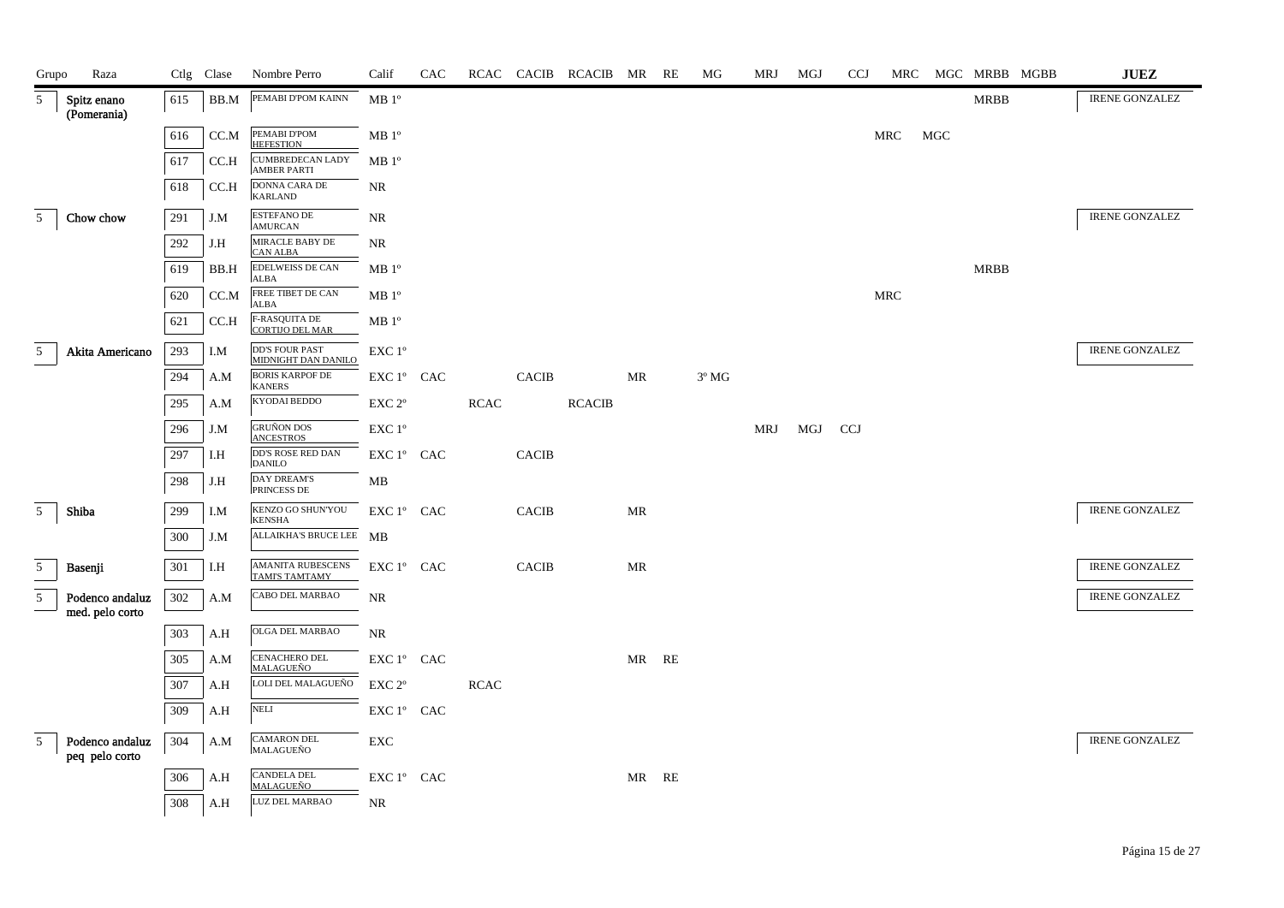| Grupo          | Raza                               |     | Ctlg Clase | Nombre Perro                                 | Calif                                          | CAC |             |              | RCAC CACIB RCACIB MR RE |       | MG             | MRJ | MGJ | <b>CCJ</b> | MRC        |     | MGC MRBB MGBB | ${\bf JUEZ}$          |
|----------------|------------------------------------|-----|------------|----------------------------------------------|------------------------------------------------|-----|-------------|--------------|-------------------------|-------|----------------|-----|-----|------------|------------|-----|---------------|-----------------------|
| 5              | Spitz enano<br>(Pomerania)         | 615 | BB.M       | PEMABI D'POM KAINN                           | MB 1 <sup>o</sup>                              |     |             |              |                         |       |                |     |     |            |            |     | <b>MRBB</b>   | <b>IRENE GONZALEZ</b> |
|                |                                    | 616 | CC.M       | PEMABI D'POM<br><b>HEFESTION</b>             | MB 1 <sup>o</sup>                              |     |             |              |                         |       |                |     |     |            | <b>MRC</b> | MGC |               |                       |
|                |                                    | 617 | CC.H       | CUMBREDECAN LADY<br><b>AMBER PARTI</b>       | MB 1 <sup>o</sup>                              |     |             |              |                         |       |                |     |     |            |            |     |               |                       |
|                |                                    | 618 | CC.H       | DONNA CARA DE<br><b>KARLAND</b>              | NR                                             |     |             |              |                         |       |                |     |     |            |            |     |               |                       |
| 5 <sup>5</sup> | Chow chow                          | 291 | J.M        | <b>ESTEFANO DE</b><br><b>AMURCAN</b>         | NR                                             |     |             |              |                         |       |                |     |     |            |            |     |               | <b>IRENE GONZALEZ</b> |
|                |                                    | 292 | J.H        | MIRACLE BABY DE<br><b>CAN ALBA</b>           | NR                                             |     |             |              |                         |       |                |     |     |            |            |     |               |                       |
|                |                                    | 619 | BB.H       | <b>EDELWEISS DE CAN</b><br><b>ALBA</b>       | MB <sup>o</sup>                                |     |             |              |                         |       |                |     |     |            |            |     | <b>MRBB</b>   |                       |
|                |                                    | 620 | CC.M       | FREE TIBET DE CAN<br><b>ALBA</b>             | MB 1 <sup>o</sup>                              |     |             |              |                         |       |                |     |     |            | <b>MRC</b> |     |               |                       |
|                |                                    | 621 | CC.H       | F-RASQUITA DE<br><b>CORTIJO DEL MAR</b>      | $\rm MB$ $1^{\rm o}$                           |     |             |              |                         |       |                |     |     |            |            |     |               |                       |
| 5 <sup>5</sup> | Akita Americano                    | 293 | I.M        | <b>DD'S FOUR PAST</b><br>MIDNIGHT DAN DANILO | EXC 1°                                         |     |             |              |                         |       |                |     |     |            |            |     |               | <b>IRENE GONZALEZ</b> |
|                |                                    | 294 | A.M        | <b>BORIS KARPOF DE</b><br><b>KANERS</b>      | EXC 1° CAC                                     |     |             | <b>CACIB</b> |                         | MR    | $3^{\circ}$ MG |     |     |            |            |     |               |                       |
|                |                                    | 295 | A.M        | KYODAI BEDDO                                 | EXC <sub>2°</sub>                              |     | <b>RCAC</b> |              | <b>RCACIB</b>           |       |                |     |     |            |            |     |               |                       |
|                |                                    | 296 | J.M        | <b>GRUÑON DOS</b><br><b>ANCESTROS</b>        | EXC 1°                                         |     |             |              |                         |       |                | MRJ | MGJ | CCJ        |            |     |               |                       |
|                |                                    | 297 | I.H        | <b>DD'S ROSE RED DAN</b><br><b>DANILO</b>    | $\mathop{\hbox{\rm EXC}}$ $1^{\circ}$ $\;$ CAC |     |             | <b>CACIB</b> |                         |       |                |     |     |            |            |     |               |                       |
|                |                                    | 298 | J.H        | <b>DAY DREAM'S</b><br>PRINCESS DE            | MB                                             |     |             |              |                         |       |                |     |     |            |            |     |               |                       |
| 5 <sup>5</sup> | Shiba                              | 299 | I.M        | KENZO GO SHUN'YOU<br><b>KENSHA</b>           | EXC 1° CAC                                     |     |             | <b>CACIB</b> |                         | MR    |                |     |     |            |            |     |               | <b>IRENE GONZALEZ</b> |
|                |                                    | 300 | J.M        | ALLAIKHA'S BRUCE LEE MB                      |                                                |     |             |              |                         |       |                |     |     |            |            |     |               |                       |
| 5              | Basenji                            | 301 | I.H        | AMANITA RUBESCENS<br><b>TAMI'S TAMTAMY</b>   | EXC 1° CAC                                     |     |             | <b>CACIB</b> |                         | MR    |                |     |     |            |            |     |               | <b>IRENE GONZALEZ</b> |
| 5              | Podenco andaluz<br>med. pelo corto | 302 | A.M        | CABO DEL MARBAO                              | NR                                             |     |             |              |                         |       |                |     |     |            |            |     |               | <b>IRENE GONZALEZ</b> |
|                |                                    | 303 | A.H        | OLGA DEL MARBAO                              | <b>NR</b>                                      |     |             |              |                         |       |                |     |     |            |            |     |               |                       |
|                |                                    | 305 | A.M        | CENACHERO DEL<br><b>MALAGUEÑO</b>            | EXC 1° CAC                                     |     |             |              |                         | MR RE |                |     |     |            |            |     |               |                       |
|                |                                    | 307 | A.H        | LOLI DEL MALAGUEÑO                           | EXC <sub>2°</sub>                              |     | <b>RCAC</b> |              |                         |       |                |     |     |            |            |     |               |                       |
|                |                                    | 309 | A.H        | <b>NELI</b>                                  | EXC 1° CAC                                     |     |             |              |                         |       |                |     |     |            |            |     |               |                       |
| 5              | Podenco andaluz<br>peq pelo corto  | 304 | A.M        | <b>CAMARON DEL</b><br>MALAGUEÑO              | EXC                                            |     |             |              |                         |       |                |     |     |            |            |     |               | <b>IRENE GONZALEZ</b> |
|                |                                    | 306 | A.H        | <b>CANDELA DEL</b><br><b>MALAGUEÑO</b>       | EXC 1° CAC                                     |     |             |              |                         | MR RE |                |     |     |            |            |     |               |                       |
|                |                                    | 308 | A.H        | LUZ DEL MARBAO                               | NR                                             |     |             |              |                         |       |                |     |     |            |            |     |               |                       |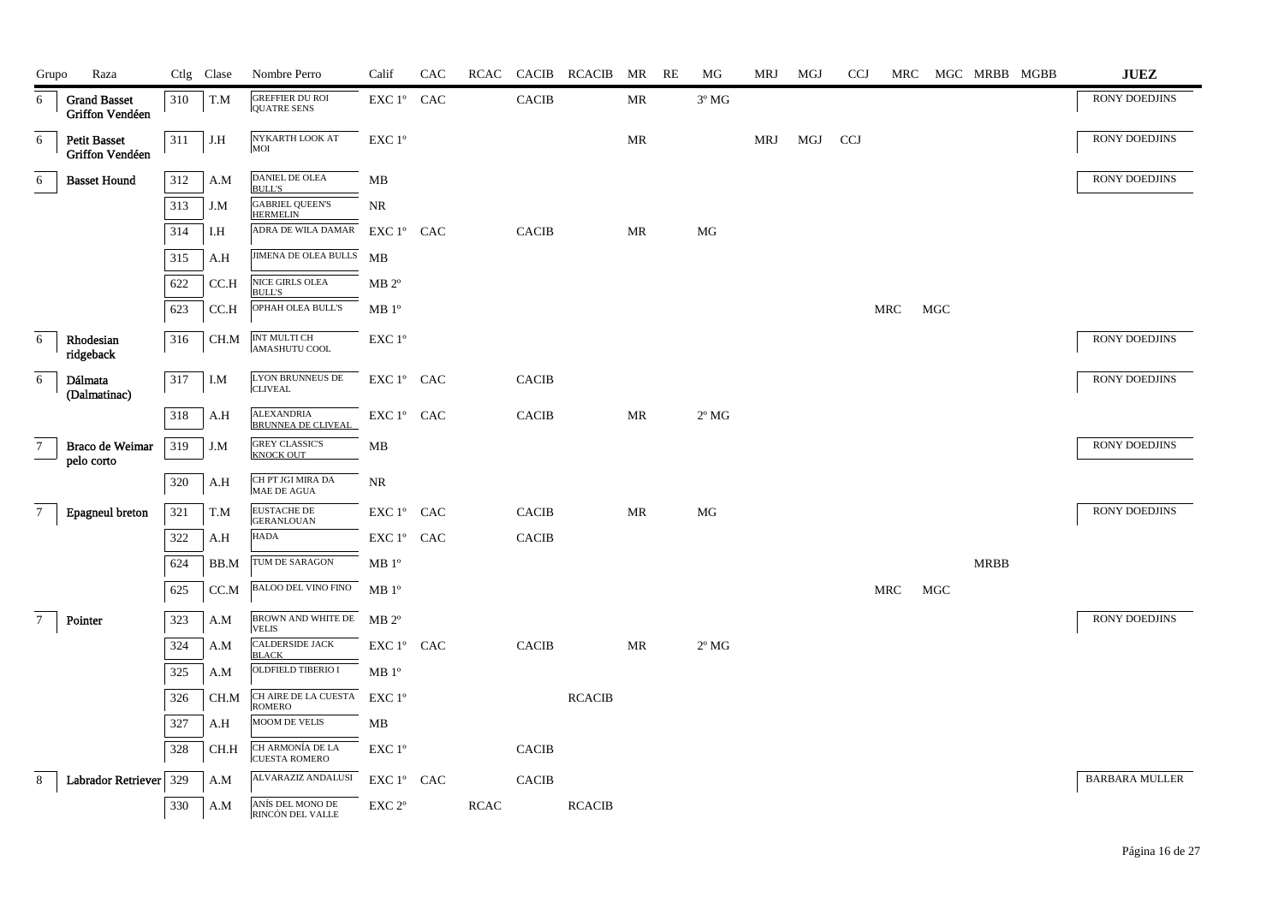| Grupo           | Raza                                   |     | Ctlg Clase | Nombre Perro                              | Calif                                          | CAC |             |              | RCAC CACIB RCACIB MR RE |           | МG             | MRJ | MGJ | <b>CCJ</b> |     |     |                       | MRC MGC MRBB MGBB | <b>JUEZ</b>           |
|-----------------|----------------------------------------|-----|------------|-------------------------------------------|------------------------------------------------|-----|-------------|--------------|-------------------------|-----------|----------------|-----|-----|------------|-----|-----|-----------------------|-------------------|-----------------------|
| 6               | <b>Grand Basset</b><br>Griffon Vendéen | 310 | T.M        | GREFFIER DU ROI<br><b>OUATRE SENS</b>     | EXC 1° CAC                                     |     |             | <b>CACIB</b> |                         | <b>MR</b> | $3^{\circ}$ MG |     |     |            |     |     |                       |                   | <b>RONY DOEDJINS</b>  |
| 6               | <b>Petit Basset</b><br>Griffon Vendéen | 311 | J.H        | NYKARTH LOOK AT<br>MOI                    | EXC 1°                                         |     |             |              |                         | MR        |                | MRJ | MGJ | <b>CCJ</b> |     |     |                       |                   | RONY DOEDJINS         |
| 6               | <b>Basset Hound</b>                    | 312 | A.M        | DANIEL DE OLEA<br><b>BULL'S</b>           | MB                                             |     |             |              |                         |           |                |     |     |            |     |     |                       |                   | RONY DOEDJINS         |
|                 |                                        | 313 | J.M        | <b>GABRIEL QUEEN'S</b><br><b>HERMELIN</b> | NR                                             |     |             |              |                         |           |                |     |     |            |     |     |                       |                   |                       |
|                 |                                        | 314 | I.H        | ADRA DE WILA DAMAR                        | $EXC1^{\circ}$ CAC                             |     |             | <b>CACIB</b> |                         | MR        | MG             |     |     |            |     |     |                       |                   |                       |
|                 |                                        | 315 | A.H        | <b>JIMENA DE OLEA BULLS MB</b>            |                                                |     |             |              |                         |           |                |     |     |            |     |     |                       |                   |                       |
|                 |                                        | 622 | CC.H       | NICE GIRLS OLEA<br><b>BULL'S</b>          | $MB 2^{\circ}$                                 |     |             |              |                         |           |                |     |     |            |     |     |                       |                   |                       |
|                 |                                        | 623 | CC.H       | OPHAH OLEA BULL'S                         | MB <sup>o</sup>                                |     |             |              |                         |           |                |     |     |            | MRC | MGC |                       |                   |                       |
| 6               | Rhodesian<br>ridgeback                 | 316 | CH.M       | INT MULTI CH<br>AMASHUTU COOL             | EXC 1°                                         |     |             |              |                         |           |                |     |     |            |     |     |                       |                   | RONY DOEDJINS         |
| $6\,$           | Dálmata<br>(Dalmatinac)                | 317 | I.M        | <b>LYON BRUNNEUS DE</b><br><b>CLIVEAL</b> | EXC 1° CAC                                     |     |             | <b>CACIB</b> |                         |           |                |     |     |            |     |     |                       |                   | RONY DOEDJINS         |
|                 |                                        | 318 | A.H        | <b>ALEXANDRIA</b><br>BRUNNEA DE CLIVEAL   | EXC 1° CAC                                     |     |             | <b>CACIB</b> |                         | MR        | $2^{\circ}$ MG |     |     |            |     |     |                       |                   |                       |
| $7\phantom{.0}$ | Braco de Weimar<br>pelo corto          | 319 | J.M        | <b>GREY CLASSIC'S</b><br>KNOCK OUT        | MB                                             |     |             |              |                         |           |                |     |     |            |     |     |                       |                   | <b>RONY DOEDJINS</b>  |
|                 |                                        | 320 | A.H        | CH PT JGI MIRA DA<br>MAE DE AGUA          | NR                                             |     |             |              |                         |           |                |     |     |            |     |     |                       |                   |                       |
| $7\overline{ }$ | Epagneul breton                        | 321 | T.M        | <b>EUSTACHE DE</b><br><b>GERANLOUAN</b>   | EXC 1° CAC                                     |     |             | <b>CACIB</b> |                         | MR        | MG             |     |     |            |     |     |                       |                   | RONY DOEDJINS         |
|                 |                                        | 322 | A.H        | <b>HADA</b>                               | $\mathop{\hbox{\rm EXC}}$ $1^{\circ}$ $\;$ CAC |     |             | CACIB        |                         |           |                |     |     |            |     |     |                       |                   |                       |
|                 |                                        | 624 | BB.M       | TUM DE SARAGON                            | MB <sup>o</sup>                                |     |             |              |                         |           |                |     |     |            |     |     | $\operatorname{MRBB}$ |                   |                       |
|                 |                                        | 625 | CC.M       | BALOO DEL VINO FINO                       | MB <sup>0</sup>                                |     |             |              |                         |           |                |     |     |            | MRC | MGC |                       |                   |                       |
| $7\phantom{.0}$ | Pointer                                | 323 | A.M        | BROWN AND WHITE DE MB 2°<br><b>VELIS</b>  |                                                |     |             |              |                         |           |                |     |     |            |     |     |                       |                   | RONY DOEDJINS         |
|                 |                                        | 324 | A.M        | <b>CALDERSIDE JACK</b><br><b>BLACK</b>    | EXC 1º CAC                                     |     |             | <b>CACIB</b> |                         | MR        | $2^{\circ}$ MG |     |     |            |     |     |                       |                   |                       |
|                 |                                        | 325 | A.M        | OLDFIELD TIBERIO I                        | MB 1 <sup>o</sup>                              |     |             |              |                         |           |                |     |     |            |     |     |                       |                   |                       |
|                 |                                        | 326 | CH.M       | CH AIRE DE LA CUESTA<br>ROMERO            | $EXC1^{\circ}$                                 |     |             |              | <b>RCACIB</b>           |           |                |     |     |            |     |     |                       |                   |                       |
|                 |                                        | 327 | A.H        | MOOM DE VELIS                             | MB                                             |     |             |              |                         |           |                |     |     |            |     |     |                       |                   |                       |
|                 |                                        | 328 | CH.H       | CH ARMONÍA DE LA<br><b>CUESTA ROMERO</b>  | EXC 1 <sup>o</sup>                             |     |             | <b>CACIB</b> |                         |           |                |     |     |            |     |     |                       |                   |                       |
| 8               | Labrador Retriever 329                 |     | A.M        | ALVARAZIZ ANDALUSI                        | EXC 1° CAC                                     |     |             | <b>CACIB</b> |                         |           |                |     |     |            |     |     |                       |                   | <b>BARBARA MULLER</b> |
|                 |                                        | 330 | A.M        | ANÍS DEL MONO DE<br>RINCÓN DEL VALLE      | EXC 2 <sup>o</sup>                             |     | <b>RCAC</b> |              | <b>RCACIB</b>           |           |                |     |     |            |     |     |                       |                   |                       |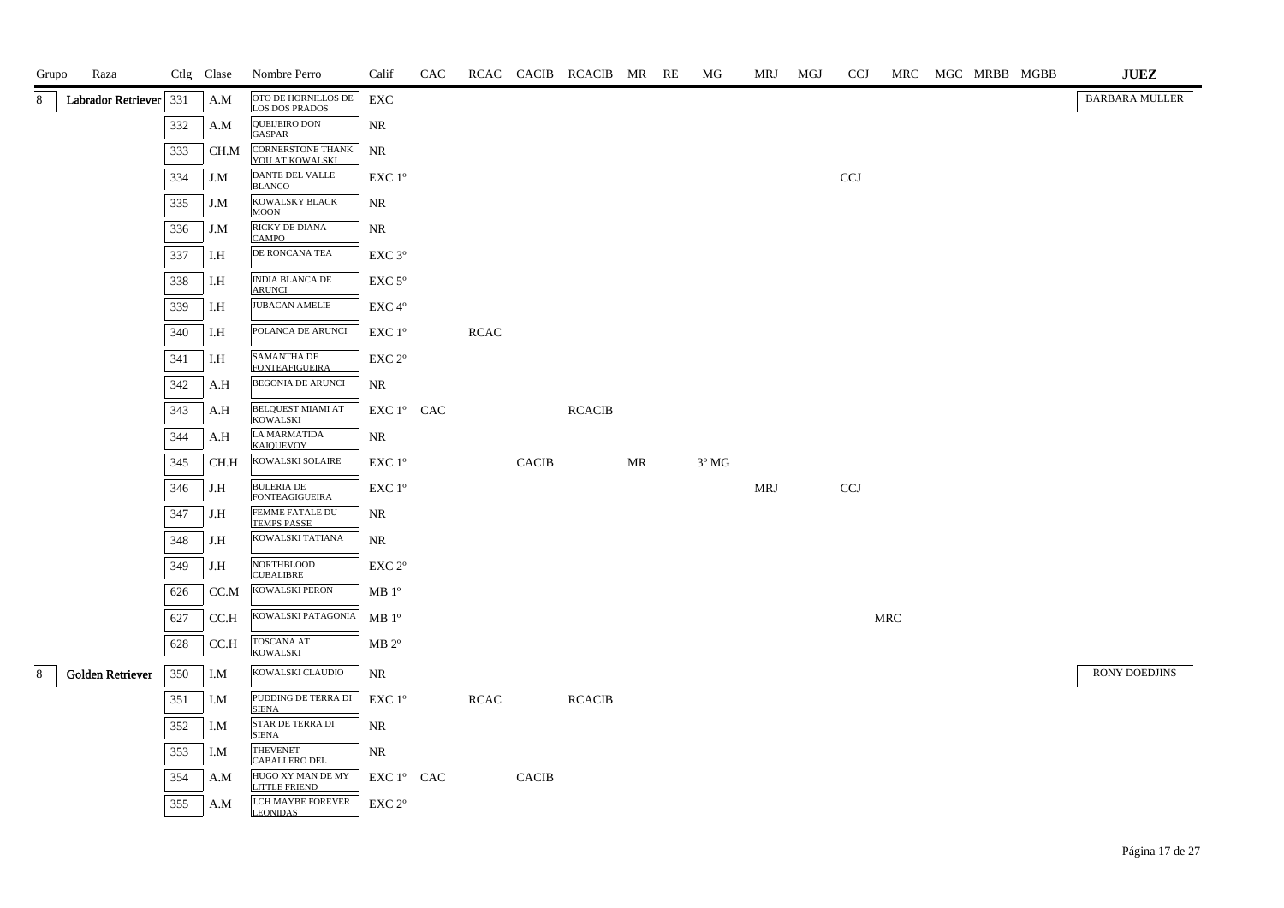| Grupo | Raza                    |     | Ctlg Clase | Nombre Perro                                 | Calif              | CAC |             |              | RCAC CACIB RCACIB MR RE |    | МG             | MRJ        | MGJ | <b>CCJ</b> |            | MRC MGC MRBB MGBB | <b>JUEZ</b>           |
|-------|-------------------------|-----|------------|----------------------------------------------|--------------------|-----|-------------|--------------|-------------------------|----|----------------|------------|-----|------------|------------|-------------------|-----------------------|
|       | Labrador Retriever 331  |     | A.M        | OTO DE HORNILLOS DE<br><b>LOS DOS PRADOS</b> | EXC                |     |             |              |                         |    |                |            |     |            |            |                   | <b>BARBARA MULLER</b> |
|       |                         | 332 | A.M        | QUEIJEIRO DON<br><b>GASPAR</b>               | <b>NR</b>          |     |             |              |                         |    |                |            |     |            |            |                   |                       |
|       |                         | 333 | CH.M       | <b>CORNERSTONE THANK</b><br>YOU AT KOWALSKI  | <b>NR</b>          |     |             |              |                         |    |                |            |     |            |            |                   |                       |
|       |                         | 334 | J.M        | DANTE DEL VALLE<br><b>BLANCO</b>             | EXC 1°             |     |             |              |                         |    |                |            |     | <b>CCJ</b> |            |                   |                       |
|       |                         | 335 | J.M        | KOWALSKY BLACK<br><b>MOON</b>                | NR                 |     |             |              |                         |    |                |            |     |            |            |                   |                       |
|       |                         | 336 | J.M        | RICKY DE DIANA<br><b>CAMPO</b>               | <b>NR</b>          |     |             |              |                         |    |                |            |     |            |            |                   |                       |
|       |                         | 337 | I.H        | DE RONCANA TEA                               | EXC 3 <sup>o</sup> |     |             |              |                         |    |                |            |     |            |            |                   |                       |
|       |                         | 338 | I.H        | <b>INDIA BLANCA DE</b><br><b>ARUNCI</b>      | $EXC 5^{\circ}$    |     |             |              |                         |    |                |            |     |            |            |                   |                       |
|       |                         | 339 | I.H        | <b>JUBACAN AMELIE</b>                        | EXC4°              |     |             |              |                         |    |                |            |     |            |            |                   |                       |
|       |                         | 340 | I.H        | POLANCA DE ARUNCI                            | EXC 1°             |     | <b>RCAC</b> |              |                         |    |                |            |     |            |            |                   |                       |
|       |                         | 341 | I.H        | <b>SAMANTHA DE</b><br><b>FONTEAFIGUEIRA</b>  | EXC 2°             |     |             |              |                         |    |                |            |     |            |            |                   |                       |
|       |                         | 342 | A.H        | <b>BEGONIA DE ARUNCI</b>                     | <b>NR</b>          |     |             |              |                         |    |                |            |     |            |            |                   |                       |
|       |                         | 343 | A.H        | <b>BELQUEST MIAMI AT</b><br><b>KOWALSKI</b>  | $EXC1^{\circ}$ CAC |     |             |              | <b>RCACIB</b>           |    |                |            |     |            |            |                   |                       |
|       |                         | 344 | A.H        | LA MARMATIDA<br><b>KAIOUEVOY</b>             | <b>NR</b>          |     |             |              |                         |    |                |            |     |            |            |                   |                       |
|       |                         | 345 | CH.H       | KOWALSKI SOLAIRE                             | $EXC1^{\circ}$     |     |             | <b>CACIB</b> |                         | MR | $3^{\circ}$ MG |            |     |            |            |                   |                       |
|       |                         | 346 | J.H        | <b>BULERIA DE</b><br><b>FONTEAGIGUEIRA</b>   | EXC 1°             |     |             |              |                         |    |                | <b>MRJ</b> |     | CCJ        |            |                   |                       |
|       |                         | 347 | J.H        | FEMME FATALE DU<br><b>TEMPS PASSE</b>        | <b>NR</b>          |     |             |              |                         |    |                |            |     |            |            |                   |                       |
|       |                         | 348 | J.H        | KOWALSKI TATIANA                             | NR                 |     |             |              |                         |    |                |            |     |            |            |                   |                       |
|       |                         | 349 | J.H        | NORTHBLOOD<br><b>CUBALIBRE</b>               | EXC 2 <sup>o</sup> |     |             |              |                         |    |                |            |     |            |            |                   |                       |
|       |                         | 626 | CC.M       | KOWALSKI PERON                               | MB 1 <sup>o</sup>  |     |             |              |                         |    |                |            |     |            |            |                   |                       |
|       |                         | 627 | CC.H       | KOWALSKI PATAGONIA                           | $MB1^{\circ}$      |     |             |              |                         |    |                |            |     |            | <b>MRC</b> |                   |                       |
|       |                         | 628 | CC.H       | <b>TOSCANA AT</b><br><b>KOWALSKI</b>         | $MB 2^{\circ}$     |     |             |              |                         |    |                |            |     |            |            |                   |                       |
|       | <b>Golden Retriever</b> | 350 | I.M        | KOWALSKI CLAUDIO                             | <b>NR</b>          |     |             |              |                         |    |                |            |     |            |            |                   | <b>RONY DOEDJINS</b>  |
|       |                         | 351 | I.M        | PUDDING DE TERRA DI<br><b>SIENA</b>          | EXC 1°             |     | <b>RCAC</b> |              | <b>RCACIB</b>           |    |                |            |     |            |            |                   |                       |
|       |                         | 352 | I.M        | STAR DE TERRA DI<br><b>SIENA</b>             | <b>NR</b>          |     |             |              |                         |    |                |            |     |            |            |                   |                       |
|       |                         | 353 | I.M        | <b>THEVENET</b><br><b>CABALLERO DEL</b>      | NR.                |     |             |              |                         |    |                |            |     |            |            |                   |                       |
|       |                         | 354 | A.M        | HUGO XY MAN DE MY<br><b>LITTLE FRIEND</b>    | $EXC1^{\circ}$ CAC |     |             | <b>CACIB</b> |                         |    |                |            |     |            |            |                   |                       |
|       |                         | 355 | A.M        | <b>J.CH MAYBE FOREVER</b><br><b>LEONIDAS</b> | EXC 2 <sup>o</sup> |     |             |              |                         |    |                |            |     |            |            |                   |                       |
|       |                         |     |            |                                              |                    |     |             |              |                         |    |                |            |     |            |            |                   |                       |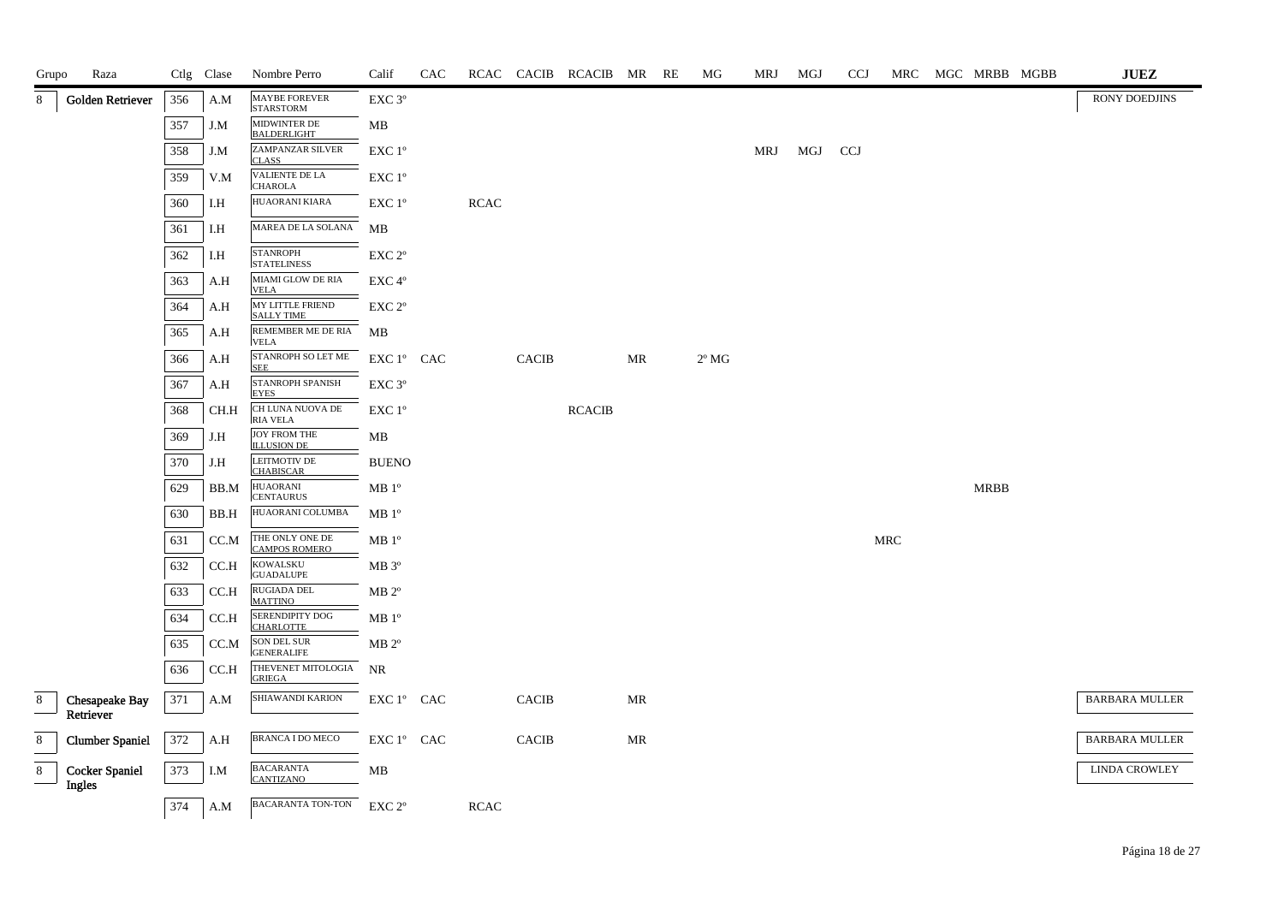| Grupo          | Raza                            |     | Ctlg Clase | Nombre Perro                              | Calif                                                                      | CAC |             |              | RCAC CACIB RCACIB MR RE |                     | MG             | MRJ | MGJ | <b>CCJ</b> |     |             | MRC MGC MRBB MGBB | $\mathbf{J}\mathbf{U}\mathbf{E}\mathbf{Z}$ |
|----------------|---------------------------------|-----|------------|-------------------------------------------|----------------------------------------------------------------------------|-----|-------------|--------------|-------------------------|---------------------|----------------|-----|-----|------------|-----|-------------|-------------------|--------------------------------------------|
| 8              | Golden Retriever                | 356 | A.M        | <b>MAYBE FOREVER</b><br><b>STARSTORM</b>  | EXC <sub>3°</sub>                                                          |     |             |              |                         |                     |                |     |     |            |     |             |                   | RONY DOEDJINS                              |
|                |                                 | 357 | J.M        | MIDWINTER DE<br><b>BALDERLIGHT</b>        | MB                                                                         |     |             |              |                         |                     |                |     |     |            |     |             |                   |                                            |
|                |                                 | 358 | J.M        | ZAMPANZAR SILVER<br><b>CLASS</b>          | EXC 1°                                                                     |     |             |              |                         |                     |                | MRJ | MGJ | <b>CCJ</b> |     |             |                   |                                            |
|                |                                 | 359 | V.M        | VALIENTE DE LA<br><b>CHAROLA</b>          | EXC 1°                                                                     |     |             |              |                         |                     |                |     |     |            |     |             |                   |                                            |
|                |                                 | 360 | I.H        | HUAORANI KIARA                            | $\ensuremath{\mathrm{EXC}}$ $1^{\mathrm{o}}$                               |     | <b>RCAC</b> |              |                         |                     |                |     |     |            |     |             |                   |                                            |
|                |                                 | 361 | I.H        | MAREA DE LA SOLANA                        | МB                                                                         |     |             |              |                         |                     |                |     |     |            |     |             |                   |                                            |
|                |                                 | 362 | I.H        | <b>STANROPH</b><br><b>STATELINESS</b>     | EXC <sub>2°</sub>                                                          |     |             |              |                         |                     |                |     |     |            |     |             |                   |                                            |
|                |                                 | 363 | A.H        | MIAMI GLOW DE RIA<br><b>VELA</b>          | $EXC 4^{\circ}$                                                            |     |             |              |                         |                     |                |     |     |            |     |             |                   |                                            |
|                |                                 | 364 | A.H        | MY LITTLE FRIEND<br><b>SALLY TIME</b>     | EXC 2 <sup>o</sup>                                                         |     |             |              |                         |                     |                |     |     |            |     |             |                   |                                            |
|                |                                 | 365 | A.H        | REMEMBER ME DE RIA<br><b>VELA</b>         | MB                                                                         |     |             |              |                         |                     |                |     |     |            |     |             |                   |                                            |
|                |                                 | 366 | A.H        | STANROPH SO LET ME<br><b>SEE</b>          | EXC 1° CAC                                                                 |     |             | <b>CACIB</b> |                         | MR                  | $2^{\circ}$ MG |     |     |            |     |             |                   |                                            |
|                |                                 | 367 | A.H        | <b>STANROPH SPANISH</b><br><b>EYES</b>    | EXC 3 <sup>o</sup>                                                         |     |             |              |                         |                     |                |     |     |            |     |             |                   |                                            |
|                |                                 | 368 | CH.H       | CH LUNA NUOVA DE<br><b>RIA VELA</b>       | $EXC1^{\circ}$                                                             |     |             |              | <b>RCACIB</b>           |                     |                |     |     |            |     |             |                   |                                            |
|                |                                 | 369 | J.H        | <b>JOY FROM THE</b><br><b>ILLUSION DE</b> | MB                                                                         |     |             |              |                         |                     |                |     |     |            |     |             |                   |                                            |
|                |                                 | 370 | J.H        | LEITMOTIV DE<br><b>CHABISCAR</b>          | <b>BUENO</b>                                                               |     |             |              |                         |                     |                |     |     |            |     |             |                   |                                            |
|                |                                 | 629 | BB.M       | <b>HUAORANI</b><br><b>CENTAURUS</b>       | MB 1 <sup>o</sup>                                                          |     |             |              |                         |                     |                |     |     |            |     | <b>MRBB</b> |                   |                                            |
|                |                                 | 630 | BB.H       | HUAORANI COLUMBA                          | MB1°                                                                       |     |             |              |                         |                     |                |     |     |            |     |             |                   |                                            |
|                |                                 | 631 | CC.M       | THE ONLY ONE DE<br><b>CAMPOS ROMERO</b>   | MB 1 <sup>o</sup>                                                          |     |             |              |                         |                     |                |     |     |            | MRC |             |                   |                                            |
|                |                                 | 632 | CC.H       | <b>KOWALSKU</b><br><b>GUADALUPE</b>       | $MB 3^{\circ}$                                                             |     |             |              |                         |                     |                |     |     |            |     |             |                   |                                            |
|                |                                 | 633 | CC.H       | RUGIADA DEL<br><b>MATTINO</b>             | $MB 2^{\circ}$                                                             |     |             |              |                         |                     |                |     |     |            |     |             |                   |                                            |
|                |                                 | 634 | CC.H       | SERENDIPITY DOG<br><b>CHARLOTTE</b>       | MB 1 <sup>o</sup>                                                          |     |             |              |                         |                     |                |     |     |            |     |             |                   |                                            |
|                |                                 | 635 | CC.M       | <b>SON DEL SUR</b><br><b>GENERALIFE</b>   | $MB 2^{\circ}$                                                             |     |             |              |                         |                     |                |     |     |            |     |             |                   |                                            |
|                |                                 | 636 | CC.H       | THEVENET MITOLOGIA<br><b>GRIEGA</b>       | NR                                                                         |     |             |              |                         |                     |                |     |     |            |     |             |                   |                                            |
| 8              | Chesapeake Bay<br>Retriever     | 371 | A.M        | SHIAWANDI KARION                          | $\mathop{\rm EXC}\nolimits 1^{\circ }$ $\mathop{\rm CAC}\nolimits$         |     |             | <b>CACIB</b> |                         | MR                  |                |     |     |            |     |             |                   | <b>BARBARA MULLER</b>                      |
| $8\phantom{1}$ | <b>Clumber Spaniel</b>          | 372 | A.H        | <b>BRANCA I DO MECO</b>                   | $\mathop{\rm EXC}\nolimits 1^{\mathop{\rm o}}$ $\mathop{\rm CAC}\nolimits$ |     |             | $\sf CACIB$  |                         | $\operatorname{MR}$ |                |     |     |            |     |             |                   | <b>BARBARA MULLER</b>                      |
| 8              | <b>Cocker Spaniel</b><br>Ingles | 373 | I.M        | <b>BACARANTA</b><br><b>CANTIZANO</b>      | МB                                                                         |     |             |              |                         |                     |                |     |     |            |     |             |                   | <b>LINDA CROWLEY</b>                       |
|                |                                 | 374 | A.M        | BACARANTA TON-TON                         | EXC 2 <sup>o</sup>                                                         |     | <b>RCAC</b> |              |                         |                     |                |     |     |            |     |             |                   |                                            |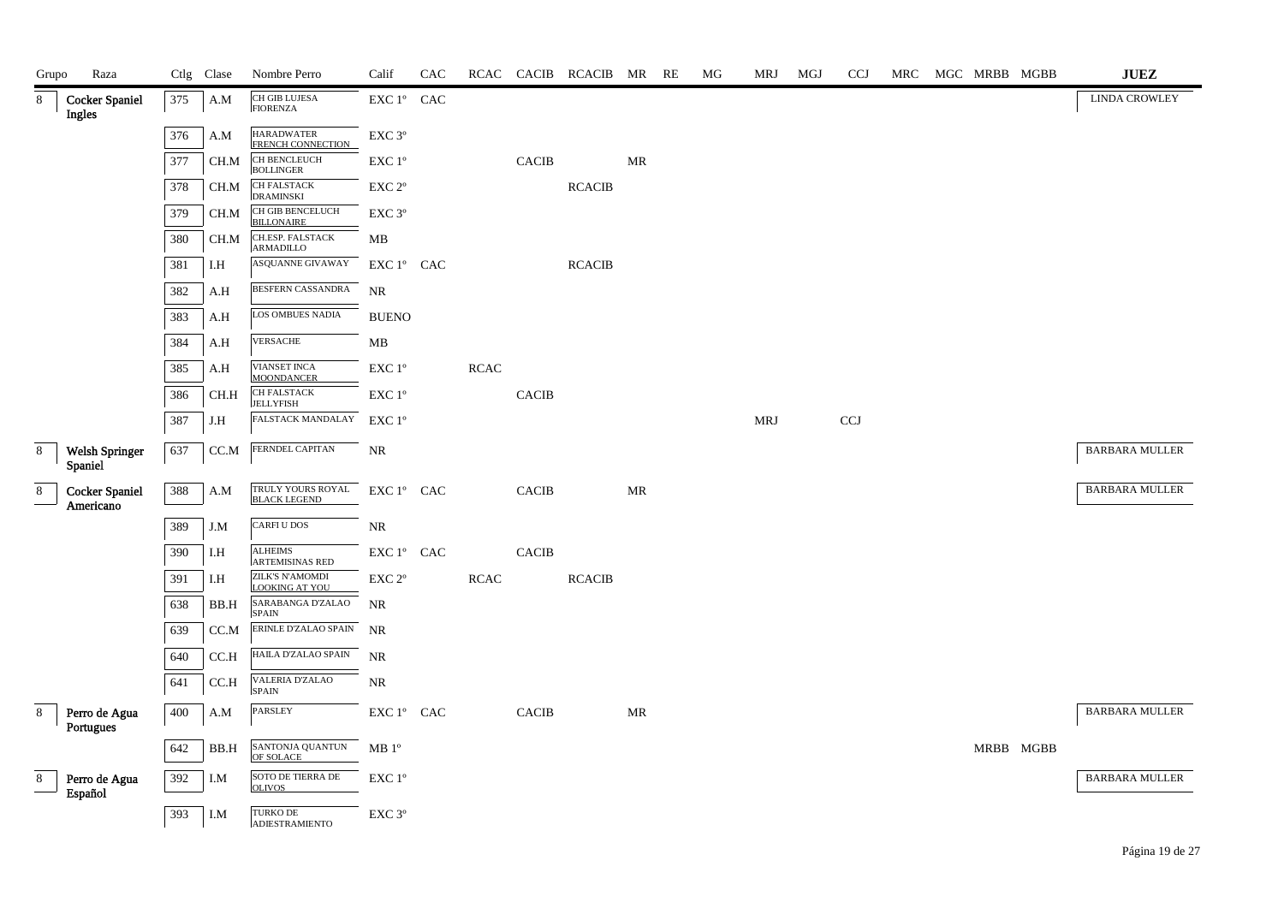| Grupo | Raza                               |     | Ctlg Clase                  | Nombre Perro                                    | Calif                                                                      | CAC |             |              | RCAC CACIB RCACIB MR RE |    | MG | MRJ        | MGJ | <b>CCJ</b>                | MRC | MGC MRBB MGBB | $\mathbf{J}\mathbf{U}\mathbf{E}\mathbf{Z}$ |
|-------|------------------------------------|-----|-----------------------------|-------------------------------------------------|----------------------------------------------------------------------------|-----|-------------|--------------|-------------------------|----|----|------------|-----|---------------------------|-----|---------------|--------------------------------------------|
| 8     | <b>Cocker Spaniel</b><br>Ingles    | 375 | A.M                         | CH GIB LUJESA<br><b>FIORENZA</b>                | EXC 1° CAC                                                                 |     |             |              |                         |    |    |            |     |                           |     |               | <b>LINDA CROWLEY</b>                       |
|       |                                    | 376 | A.M                         | <b>HARADWATER</b><br><b>FRENCH CONNECTION</b>   | $\ensuremath{\mathrm{EXC}}\ 3^{\mathrm{o}}$                                |     |             |              |                         |    |    |            |     |                           |     |               |                                            |
|       |                                    | 377 | CH.M                        | CH BENCLEUCH<br><b>BOLLINGER</b>                | EXC 1°                                                                     |     |             | <b>CACIB</b> |                         | MR |    |            |     |                           |     |               |                                            |
|       |                                    | 378 | CH.M                        | CH FALSTACK<br><b>DRAMINSKI</b>                 | EXC 2°                                                                     |     |             |              | <b>RCACIB</b>           |    |    |            |     |                           |     |               |                                            |
|       |                                    | 379 | CH.M                        | CH GIB BENCELUCH<br><b>BILLONAIRE</b>           | EXC 3°                                                                     |     |             |              |                         |    |    |            |     |                           |     |               |                                            |
|       |                                    | 380 | CH.M                        | CH.ESP. FALSTACK<br>ARMADILLO                   | MB                                                                         |     |             |              |                         |    |    |            |     |                           |     |               |                                            |
|       |                                    | 381 | I.H                         | <b>ASQUANNE GIVAWAY</b>                         | EXC 1° CAC                                                                 |     |             |              | <b>RCACIB</b>           |    |    |            |     |                           |     |               |                                            |
|       |                                    | 382 | A.H                         | BESFERN CASSANDRA                               | NR                                                                         |     |             |              |                         |    |    |            |     |                           |     |               |                                            |
|       |                                    | 383 | A.H                         | LOS OMBUES NADIA                                | <b>BUENO</b>                                                               |     |             |              |                         |    |    |            |     |                           |     |               |                                            |
|       |                                    | 384 | A.H                         | VERSACHE                                        | MB                                                                         |     |             |              |                         |    |    |            |     |                           |     |               |                                            |
|       |                                    | 385 | A.H                         | <b>VIANSET INCA</b><br><b>MOONDANCER</b>        | EXC 1°                                                                     |     | $\sf RCAC$  |              |                         |    |    |            |     |                           |     |               |                                            |
|       |                                    | 386 | CH.H                        | CH FALSTACK<br><b>JELLYFISH</b>                 | EXC 1°                                                                     |     |             | <b>CACIB</b> |                         |    |    |            |     |                           |     |               |                                            |
|       |                                    | 387 | J.H                         | FALSTACK MANDALAY                               | EXC 1°                                                                     |     |             |              |                         |    |    | <b>MRJ</b> |     | $\ensuremath{\text{CCJ}}$ |     |               |                                            |
| 8     | <b>Welsh Springer</b><br>Spaniel   | 637 | $CC.M$                      | FERNDEL CAPITAN                                 | NR                                                                         |     |             |              |                         |    |    |            |     |                           |     |               | <b>BARBARA MULLER</b>                      |
| 8     | <b>Cocker Spaniel</b><br>Americano | 388 | A.M                         | TRULY YOURS ROYAL<br><b>BLACK LEGEND</b>        | EXC 1° CAC                                                                 |     |             | <b>CACIB</b> |                         | MR |    |            |     |                           |     |               | <b>BARBARA MULLER</b>                      |
|       |                                    | 389 | J.M                         | <b>CARFI U DOS</b>                              | NR                                                                         |     |             |              |                         |    |    |            |     |                           |     |               |                                            |
|       |                                    | 390 | $\mathop{\rm I.H}\nolimits$ | <b>ALHEIMS</b><br><b>ARTEMISINAS RED</b>        | $\mathop{\rm EXC}\nolimits 1^{\mathop{\rm o}}$ $\mathop{\rm CAC}\nolimits$ |     |             | <b>CACIB</b> |                         |    |    |            |     |                           |     |               |                                            |
|       |                                    | 391 | I.H                         | <b>ZILK'S N'AMOMDI</b><br><b>LOOKING AT YOU</b> | EXC 2°                                                                     |     | <b>RCAC</b> |              | <b>RCACIB</b>           |    |    |            |     |                           |     |               |                                            |
|       |                                    | 638 | BB.H                        | SARABANGA D'ZALAO<br><b>SPAIN</b>               | <b>NR</b>                                                                  |     |             |              |                         |    |    |            |     |                           |     |               |                                            |
|       |                                    | 639 | CC.M                        | ERINLE D'ZALAO SPAIN                            | <b>NR</b>                                                                  |     |             |              |                         |    |    |            |     |                           |     |               |                                            |
|       |                                    | 640 | CC.H                        | HAILA D'ZALAO SPAIN                             | NR                                                                         |     |             |              |                         |    |    |            |     |                           |     |               |                                            |
|       |                                    | 641 | CC.H                        | VALERIA D'ZALAO<br><b>SPAIN</b>                 | $\rm NR$                                                                   |     |             |              |                         |    |    |            |     |                           |     |               |                                            |
| 8     | Perro de Agua<br>Portugues         | 400 | A.M                         | PARSLEY                                         | $\mathop{\rm EXC}\nolimits 1^{\circ }$ $\mathop{\rm CAC}\nolimits$         |     |             | <b>CACIB</b> |                         | MR |    |            |     |                           |     |               | <b>BARBARA MULLER</b>                      |
|       |                                    | 642 | BB.H                        | SANTONJA QUANTUN<br>OF SOLACE                   | MB 1 <sup>o</sup>                                                          |     |             |              |                         |    |    |            |     |                           |     | MRBB MGBB     |                                            |
| 8     | Perro de Agua<br>Español           | 392 | I.M                         | SOTO DE TIERRA DE<br><b>OLIVOS</b>              | EXC 1°                                                                     |     |             |              |                         |    |    |            |     |                           |     |               | <b>BARBARA MULLER</b>                      |
|       |                                    | 393 | I.M                         | TURKO DE<br><b>ADJESTRAMJENTO</b>               | $\ensuremath{\mathrm{EXC}}\ 3^{\mathrm{o}}$                                |     |             |              |                         |    |    |            |     |                           |     |               |                                            |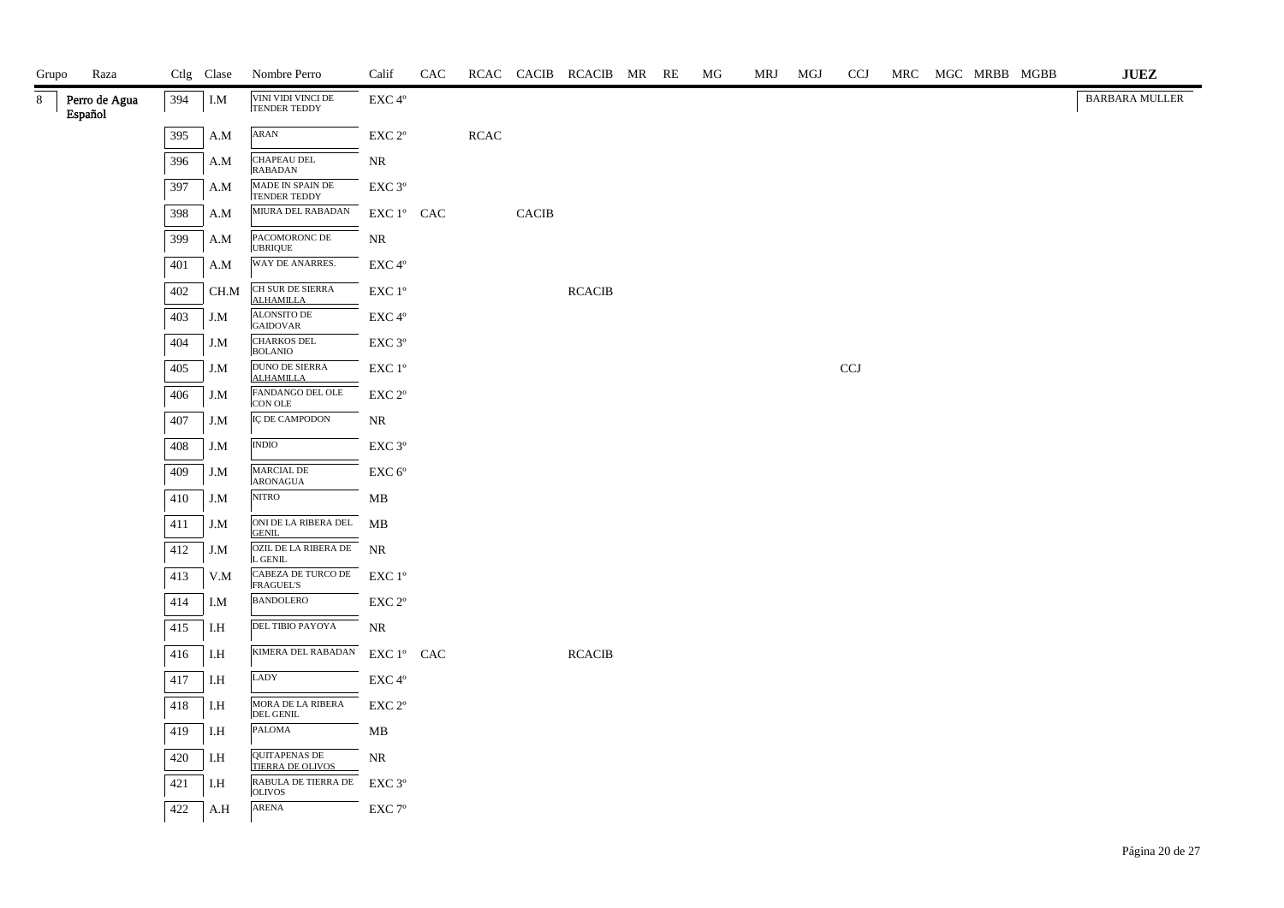| Grupo | Raza                     |     | Ctlg Clase | Nombre Perro                             | Calif                                        | CAC |            |       | RCAC CACIB RCACIB MR RE |  | МG | MRJ | MGJ | <b>CCJ</b> |  | MRC MGC MRBB MGBB | <b>JUEZ</b>           |
|-------|--------------------------|-----|------------|------------------------------------------|----------------------------------------------|-----|------------|-------|-------------------------|--|----|-----|-----|------------|--|-------------------|-----------------------|
| 8     | Perro de Agua<br>Español | 394 | I.M        | VINI VIDI VINCI DE<br>TENDER TEDDY       | EXC 4°                                       |     |            |       |                         |  |    |     |     |            |  |                   | <b>BARBARA MULLER</b> |
|       |                          | 395 | A.M        | ARAN                                     | $\ensuremath{\mathrm{EXC}}$ $2^{\mathrm{o}}$ |     | $\sf RCAC$ |       |                         |  |    |     |     |            |  |                   |                       |
|       |                          | 396 | A.M        | CHAPEAU DEL<br><b>RABADAN</b>            | $\rm NR$                                     |     |            |       |                         |  |    |     |     |            |  |                   |                       |
|       |                          | 397 | A.M        | MADE IN SPAIN DE<br><b>TENDER TEDDY</b>  | EXC 3°                                       |     |            |       |                         |  |    |     |     |            |  |                   |                       |
|       |                          | 398 | A.M        | MIURA DEL RABADAN                        | EXC 1° CAC                                   |     |            | CACIB |                         |  |    |     |     |            |  |                   |                       |
|       |                          | 399 | A.M        | PACOMORONC DE<br><b>UBRIQUE</b>          | NR                                           |     |            |       |                         |  |    |     |     |            |  |                   |                       |
|       |                          | 401 | A.M        | WAY DE ANARRES.                          | $\ensuremath{\mathrm{EXC}}\,4^{\mathrm{o}}$  |     |            |       |                         |  |    |     |     |            |  |                   |                       |
|       |                          | 402 | CH.M       | CH SUR DE SIERRA<br><b>ALHAMILLA</b>     | EXC 1°                                       |     |            |       | <b>RCACIB</b>           |  |    |     |     |            |  |                   |                       |
|       |                          | 403 | J.M        | ALONSITO DE<br><b>GAIDOVAR</b>           | EXC 4°                                       |     |            |       |                         |  |    |     |     |            |  |                   |                       |
|       |                          | 404 | J.M        | CHARKOS DEL<br><b>BOLANIO</b>            | $\ensuremath{\mathrm{EXC}}$ $3^{\mathrm{o}}$ |     |            |       |                         |  |    |     |     |            |  |                   |                       |
|       |                          | 405 | J.M        | DUNO DE SIERRA<br><b>ALHAMILLA</b>       | EXC 1°                                       |     |            |       |                         |  |    |     |     | CCJ        |  |                   |                       |
|       |                          | 406 | J.M        | FANDANGO DEL OLE<br>CON OLE              | EXC 2°                                       |     |            |       |                         |  |    |     |     |            |  |                   |                       |
|       |                          | 407 | J.M        | IÇ DE CAMPODON                           | NR                                           |     |            |       |                         |  |    |     |     |            |  |                   |                       |
|       |                          | 408 | J.M        | $\mathbf{INDIO}$                         | $\ensuremath{\mathrm{EXC}}\ 3^{\mathrm{o}}$  |     |            |       |                         |  |    |     |     |            |  |                   |                       |
|       |                          | 409 | J.M        | MARCIAL DE<br>ARONAGUA                   | ${\rm EXC}$ $6^{\rm o}$                      |     |            |       |                         |  |    |     |     |            |  |                   |                       |
|       |                          | 410 | J.M        | <b>NITRO</b>                             | MB                                           |     |            |       |                         |  |    |     |     |            |  |                   |                       |
|       |                          | 411 | J.M        | ONI DE LA RIBERA DEL<br><b>GENIL</b>     | МB                                           |     |            |       |                         |  |    |     |     |            |  |                   |                       |
|       |                          | 412 | J.M        | OZIL DE LA RIBERA DE NR<br>L GENIL       |                                              |     |            |       |                         |  |    |     |     |            |  |                   |                       |
|       |                          | 413 | V.M        | CABEZA DE TURCO DE<br><b>FRAGUEL'S</b>   | $EXC1^{\circ}$                               |     |            |       |                         |  |    |     |     |            |  |                   |                       |
|       |                          | 414 | I.M        | <b>BANDOLERO</b>                         | EXC 2°                                       |     |            |       |                         |  |    |     |     |            |  |                   |                       |
|       |                          | 415 | I.H        | DEL TIBIO PAYOYA                         | NR                                           |     |            |       |                         |  |    |     |     |            |  |                   |                       |
|       |                          | 416 | I.H        | KIMERA DEL RABADAN                       | EXC 1° CAC                                   |     |            |       | <b>RCACIB</b>           |  |    |     |     |            |  |                   |                       |
|       |                          | 417 | I.H        | LADY                                     | $\ensuremath{\mathrm{EXC}}\,4^{\mathrm{o}}$  |     |            |       |                         |  |    |     |     |            |  |                   |                       |
|       |                          | 418 | I.H        | MORA DE LA RIBERA<br>DEL GENIL           | EXC 2°                                       |     |            |       |                         |  |    |     |     |            |  |                   |                       |
|       |                          | 419 | I.H        | PALOMA                                   | MB                                           |     |            |       |                         |  |    |     |     |            |  |                   |                       |
|       |                          | 420 | I.H        | <b>QUITAPENAS DE</b><br>TIERRA DE OLIVOS | NR                                           |     |            |       |                         |  |    |     |     |            |  |                   |                       |
|       |                          | 421 | I.H        | RABULA DE TIERRA DE<br><b>OLIVOS</b>     | EXC 3°                                       |     |            |       |                         |  |    |     |     |            |  |                   |                       |
|       |                          | 422 | A.H        | ARENA                                    | $\ensuremath{\mathrm{EXC}}$ 7°               |     |            |       |                         |  |    |     |     |            |  |                   |                       |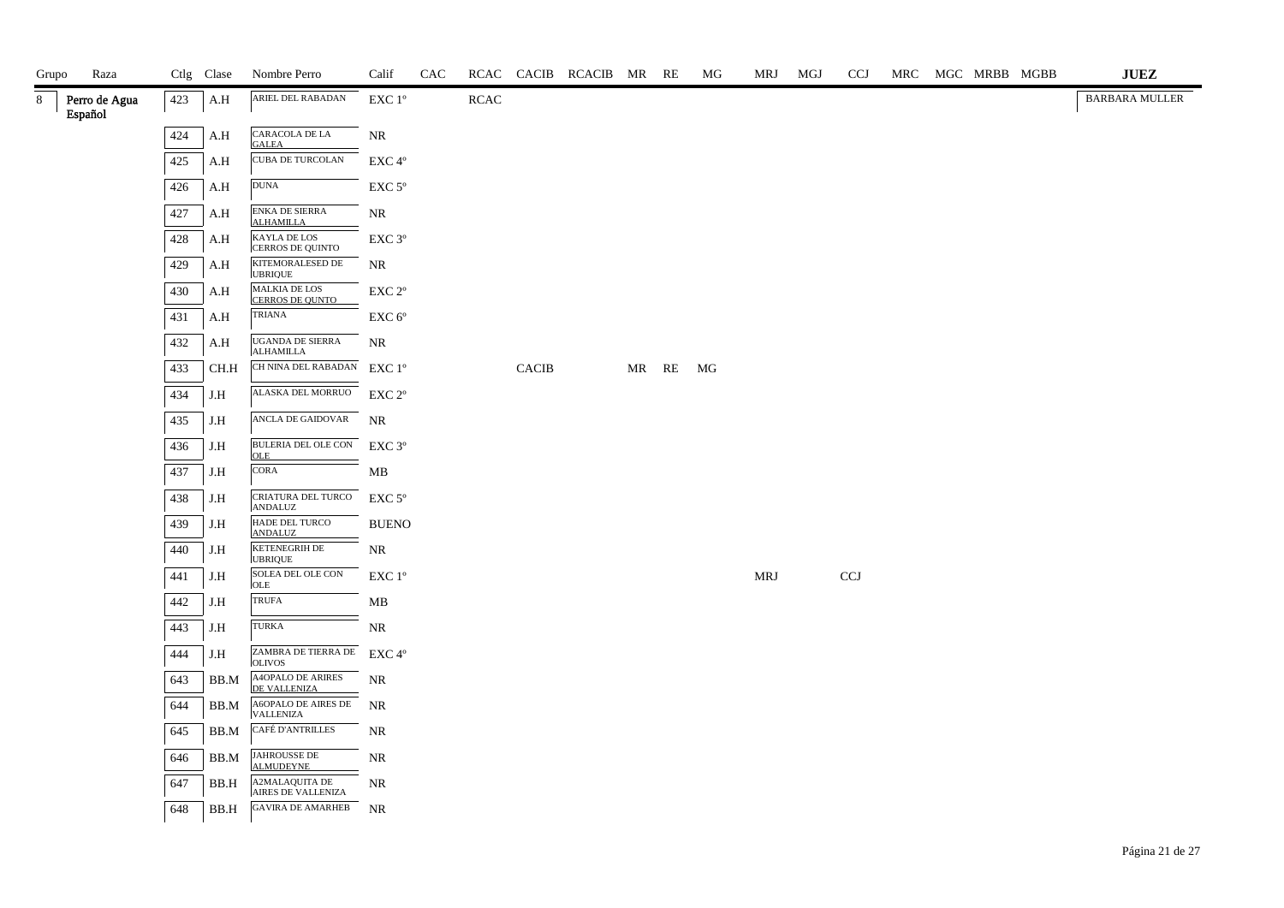| Grupo | Raza                     |     | Ctlg Clase | Nombre Perro                                   | Calif              | CAC |      |              | RCAC CACIB RCACIB MR RE |       | МG | MRJ | MGJ | <b>CCJ</b>                |  | MRC MGC MRBB MGBB | <b>JUEZ</b>           |
|-------|--------------------------|-----|------------|------------------------------------------------|--------------------|-----|------|--------------|-------------------------|-------|----|-----|-----|---------------------------|--|-------------------|-----------------------|
| 8.    | Perro de Agua<br>Español | 423 | A.H        | ARIEL DEL RABADAN                              | EXC 1°             |     | RCAC |              |                         |       |    |     |     |                           |  |                   | <b>BARBARA MULLER</b> |
|       |                          | 424 | A.H        | CARACOLA DE LA<br><b>GALEA</b>                 | <b>NR</b>          |     |      |              |                         |       |    |     |     |                           |  |                   |                       |
|       |                          | 425 | A.H        | <b>CUBA DE TURCOLAN</b>                        | EXC 4°             |     |      |              |                         |       |    |     |     |                           |  |                   |                       |
|       |                          | 426 | A.H        | <b>DUNA</b>                                    | EXC <sub>5°</sub>  |     |      |              |                         |       |    |     |     |                           |  |                   |                       |
|       |                          | 427 | A.H        | ENKA DE SIERRA<br><b>ALHAMILLA</b>             | <b>NR</b>          |     |      |              |                         |       |    |     |     |                           |  |                   |                       |
|       |                          | 428 | A.H        | KAYLA DE LOS<br><b>CERROS DE QUINTO</b>        | EXC 3°             |     |      |              |                         |       |    |     |     |                           |  |                   |                       |
|       |                          | 429 | A.H        | KITEMORALESED DE<br><b>UBRIQUE</b>             | <b>NR</b>          |     |      |              |                         |       |    |     |     |                           |  |                   |                       |
|       |                          | 430 | A.H        | <b>MALKIA DE LOS</b><br><b>CERROS DE QUNTO</b> | EXC 2°             |     |      |              |                         |       |    |     |     |                           |  |                   |                       |
|       |                          | 431 | A.H        | TRIANA                                         | EXC <sub>6°</sub>  |     |      |              |                         |       |    |     |     |                           |  |                   |                       |
|       |                          | 432 | A.H        | UGANDA DE SIERRA<br>ALHAMILLA                  | <b>NR</b>          |     |      |              |                         |       |    |     |     |                           |  |                   |                       |
|       |                          | 433 | CH.H       | CH NINA DEL RABADAN EXC 1º                     |                    |     |      | <b>CACIB</b> |                         | MR RE | MG |     |     |                           |  |                   |                       |
|       |                          | 434 | J.H        | ALASKA DEL MORRUO                              | EXC 2 <sup>o</sup> |     |      |              |                         |       |    |     |     |                           |  |                   |                       |
|       |                          | 435 | J.H        | ANCLA DE GAIDOVAR                              | NR                 |     |      |              |                         |       |    |     |     |                           |  |                   |                       |
|       |                          | 436 | J.H        | BULERIA DEL OLE CON<br><b>OLE</b>              | $EXC$ 3°           |     |      |              |                         |       |    |     |     |                           |  |                   |                       |
|       |                          | 437 | J.H        | <b>CORA</b>                                    | MB                 |     |      |              |                         |       |    |     |     |                           |  |                   |                       |
|       |                          | 438 | J.H        | CRIATURA DEL TURCO<br>ANDALUZ                  | $EXC$ 5°           |     |      |              |                         |       |    |     |     |                           |  |                   |                       |
|       |                          | 439 | J.H        | HADE DEL TURCO<br><b>ANDALUZ</b>               | <b>BUENO</b>       |     |      |              |                         |       |    |     |     |                           |  |                   |                       |
|       |                          | 440 | J.H        | <b>KETENEGRIH DE</b><br><b>UBRIQUE</b>         | $\rm NR$           |     |      |              |                         |       |    |     |     |                           |  |                   |                       |
|       |                          | 441 | J.H        | SOLEA DEL OLE CON<br>OLE                       | EXC 1°             |     |      |              |                         |       |    | MRJ |     | $\ensuremath{\text{CCJ}}$ |  |                   |                       |
|       |                          | 442 | J.H        | <b>TRUFA</b>                                   | ${\bf MB}$         |     |      |              |                         |       |    |     |     |                           |  |                   |                       |
|       |                          | 443 | J.H        | <b>TURKA</b>                                   | $\rm NR$           |     |      |              |                         |       |    |     |     |                           |  |                   |                       |
|       |                          | 444 | J.H        | ZAMBRA DE TIERRA DE EXC 4°<br><b>OLIVOS</b>    |                    |     |      |              |                         |       |    |     |     |                           |  |                   |                       |
|       |                          | 643 | BB.M       | A4OPALO DE ARIRES<br>DE VALLENIZA              | NR                 |     |      |              |                         |       |    |     |     |                           |  |                   |                       |
|       |                          | 644 | BB.M       | A6OPALO DE AIRES DE<br>VALLENIZA               | NR                 |     |      |              |                         |       |    |     |     |                           |  |                   |                       |
|       |                          | 645 | BB.M       | CAFÉ D'ANTRILLES                               | <b>NR</b>          |     |      |              |                         |       |    |     |     |                           |  |                   |                       |
|       |                          | 646 | BB.M       | <b>JAHROUSSE DE</b><br><b>ALMUDEYNE</b>        | <b>NR</b>          |     |      |              |                         |       |    |     |     |                           |  |                   |                       |
|       |                          | 647 | BB.H       | A2MALAQUITA DE<br><b>AIRES DE VALLENIZA</b>    | <b>NR</b>          |     |      |              |                         |       |    |     |     |                           |  |                   |                       |
|       |                          |     |            |                                                |                    |     |      |              |                         |       |    |     |     |                           |  |                   |                       |

648 BB.H GAVIRA DE AMARHEB NR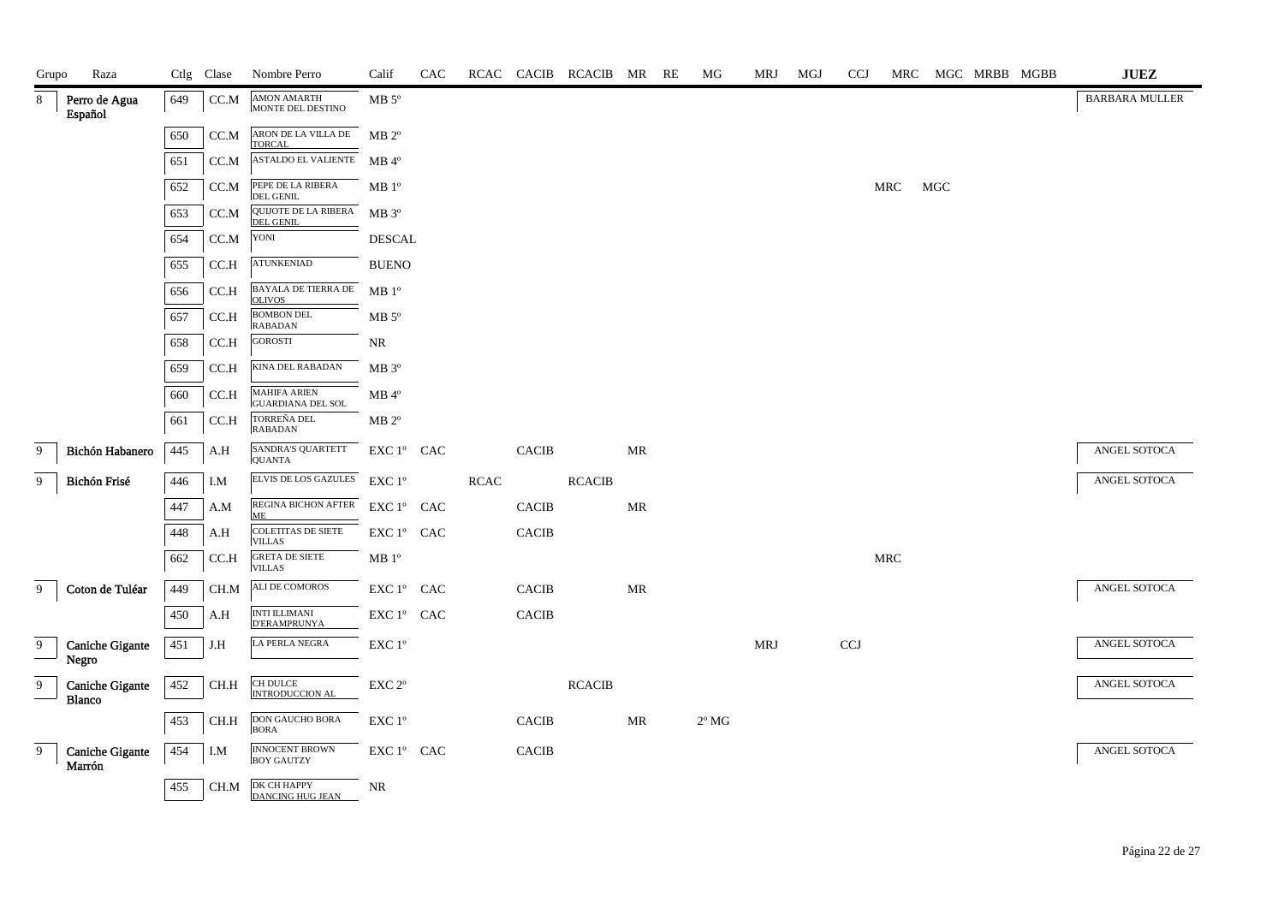| Grupo         | Raza                             |     | Ctlg Clase | Nombre Perro                                    | Calif                                                              | <b>CAC</b> |             |                | RCAC CACIB RCACIB MR RE |                                   | МG                     | MRJ | MGJ | <b>CCJ</b> |     |     | MRC MGC MRBB MGBB | $\mathbf{J}\mathbf{U}\mathbf{E}\mathbf{Z}$ |
|---------------|----------------------------------|-----|------------|-------------------------------------------------|--------------------------------------------------------------------|------------|-------------|----------------|-------------------------|-----------------------------------|------------------------|-----|-----|------------|-----|-----|-------------------|--------------------------------------------|
| 8             | Perro de Agua<br>Español         | 649 | CC.M       | <b>AMON AMARTH</b><br>MONTE DEL DESTINO         | $MB 5^{\circ}$                                                     |            |             |                |                         |                                   |                        |     |     |            |     |     |                   | <b>BARBARA MULLER</b>                      |
|               |                                  | 650 | CC.M       | ARON DE LA VILLA DE<br><b>TORCAL</b>            | $MB 2^{\circ}$                                                     |            |             |                |                         |                                   |                        |     |     |            |     |     |                   |                                            |
|               |                                  | 651 | CC.M       | ASTALDO EL VALIENTE MB 4°                       |                                                                    |            |             |                |                         |                                   |                        |     |     |            |     |     |                   |                                            |
|               |                                  | 652 | CC.M       | PEPE DE LA RIBERA<br><b>DEL GENIL</b>           | MB 1 <sup>o</sup>                                                  |            |             |                |                         |                                   |                        |     |     |            | MRC | MGC |                   |                                            |
|               |                                  | 653 | CC.M       | QUIJOTE DE LA RIBERA<br><b>DEL GENIL</b>        | $MB 3^{\circ}$                                                     |            |             |                |                         |                                   |                        |     |     |            |     |     |                   |                                            |
|               |                                  | 654 | CC.M       | YONI                                            | <b>DESCAL</b>                                                      |            |             |                |                         |                                   |                        |     |     |            |     |     |                   |                                            |
|               |                                  | 655 | CC.H       | <b>ATUNKENIAD</b>                               | <b>BUENO</b>                                                       |            |             |                |                         |                                   |                        |     |     |            |     |     |                   |                                            |
|               |                                  | 656 | CC.H       | BAYALA DE TIERRA DE<br><b>OLIVOS</b>            | MB 1 <sup>o</sup>                                                  |            |             |                |                         |                                   |                        |     |     |            |     |     |                   |                                            |
|               |                                  | 657 | CC.H       | <b>BOMBON DEL</b><br><b>RABADAN</b>             | $MB 5^{\circ}$                                                     |            |             |                |                         |                                   |                        |     |     |            |     |     |                   |                                            |
|               |                                  | 658 | CC.H       | <b>GOROSTI</b>                                  | NR                                                                 |            |             |                |                         |                                   |                        |     |     |            |     |     |                   |                                            |
|               |                                  | 659 | CC.H       | KINA DEL RABADAN                                | $MB 3^{\circ}$                                                     |            |             |                |                         |                                   |                        |     |     |            |     |     |                   |                                            |
|               |                                  | 660 | CC.H       | <b>MAHIFA ARIEN</b><br><b>GUARDIANA DEL SOL</b> | $MB$ <sup>4°</sup>                                                 |            |             |                |                         |                                   |                        |     |     |            |     |     |                   |                                            |
|               |                                  | 661 | CC.H       | TORREÑA DEL<br><b>RABADAN</b>                   | $MB 2^{\circ}$                                                     |            |             |                |                         |                                   |                        |     |     |            |     |     |                   |                                            |
| 9             | Bichón Habanero                  | 445 | A.H        | SANDRA'S QUARTETT<br><b>QUANTA</b>              | $EXC 1^{\circ}$ CAC                                                |            |             | $\sf CACIB$    |                         | MR                                |                        |     |     |            |     |     |                   | ANGEL SOTOCA                               |
| 9             | Bichón Frisé                     | 446 | I.M        | ELVIS DE LOS GAZULES                            | $EXC1^{\circ}$                                                     |            | <b>RCAC</b> |                | <b>RCACIB</b>           |                                   |                        |     |     |            |     |     |                   | ANGEL SOTOCA                               |
|               |                                  | 447 | A.M        | REGINA BICHON AFTER<br>МE                       | $\mathop{\rm EXC}\nolimits 1^{\circ }$ $\mathop{\rm CAC}\nolimits$ |            |             | $\sf CACIB$    |                         | $\ensuremath{\mathsf{MR}}\xspace$ |                        |     |     |            |     |     |                   |                                            |
|               |                                  | 448 | A.H        | <b>COLETITAS DE SIETE</b><br><b>VILLAS</b>      | EXC 1° CAC                                                         |            |             | <b>CACIB</b>   |                         |                                   |                        |     |     |            |     |     |                   |                                            |
|               |                                  | 662 | CC.H       | GRETA DE SIETE<br><b>VILLAS</b>                 | $\rm MB$ $1^{\rm o}$                                               |            |             |                |                         |                                   |                        |     |     |            | MRC |     |                   |                                            |
| 9             | Coton de Tuléar                  | 449 | CH.M       | ALI DE COMOROS                                  | EXC 1° CAC                                                         |            |             | <b>CACIB</b>   |                         | MR                                |                        |     |     |            |     |     |                   | ANGEL SOTOCA                               |
|               |                                  | 450 | A.H        | <b>INTI ILLIMANI</b><br><b>D'ERAMPRUNYA</b>     | EXC 1° CAC                                                         |            |             | $\mbox{CACIB}$ |                         |                                   |                        |     |     |            |     |     |                   |                                            |
| $\frac{9}{1}$ | Caniche Gigante                  | 451 | J.H        | LA PERLA NEGRA                                  | $\ensuremath{\mathrm{EXC}}$ $1^{\mathrm{o}}$                       |            |             |                |                         |                                   |                        | MRJ |     | <b>CCJ</b> |     |     |                   | ANGEL SOTOCA                               |
|               | Negro                            |     |            |                                                 |                                                                    |            |             |                |                         |                                   |                        |     |     |            |     |     |                   |                                            |
| 9             | <b>Caniche Gigante</b><br>Blanco | 452 | CH.H       | CH DULCE<br>INTRODUCCION AL                     | EXC 2°                                                             |            |             |                | <b>RCACIB</b>           |                                   |                        |     |     |            |     |     |                   | ANGEL SOTOCA                               |
|               |                                  | 453 | CH.H       | DON GAUCHO BORA<br><b>BORA</b>                  | EXC 1°                                                             |            |             | CACIB          |                         | MR                                | $2^{\rm o}\, {\rm MG}$ |     |     |            |     |     |                   |                                            |
| 9             | <b>Caniche Gigante</b><br>Marrón | 454 | I.M        | <b>INNOCENT BROWN</b><br><b>BOY GAUTZY</b>      | EXC 1° CAC                                                         |            |             | <b>CACIB</b>   |                         |                                   |                        |     |     |            |     |     |                   | ANGEL SOTOCA                               |
|               |                                  | 455 | CH.M       | <b>DK CH HAPPY</b><br><b>DANCING HUG JEAN</b>   | NR                                                                 |            |             |                |                         |                                   |                        |     |     |            |     |     |                   |                                            |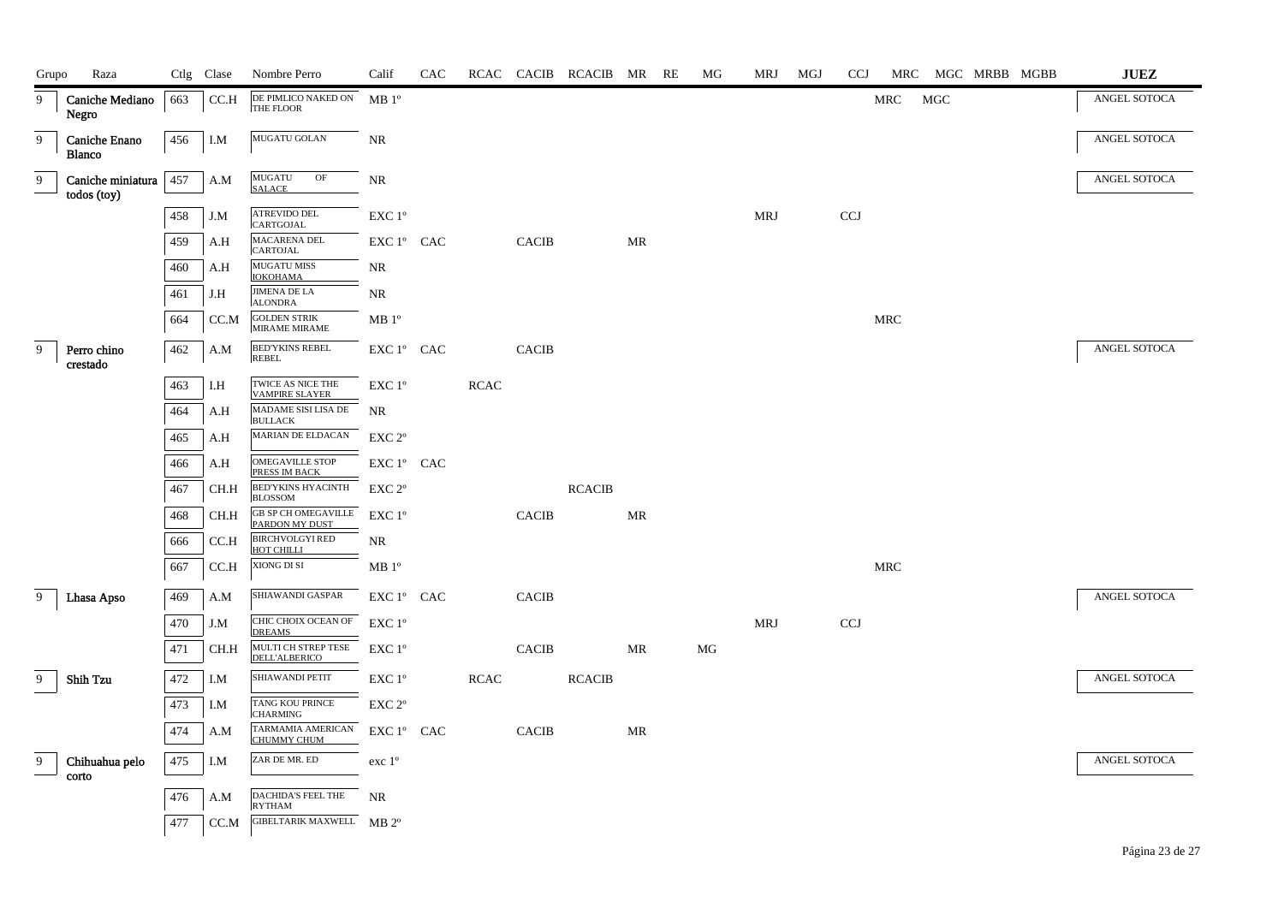| Grupo          | Raza                             |     | Ctlg Clase | Nombre Perro                                   | Calif                                                              | CAC |             |              | RCAC CACIB RCACIB MR RE |    | MG | MRJ        | MGJ | <b>CCJ</b> |     |            | MRC MGC MRBB MGBB | ${\bf JUEZ}$ |
|----------------|----------------------------------|-----|------------|------------------------------------------------|--------------------------------------------------------------------|-----|-------------|--------------|-------------------------|----|----|------------|-----|------------|-----|------------|-------------------|--------------|
| 9              | Caniche Mediano<br>Negro         | 663 | CC.H       | DE PIMLICO NAKED ON<br>THE FLOOR               | MB 1 <sup>o</sup>                                                  |     |             |              |                         |    |    |            |     |            | MRC | <b>MGC</b> |                   | ANGEL SOTOCA |
| $\overline{9}$ | Caniche Enano<br><b>Blanco</b>   | 456 | I.M        | MUGATU GOLAN                                   | NR                                                                 |     |             |              |                         |    |    |            |     |            |     |            |                   | ANGEL SOTOCA |
| 9              | Caniche miniatura<br>todos (toy) | 457 | A.M        | MUGATU<br>OF<br><b>SALACE</b>                  | $\rm NR$                                                           |     |             |              |                         |    |    |            |     |            |     |            |                   | ANGEL SOTOCA |
|                |                                  | 458 | J.M        | ATREVIDO DEL<br><b>CARTGOJAL</b>               | EXC 1°                                                             |     |             |              |                         |    |    | <b>MRJ</b> |     | CCJ        |     |            |                   |              |
|                |                                  | 459 | A.H        | MACARENA DEL<br><b>CARTOJAL</b>                | EXC 1° CAC                                                         |     |             | <b>CACIB</b> |                         | MR |    |            |     |            |     |            |                   |              |
|                |                                  | 460 | A.H        | <b>MUGATU MISS</b><br><b>IOKOHAMA</b>          | NR                                                                 |     |             |              |                         |    |    |            |     |            |     |            |                   |              |
|                |                                  | 461 | J.H        | <b>JIMENA DE LA</b><br><b>ALONDRA</b>          | NR                                                                 |     |             |              |                         |    |    |            |     |            |     |            |                   |              |
|                |                                  | 664 | CC.M       | <b>GOLDEN STRIK</b><br><b>MIRAME MIRAME</b>    | MB 1 <sup>o</sup>                                                  |     |             |              |                         |    |    |            |     |            | MRC |            |                   |              |
| 9              | Perro chino<br>crestado          | 462 | A.M        | <b>BED'YKINS REBEL</b><br><b>REBEL</b>         | EXC 1° CAC                                                         |     |             | <b>CACIB</b> |                         |    |    |            |     |            |     |            |                   | ANGEL SOTOCA |
|                |                                  | 463 | I.H        | TWICE AS NICE THE<br><b>VAMPIRE SLAYER</b>     | EXC 1°                                                             |     | <b>RCAC</b> |              |                         |    |    |            |     |            |     |            |                   |              |
|                |                                  | 464 | A.H        | MADAME SISI LISA DE<br><b>BULLACK</b>          | <b>NR</b>                                                          |     |             |              |                         |    |    |            |     |            |     |            |                   |              |
|                |                                  | 465 | A.H        | MARIAN DE ELDACAN                              | EXC <sub>2°</sub>                                                  |     |             |              |                         |    |    |            |     |            |     |            |                   |              |
|                |                                  | 466 | A.H        | OMEGAVILLE STOP<br>PRESS IM BACK               | EXC 1º CAC                                                         |     |             |              |                         |    |    |            |     |            |     |            |                   |              |
|                |                                  | 467 | CH.H       | <b>BED'YKINS HYACINTH</b><br><b>BLOSSOM</b>    | EXC <sub>2°</sub>                                                  |     |             |              | <b>RCACIB</b>           |    |    |            |     |            |     |            |                   |              |
|                |                                  | 468 | CH.H       | <b>GB SP CH OMEGAVILLE</b><br>PARDON MY DUST   | EXC 1°                                                             |     |             | <b>CACIB</b> |                         | MR |    |            |     |            |     |            |                   |              |
|                |                                  | 666 | CC.H       | <b>BIRCHVOLGYI RED</b><br>HOT CHILLI           | NR                                                                 |     |             |              |                         |    |    |            |     |            |     |            |                   |              |
|                |                                  | 667 | CC.H       | XIONG DI SI                                    | $MB1^{\circ}$                                                      |     |             |              |                         |    |    |            |     |            | MRC |            |                   |              |
| 9              | Lhasa Apso                       | 469 | A.M        | SHIAWANDI GASPAR                               | EXC 1º CAC                                                         |     |             | <b>CACIB</b> |                         |    |    |            |     |            |     |            |                   | ANGEL SOTOCA |
|                |                                  | 470 | J.M        | CHIC CHOIX OCEAN OF<br><b>DREAMS</b>           | EXC 1°                                                             |     |             |              |                         |    |    | <b>MRJ</b> |     | <b>CCJ</b> |     |            |                   |              |
|                |                                  | 471 | CH.H       | MULTI CH STREP TESE<br><b>DELL'ALBERICO</b>    | EXC 1°                                                             |     |             | <b>CACIB</b> |                         | MR | MG |            |     |            |     |            |                   |              |
| 9              | <b>Shih Tzu</b>                  | 472 | I.M        | SHIAWANDI PETIT                                | EXC 1°                                                             |     | <b>RCAC</b> |              | <b>RCACIB</b>           |    |    |            |     |            |     |            |                   | ANGEL SOTOCA |
|                |                                  | 473 | I.M        | TANG KOU PRINCE<br><b>CHARMING</b>             | EXC 2 <sup>o</sup>                                                 |     |             |              |                         |    |    |            |     |            |     |            |                   |              |
|                |                                  | 474 | A.M        | TARMAMIA AMERICAN<br><b>CHUMMY CHUM</b>        | $\mathop{\rm EXC}\nolimits 1^{\circ }$ $\mathop{\rm CAC}\nolimits$ |     |             | <b>CACIB</b> |                         | MR |    |            |     |            |     |            |                   |              |
| 9              | Chihuahua pelo                   | 475 | I.M        | ZAR DE MR. ED                                  | exc 1°                                                             |     |             |              |                         |    |    |            |     |            |     |            |                   | ANGEL SOTOCA |
|                | corto                            | 476 | A.M        | <b>DACHIDA'S FEEL THE</b>                      | <b>NR</b>                                                          |     |             |              |                         |    |    |            |     |            |     |            |                   |              |
|                |                                  | 477 |            | <b>RYTHAM</b><br>CC.M GIBELTARIK MAXWELL MB 2° |                                                                    |     |             |              |                         |    |    |            |     |            |     |            |                   |              |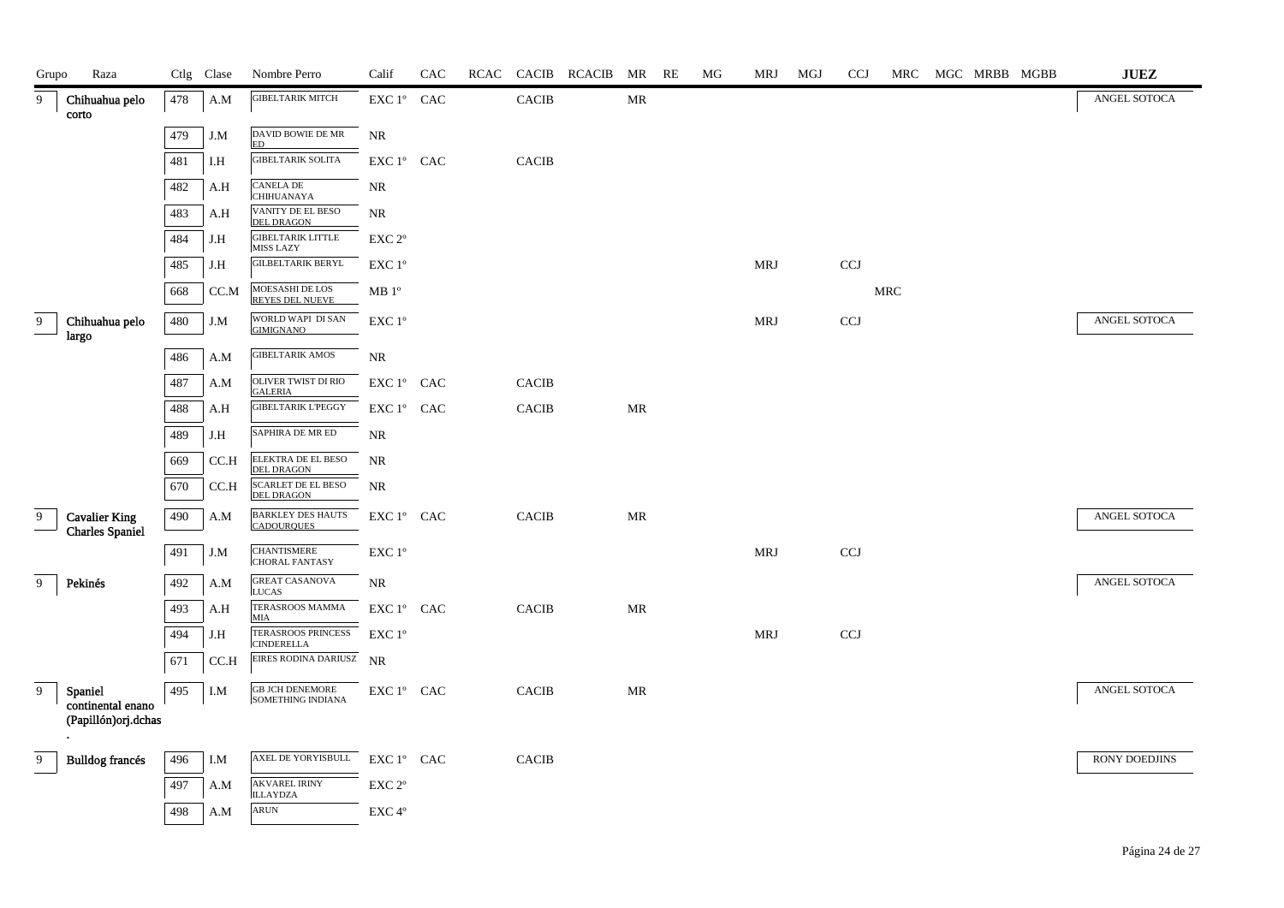| Grupo | Raza                                           |     | Ctlg Clase | Nombre Perro                                   | Calif                                                              | CAC |              | RCAC CACIB RCACIB MR RE |           | MG | MRJ        | MGJ | <b>CCJ</b> |                      | MRC MGC MRBB MGBB |  | <b>JUEZ</b>   |
|-------|------------------------------------------------|-----|------------|------------------------------------------------|--------------------------------------------------------------------|-----|--------------|-------------------------|-----------|----|------------|-----|------------|----------------------|-------------------|--|---------------|
| 9     | Chihuahua pelo<br>corto                        | 478 | A.M        | <b>GIBELTARIK MITCH</b>                        | EXC 1° CAC                                                         |     | <b>CACIB</b> |                         | <b>MR</b> |    |            |     |            |                      |                   |  | ANGEL SOTOCA  |
|       |                                                | 479 | J.M        | DAVID BOWIE DE MR<br><b>ED</b>                 | <b>NR</b>                                                          |     |              |                         |           |    |            |     |            |                      |                   |  |               |
|       |                                                | 481 | I.H        | <b>GIBELTARIK SOLITA</b>                       | EXC 1° CAC                                                         |     | <b>CACIB</b> |                         |           |    |            |     |            |                      |                   |  |               |
|       |                                                | 482 | A.H        | <b>CANELA DE</b><br><b>CHIHUANAYA</b>          | NR                                                                 |     |              |                         |           |    |            |     |            |                      |                   |  |               |
|       |                                                | 483 | A.H        | VANITY DE EL BESO<br>DEL DRAGON                | NR                                                                 |     |              |                         |           |    |            |     |            |                      |                   |  |               |
|       |                                                | 484 | J.H        | <b>GIBELTARIK LITTLE</b><br><b>MISS LAZY</b>   | EXC <sub>2°</sub>                                                  |     |              |                         |           |    |            |     |            |                      |                   |  |               |
|       |                                                | 485 | J.H        | <b>GILBELTARIK BERYL</b>                       | EXC 1°                                                             |     |              |                         |           |    | <b>MRJ</b> |     | CCJ        |                      |                   |  |               |
|       |                                                | 668 | CC.M       | MOES ASHI DE LOS<br><b>REYES DEL NUEVE</b>     | $\rm MB$ $1^{\rm o}$                                               |     |              |                         |           |    |            |     |            | $\operatorname{MRC}$ |                   |  |               |
| 9     | Chihuahua pelo<br>largo                        | 480 | J.M        | WORLD WAPI DI SAN<br><b>GIMIGNANO</b>          | EXC 1°                                                             |     |              |                         |           |    | MRJ        |     | <b>CCJ</b> |                      |                   |  | ANGEL SOTOCA  |
|       |                                                | 486 | A.M        | <b>GIBELTARIK AMOS</b>                         | $\rm NR$                                                           |     |              |                         |           |    |            |     |            |                      |                   |  |               |
|       |                                                | 487 | A.M        | OLIVER TWIST DI RIO<br><b>GALERIA</b>          | EXC 1º CAC                                                         |     | <b>CACIB</b> |                         |           |    |            |     |            |                      |                   |  |               |
|       |                                                | 488 | A.H        | <b>GIBELTARIK L'PEGGY</b>                      | EXC 1° CAC                                                         |     | CACIB        |                         | MR        |    |            |     |            |                      |                   |  |               |
|       |                                                | 489 | J.H        | SAPHIRA DE MR ED                               | NR                                                                 |     |              |                         |           |    |            |     |            |                      |                   |  |               |
|       |                                                | 669 | CC.H       | ELEKTRA DE EL BESO<br><b>DEL DRAGON</b>        | <b>NR</b>                                                          |     |              |                         |           |    |            |     |            |                      |                   |  |               |
|       |                                                | 670 | CC.H       | <b>SCARLET DE EL BESO</b><br><b>DEL DRAGON</b> | <b>NR</b>                                                          |     |              |                         |           |    |            |     |            |                      |                   |  |               |
| 9     | <b>Cavalier King</b><br><b>Charles Spaniel</b> | 490 | A.M        | <b>BARKLEY DES HAUTS</b><br><b>CADOURQUES</b>  | EXC 1° CAC                                                         |     | CACIB        |                         | <b>MR</b> |    |            |     |            |                      |                   |  | ANGEL SOTOCA  |
|       |                                                | 491 | J.M        | <b>CHANTISMERE</b><br><b>CHORAL FANTASY</b>    | EXC 1°                                                             |     |              |                         |           |    | <b>MRJ</b> |     | <b>CCJ</b> |                      |                   |  |               |
| 9     | Pekinés                                        | 492 | A.M        | <b>GREAT CASANOVA</b><br><b>LUCAS</b>          | NR                                                                 |     |              |                         |           |    |            |     |            |                      |                   |  | ANGEL SOTOCA  |
|       |                                                | 493 | A.H        | TERASROOS MAMMA<br><b>MIA</b>                  | EXC 1º CAC                                                         |     | <b>CACIB</b> |                         | <b>MR</b> |    |            |     |            |                      |                   |  |               |
|       |                                                | 494 | J.H        | <b>TERASROOS PRINCESS</b><br><b>CINDERELLA</b> | EXC 1 <sup>o</sup>                                                 |     |              |                         |           |    | MRJ        |     | CCJ        |                      |                   |  |               |
|       |                                                | 671 | CC.H       | EIRES RODINA DARIUSZ NR                        |                                                                    |     |              |                         |           |    |            |     |            |                      |                   |  |               |
| 9     | Spaniel<br>continental enano                   | 495 | I.M        | <b>GB JCH DENEMORE</b><br>SOMETHING INDIANA    | $\mathop{\rm EXC}\nolimits 1^{\circ }$ $\mathop{\rm CAC}\nolimits$ |     | <b>CACIB</b> |                         | MR        |    |            |     |            |                      |                   |  | ANGEL SOTOCA  |
|       | (Papillón)orj.dchas                            |     |            |                                                |                                                                    |     |              |                         |           |    |            |     |            |                      |                   |  |               |
| 9     | <b>Bulldog francés</b>                         | 496 | I.M        | AXEL DE YORYISBULL                             | EXC 1° CAC                                                         |     | <b>CACIB</b> |                         |           |    |            |     |            |                      |                   |  | RONY DOEDJINS |
|       |                                                | 497 | A.M        | <b>AKVAREL IRINY</b><br><b>ILLAYDZA</b>        | $\ensuremath{\mathrm{EXC}}$ $2^{\mathrm{o}}$                       |     |              |                         |           |    |            |     |            |                      |                   |  |               |
|       |                                                | 498 | A.M        | ARUN                                           | EXC4°                                                              |     |              |                         |           |    |            |     |            |                      |                   |  |               |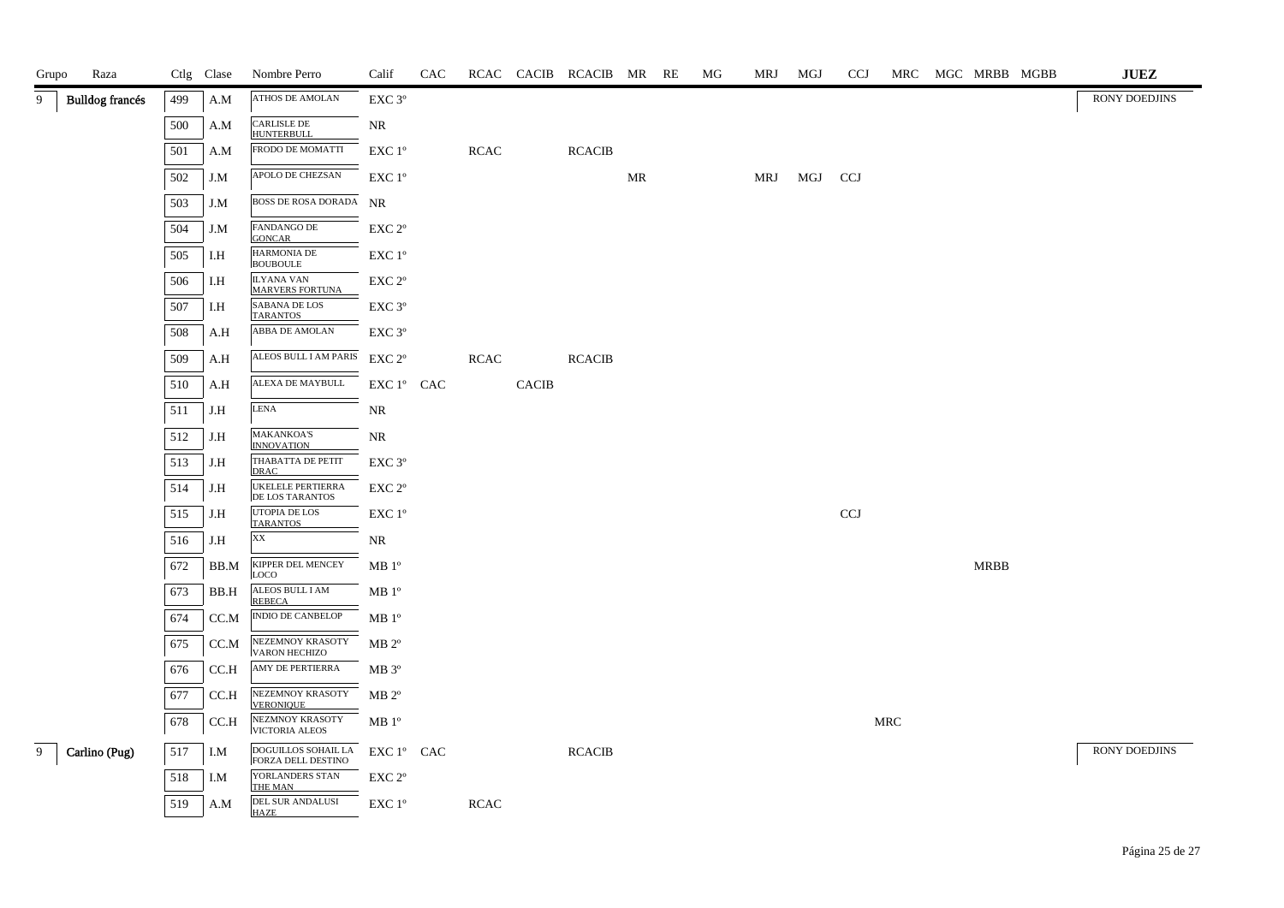| Grupo | Raza                   |     | Ctlg Clase | Nombre Perro                                     | Calif              | CAC |             |              | RCAC CACIB RCACIB MR |    | RE | MG | <b>MRJ</b> | MGJ | <b>CCJ</b> |                      |             | MRC MGC MRBB MGBB | $\mathbf{J}\mathbf{U}\mathbf{E}\mathbf{Z}$ |
|-------|------------------------|-----|------------|--------------------------------------------------|--------------------|-----|-------------|--------------|----------------------|----|----|----|------------|-----|------------|----------------------|-------------|-------------------|--------------------------------------------|
| 9     | <b>Bulldog</b> francés | 499 | A.M        | ATHOS DE AMOLAN                                  | EXC 3°             |     |             |              |                      |    |    |    |            |     |            |                      |             |                   | RONY DOEDJINS                              |
|       |                        | 500 | A.M        | <b>CARLISLE DE</b><br><b>HUNTERBULL</b>          | NR                 |     |             |              |                      |    |    |    |            |     |            |                      |             |                   |                                            |
|       |                        | 501 | A.M        | FRODO DE MOMATTI                                 | EXC 1°             |     | <b>RCAC</b> |              | <b>RCACIB</b>        |    |    |    |            |     |            |                      |             |                   |                                            |
|       |                        | 502 | J.M        | APOLO DE CHEZSAN                                 | EXC 1 <sup>o</sup> |     |             |              |                      | MR |    |    | MRJ        | MGJ | CCJ        |                      |             |                   |                                            |
|       |                        | 503 | J.M        | <b>BOSS DE ROSA DORADA NR</b>                    |                    |     |             |              |                      |    |    |    |            |     |            |                      |             |                   |                                            |
|       |                        | 504 | J.M        | <b>FANDANGO DE</b><br><b>GONCAR</b>              | EXC <sub>2°</sub>  |     |             |              |                      |    |    |    |            |     |            |                      |             |                   |                                            |
|       |                        | 505 | I.H        | <b>HARMONIA DE</b><br><b>BOUBOULE</b>            | EXC 1°             |     |             |              |                      |    |    |    |            |     |            |                      |             |                   |                                            |
|       |                        | 506 | I.H        | <b>ILYANA VAN</b><br><b>MARVERS FORTUNA</b>      | EXC <sub>2°</sub>  |     |             |              |                      |    |    |    |            |     |            |                      |             |                   |                                            |
|       |                        | 507 | I.H        | SABANA DE LOS<br><b>TARANTOS</b>                 | EXC <sub>3°</sub>  |     |             |              |                      |    |    |    |            |     |            |                      |             |                   |                                            |
|       |                        | 508 | A.H        | ABBA DE AMOLAN                                   | $EXC$ 3 $^{\circ}$ |     |             |              |                      |    |    |    |            |     |            |                      |             |                   |                                            |
|       |                        | 509 | A.H        | ALEOS BULL I AM PARIS EXC 2°                     |                    |     | <b>RCAC</b> |              | <b>RCACIB</b>        |    |    |    |            |     |            |                      |             |                   |                                            |
|       |                        | 510 | A.H        | ALEXA DE MAYBULL                                 | EXC 1° CAC         |     |             | <b>CACIB</b> |                      |    |    |    |            |     |            |                      |             |                   |                                            |
|       |                        | 511 | J.H        | <b>LENA</b>                                      | NR                 |     |             |              |                      |    |    |    |            |     |            |                      |             |                   |                                            |
|       |                        | 512 | J.H        | <b>MAKANKOA'S</b><br><b>INNOVATION</b>           | NR                 |     |             |              |                      |    |    |    |            |     |            |                      |             |                   |                                            |
|       |                        | 513 | J.H        | THABATTA DE PETIT<br><b>DRAC</b>                 | EXC <sub>3°</sub>  |     |             |              |                      |    |    |    |            |     |            |                      |             |                   |                                            |
|       |                        | 514 | J.H        | <b>UKELELE PERTIERRA</b><br>DE LOS TARANTOS      | EXC <sub>2°</sub>  |     |             |              |                      |    |    |    |            |     |            |                      |             |                   |                                            |
|       |                        | 515 | J.H        | UTOPIA DE LOS<br><b>TARANTOS</b>                 | EXC 1°             |     |             |              |                      |    |    |    |            |     | CCJ        |                      |             |                   |                                            |
|       |                        | 516 | J.H        | XX                                               | NR                 |     |             |              |                      |    |    |    |            |     |            |                      |             |                   |                                            |
|       |                        | 672 | BB.M       | KIPPER DEL MENCEY<br>LOCO                        | MB <sup>o</sup>    |     |             |              |                      |    |    |    |            |     |            |                      | <b>MRBB</b> |                   |                                            |
|       |                        | 673 | BB.H       | ALEOS BULL I AM<br><b>REBECA</b>                 | MB <sup>o</sup>    |     |             |              |                      |    |    |    |            |     |            |                      |             |                   |                                            |
|       |                        | 674 | CC.M       | INDIO DE CANBELOP                                | MB 1 <sup>o</sup>  |     |             |              |                      |    |    |    |            |     |            |                      |             |                   |                                            |
|       |                        | 675 | CC.M       | NEZEMNOY KRASOTY<br>VARON HECHIZO                | $MB 2^{\circ}$     |     |             |              |                      |    |    |    |            |     |            |                      |             |                   |                                            |
|       |                        | 676 | CC.H       | AMY DE PERTIERRA                                 | $MB 3^{\circ}$     |     |             |              |                      |    |    |    |            |     |            |                      |             |                   |                                            |
|       |                        | 677 | $\rm CCA$  | NEZEMNOY KRASOTY<br><b>VERONIQUE</b>             | $MB 2^{\circ}$     |     |             |              |                      |    |    |    |            |     |            |                      |             |                   |                                            |
|       |                        | 678 | CC.H       | NEZMNOY KRASOTY<br><b>VICTORIA ALEOS</b>         | MB <sup>o</sup>    |     |             |              |                      |    |    |    |            |     |            | $\operatorname{MRC}$ |             |                   |                                            |
| 9     | Carlino (Pug)          | 517 | I.M        | <b>DOGUILLOS SOHAIL LA</b><br>FORZA DELL DESTINO | EXC 1° CAC         |     |             |              | <b>RCACIB</b>        |    |    |    |            |     |            |                      |             |                   | RONY DOEDJINS                              |
|       |                        | 518 | I.M        | YORLANDERS STAN<br>THE MAN                       | EXC 2 <sup>o</sup> |     |             |              |                      |    |    |    |            |     |            |                      |             |                   |                                            |
|       |                        | 519 | A.M        | DEL SUR ANDALUSI<br><b>HAZE</b>                  | $EXC1^{\circ}$     |     | <b>RCAC</b> |              |                      |    |    |    |            |     |            |                      |             |                   |                                            |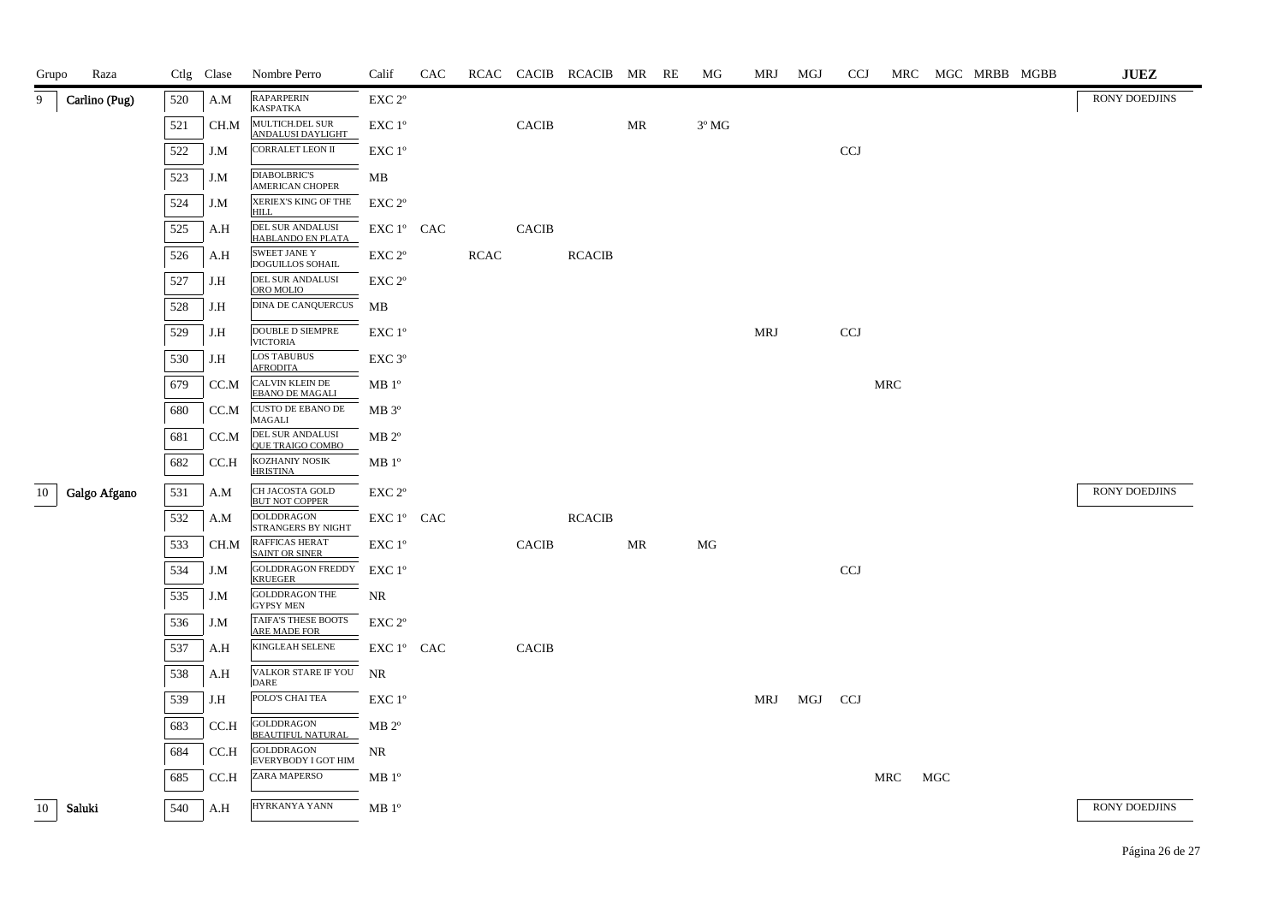| Raza<br>Grupo      |     | Ctlg Clase | Nombre Perro                                   | Calif              | <b>CAC</b> |             |              | RCAC CACIB RCACIB MR RE |    | MG             | MRJ        | MGJ | <b>CCJ</b> |     |     | MRC MGC MRBB MGBB |  | <b>JUEZ</b>          |
|--------------------|-----|------------|------------------------------------------------|--------------------|------------|-------------|--------------|-------------------------|----|----------------|------------|-----|------------|-----|-----|-------------------|--|----------------------|
| 9<br>Carlino (Pug) | 520 | A.M        | RAPARPERIN<br><b>KASPATKA</b>                  | EXC <sub>2°</sub>  |            |             |              |                         |    |                |            |     |            |     |     |                   |  | <b>RONY DOEDJINS</b> |
|                    | 521 | CH.M       | MULTICH.DEL SUR<br>ANDALUSI DAYLIGHT           | $EXC1^{\circ}$     |            |             | <b>CACIB</b> |                         | MR | $3^{\circ}$ MG |            |     |            |     |     |                   |  |                      |
|                    | 522 | J.M        | CORRALET LEON II                               | $EXC 1^{\circ}$    |            |             |              |                         |    |                |            |     | <b>CCJ</b> |     |     |                   |  |                      |
|                    | 523 | J.M        | <b>DIABOLBRIC'S</b><br><b>AMERICAN CHOPER</b>  | MB                 |            |             |              |                         |    |                |            |     |            |     |     |                   |  |                      |
|                    | 524 | J.M        | XERIEX'S KING OF THE<br><b>HILL</b>            | EXC 2 <sup>o</sup> |            |             |              |                         |    |                |            |     |            |     |     |                   |  |                      |
|                    | 525 | A.H        | DEL SUR ANDALUSI<br>HABLANDO EN PLATA          | EXC 1° CAC         |            |             | <b>CACIB</b> |                         |    |                |            |     |            |     |     |                   |  |                      |
|                    | 526 | A.H        | <b>SWEET JANE Y</b><br><b>DOGUILLOS SOHAIL</b> | EXC 2°             |            | <b>RCAC</b> |              | <b>RCACIB</b>           |    |                |            |     |            |     |     |                   |  |                      |
|                    | 527 | J.H        | DEL SUR ANDALUSI<br>ORO MOLIO                  | EXC 2 <sup>o</sup> |            |             |              |                         |    |                |            |     |            |     |     |                   |  |                      |
|                    | 528 | J.H        | <b>DINA DE CANQUERCUS</b>                      | MB                 |            |             |              |                         |    |                |            |     |            |     |     |                   |  |                      |
|                    | 529 | J.H        | <b>DOUBLE D SIEMPRE</b><br><b>VICTORIA</b>     | EXC 1°             |            |             |              |                         |    |                | <b>MRJ</b> |     | <b>CCJ</b> |     |     |                   |  |                      |
|                    | 530 | J.H        | <b>LOS TABUBUS</b><br><b>AFRODITA</b>          | EXC <sub>3°</sub>  |            |             |              |                         |    |                |            |     |            |     |     |                   |  |                      |
|                    | 679 | CC.M       | CALVIN KLEIN DE<br><b>EBANO DE MAGALI</b>      | MB 1 <sup>o</sup>  |            |             |              |                         |    |                |            |     |            | MRC |     |                   |  |                      |
|                    | 680 | CC.M       | <b>CUSTO DE EBANO DE</b><br><b>MAGALI</b>      | $MB 3^{\circ}$     |            |             |              |                         |    |                |            |     |            |     |     |                   |  |                      |
|                    | 681 | CC.M       | DEL SUR ANDALUSI<br><b>OUE TRAIGO COMBO</b>    | $MB 2^{\circ}$     |            |             |              |                         |    |                |            |     |            |     |     |                   |  |                      |
|                    | 682 | CC.H       | KOZHANIY NOSIK<br><b>HRISTINA</b>              | MB 1 <sup>o</sup>  |            |             |              |                         |    |                |            |     |            |     |     |                   |  |                      |
| Galgo Afgano<br>10 | 531 | A.M        | CH JACOSTA GOLD<br><b>BUT NOT COPPER</b>       | EXC <sub>2°</sub>  |            |             |              |                         |    |                |            |     |            |     |     |                   |  | <b>RONY DOEDJINS</b> |
|                    | 532 | A.M        | <b>DOLDDRAGON</b><br><b>STRANGERS BY NIGHT</b> | EXC 1° CAC         |            |             |              | <b>RCACIB</b>           |    |                |            |     |            |     |     |                   |  |                      |
|                    | 533 | CH.M       | <b>RAFFICAS HERAT</b><br><b>SAINT OR SINER</b> | $EXC1^{\circ}$     |            |             | <b>CACIB</b> |                         | MR | МG             |            |     |            |     |     |                   |  |                      |
|                    | 534 | J.M        | <b>GOLDDRAGON FREDDY</b><br><b>KRUEGER</b>     | EXC 1°             |            |             |              |                         |    |                |            |     | <b>CCJ</b> |     |     |                   |  |                      |
|                    | 535 | J.M        | <b>GOLDDRAGON THE</b><br><b>GYPSY MEN</b>      | NR.                |            |             |              |                         |    |                |            |     |            |     |     |                   |  |                      |
|                    | 536 | J.M        | TAIFA'S THESE BOOTS<br>ARE MADE FOR            | EXC 2°             |            |             |              |                         |    |                |            |     |            |     |     |                   |  |                      |
|                    | 537 | A.H        | KINGLEAH SELENE                                | EXC 1° CAC         |            |             | <b>CACIB</b> |                         |    |                |            |     |            |     |     |                   |  |                      |
|                    | 538 | A.H        | VALKOR STARE IF YOU<br><b>DARE</b>             | <b>NR</b>          |            |             |              |                         |    |                |            |     |            |     |     |                   |  |                      |
|                    | 539 | J.H        | POLO'S CHAI TEA                                | $EXC1^{\circ}$     |            |             |              |                         |    |                | MRJ        | MGJ | <b>CCJ</b> |     |     |                   |  |                      |
|                    | 683 | CC.H       | <b>GOLDDRAGON</b><br><b>BEAUTIFUL NATURAL</b>  | $MB 2^{\circ}$     |            |             |              |                         |    |                |            |     |            |     |     |                   |  |                      |
|                    | 684 | CC.H       | <b>GOLDDRAGON</b><br>EVERYBODY I GOT HIM       | NR                 |            |             |              |                         |    |                |            |     |            |     |     |                   |  |                      |
|                    | 685 | CC.H       | ZARA MAPERSO                                   | MB 1 <sup>o</sup>  |            |             |              |                         |    |                |            |     |            | MRC | MGC |                   |  |                      |
| 10<br>Saluki       | 540 | A.H        | HYRKANYA YANN                                  | MB 1 <sup>o</sup>  |            |             |              |                         |    |                |            |     |            |     |     |                   |  | <b>RONY DOEDJINS</b> |